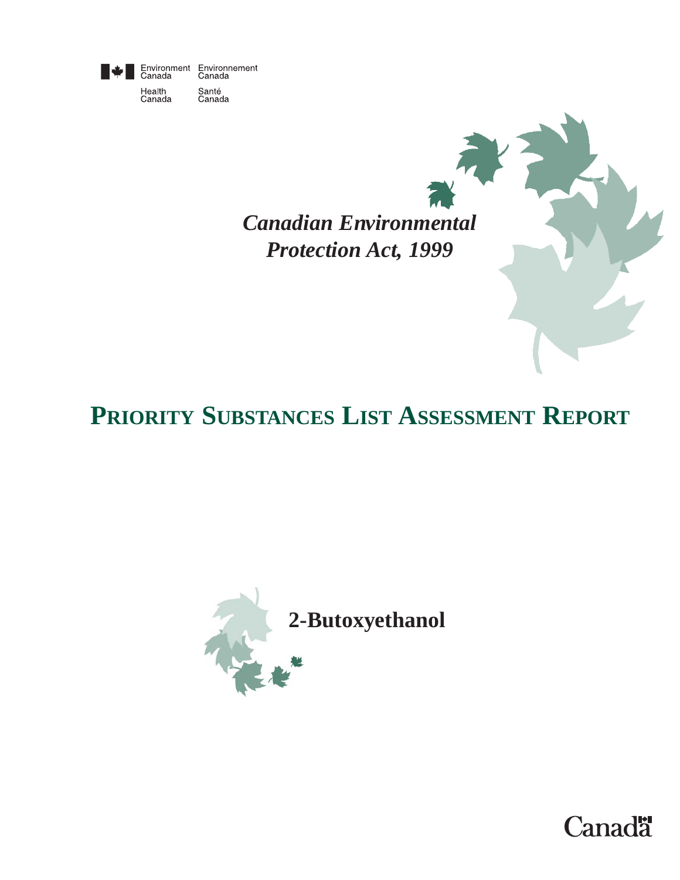

Health<br>Canada

Environment Environnement<br>Canada Canada Santé<br>Canada

> *Canadian Environmental Protection Act, 1999*

# **PRIORITY SUBSTANCES LIST ASSESSMENT REPORT**



**Canadä**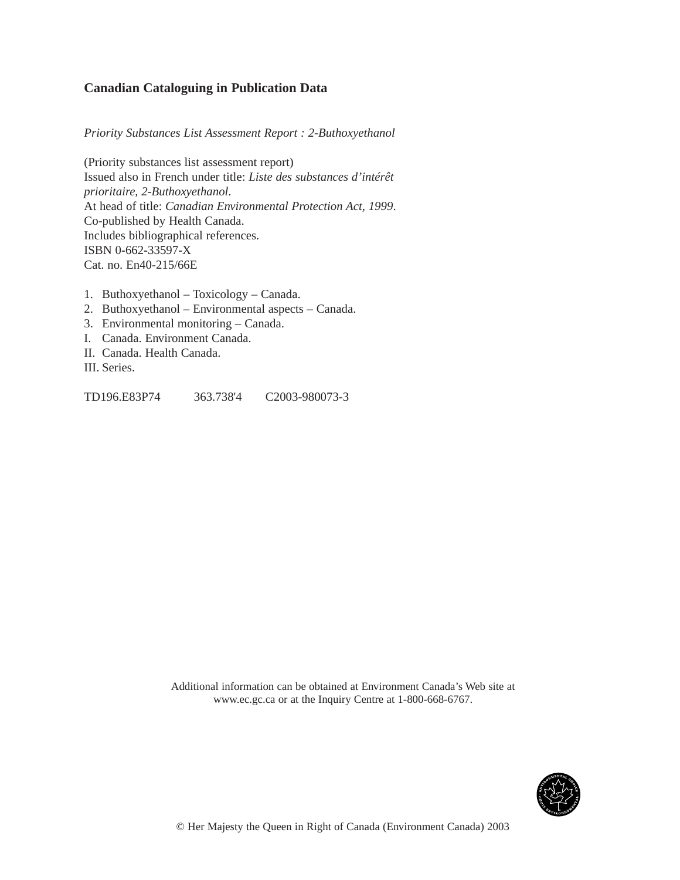#### **Canadian Cataloguing in Publication Data**

*Priority Substances List Assessment Report : 2-Buthoxyethanol*

(Priority substances list assessment report) Issued also in French under title: *Liste des substances d'intérêt prioritaire, 2-Buthoxyethanol*. At head of title: *Canadian Environmental Protection Act, 1999*. Co-published by Health Canada. Includes bibliographical references. ISBN 0-662-33597-X Cat. no. En40-215/66E

- 1. Buthoxyethanol Toxicology Canada.
- 2. Buthoxyethanol Environmental aspects Canada.
- 3. Environmental monitoring Canada.
- I. Canada. Environment Canada.
- II. Canada. Health Canada.
- III. Series.

TD196.E83P74 363.738'4 C2003-980073-3

Additional information can be obtained at Environment Canada's Web site at www.ec.gc.ca or at the Inquiry Centre at 1-800-668-6767.

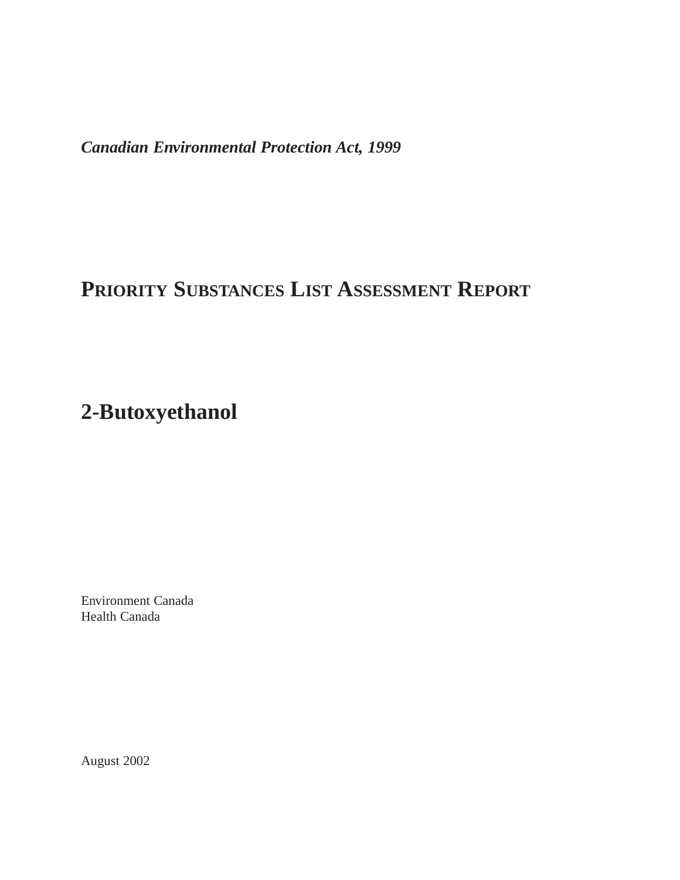*Canadian Environmental Protection Act, 1999*

## **PRIORITY SUBSTANCES LIST ASSESSMENT REPORT**

## **2-Butoxyethanol**

Environment Canada Health Canada

August 2002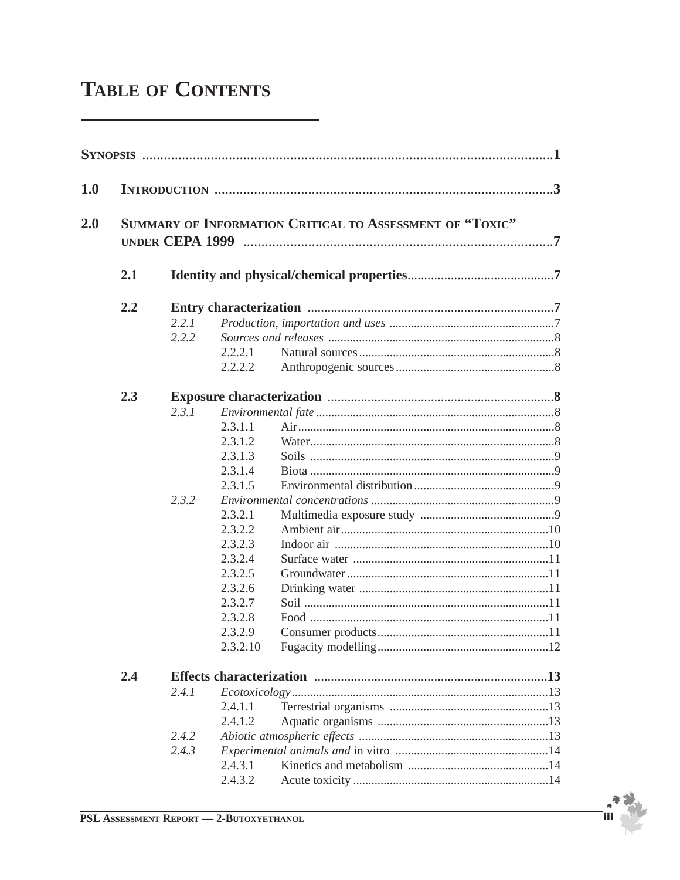# **TABLE OF CONTENTS**

| 1.0 |                                                          |       |          |  |  |  |  |
|-----|----------------------------------------------------------|-------|----------|--|--|--|--|
| 2.0 | SUMMARY OF INFORMATION CRITICAL TO ASSESSMENT OF "TOXIC" |       |          |  |  |  |  |
|     | 2.1                                                      |       |          |  |  |  |  |
|     | 2.2                                                      |       |          |  |  |  |  |
|     |                                                          | 2.2.1 |          |  |  |  |  |
|     |                                                          | 2.2.2 |          |  |  |  |  |
|     |                                                          |       | 2.2.2.1  |  |  |  |  |
|     |                                                          |       | 2.2.2.2  |  |  |  |  |
|     | 2.3                                                      |       |          |  |  |  |  |
|     |                                                          | 2.3.1 |          |  |  |  |  |
|     |                                                          |       | 2.3.1.1  |  |  |  |  |
|     |                                                          |       | 2.3.1.2  |  |  |  |  |
|     |                                                          |       | 2.3.1.3  |  |  |  |  |
|     |                                                          |       | 2.3.1.4  |  |  |  |  |
|     |                                                          |       | 2.3.1.5  |  |  |  |  |
|     |                                                          | 2.3.2 |          |  |  |  |  |
|     |                                                          |       | 2.3.2.1  |  |  |  |  |
|     |                                                          |       | 2.3.2.2  |  |  |  |  |
|     |                                                          |       | 2.3.2.3  |  |  |  |  |
|     |                                                          |       | 2.3.2.4  |  |  |  |  |
|     |                                                          |       | 2.3.2.5  |  |  |  |  |
|     |                                                          |       | 2.3.2.6  |  |  |  |  |
|     |                                                          |       | 2.3.2.7  |  |  |  |  |
|     |                                                          |       | 2.3.2.8  |  |  |  |  |
|     |                                                          |       | 2.3.2.9  |  |  |  |  |
|     |                                                          |       | 2.3.2.10 |  |  |  |  |
|     | 2.4                                                      |       |          |  |  |  |  |
|     |                                                          | 2.4.1 |          |  |  |  |  |
|     |                                                          |       | 2.4.1.1  |  |  |  |  |
|     |                                                          |       | 2.4.1.2  |  |  |  |  |
|     |                                                          | 2.4.2 |          |  |  |  |  |
|     |                                                          | 2.4.3 |          |  |  |  |  |
|     |                                                          |       | 2.4.3.1  |  |  |  |  |
|     |                                                          |       | 2.4.3.2  |  |  |  |  |

`iiil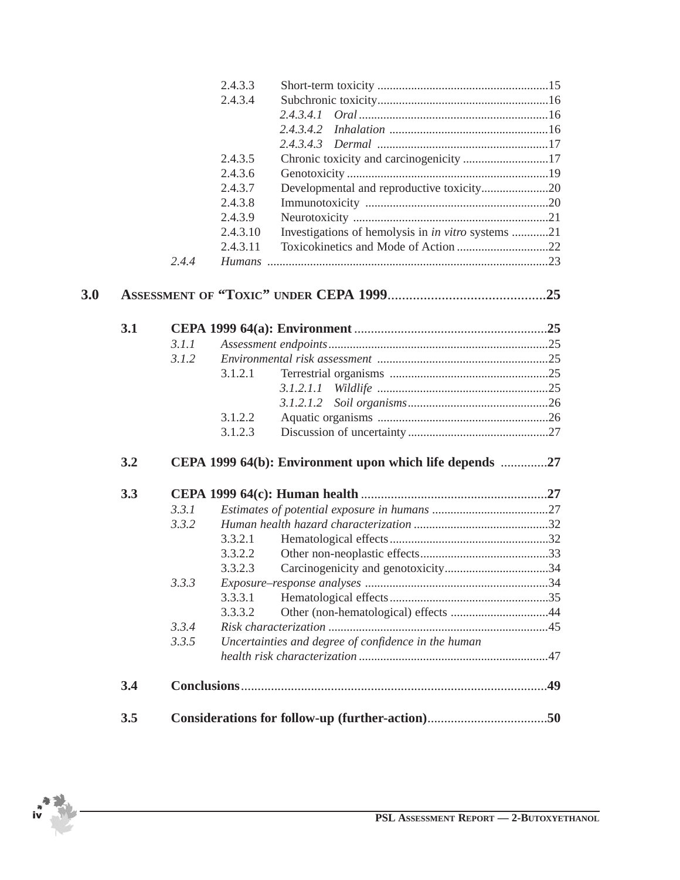|     |     |       | 2.4.3.3  |                                                           |     |  |  |
|-----|-----|-------|----------|-----------------------------------------------------------|-----|--|--|
|     |     |       | 2.4.3.4  |                                                           |     |  |  |
|     |     |       |          | 2,4,3,4,1                                                 |     |  |  |
|     |     |       |          |                                                           |     |  |  |
|     |     |       |          |                                                           |     |  |  |
|     |     |       | 2.4.3.5  | Chronic toxicity and carcinogenicity 17                   |     |  |  |
|     |     |       | 2.4.3.6  |                                                           |     |  |  |
|     |     |       | 2.4.3.7  | Developmental and reproductive toxicity20                 |     |  |  |
|     |     |       | 2.4.3.8  |                                                           |     |  |  |
|     |     |       | 2.4.3.9  |                                                           |     |  |  |
|     |     |       | 2.4.3.10 | Investigations of hemolysis in <i>in vitro</i> systems 21 |     |  |  |
|     |     |       | 2.4.3.11 |                                                           |     |  |  |
|     |     | 2.4.4 |          |                                                           |     |  |  |
| 3.0 |     |       |          |                                                           |     |  |  |
|     |     |       |          |                                                           |     |  |  |
|     | 3.1 |       |          |                                                           |     |  |  |
|     |     | 3.1.1 |          |                                                           |     |  |  |
|     |     | 3.1.2 |          |                                                           |     |  |  |
|     |     |       | 3.1.2.1  |                                                           |     |  |  |
|     |     |       |          | 3.1.2.1.1                                                 |     |  |  |
|     |     |       |          | 3.1.2.1.2                                                 |     |  |  |
|     |     |       | 3.1.2.2  |                                                           |     |  |  |
|     |     |       | 3.1.2.3  |                                                           |     |  |  |
|     | 3.2 |       |          | CEPA 1999 64(b): Environment upon which life depends 27   |     |  |  |
|     | 3.3 |       |          |                                                           |     |  |  |
|     |     | 3.3.1 |          |                                                           |     |  |  |
|     |     | 3.3.2 |          |                                                           |     |  |  |
|     |     |       | 3.3.2.1  |                                                           |     |  |  |
|     |     |       | 3.3.2.2  |                                                           |     |  |  |
|     |     |       | 3.3.2.3  |                                                           |     |  |  |
|     |     | 3.3.3 |          |                                                           |     |  |  |
|     |     |       | 3.3.3.1  |                                                           |     |  |  |
|     |     |       | 3.3.3.2  |                                                           |     |  |  |
|     |     | 3.3.4 |          |                                                           |     |  |  |
|     |     | 3.3.5 |          | Uncertainties and degree of confidence in the human       |     |  |  |
|     |     |       |          |                                                           |     |  |  |
|     | 3.4 |       |          |                                                           | .49 |  |  |
|     | 3.5 |       |          |                                                           |     |  |  |
|     |     |       |          |                                                           |     |  |  |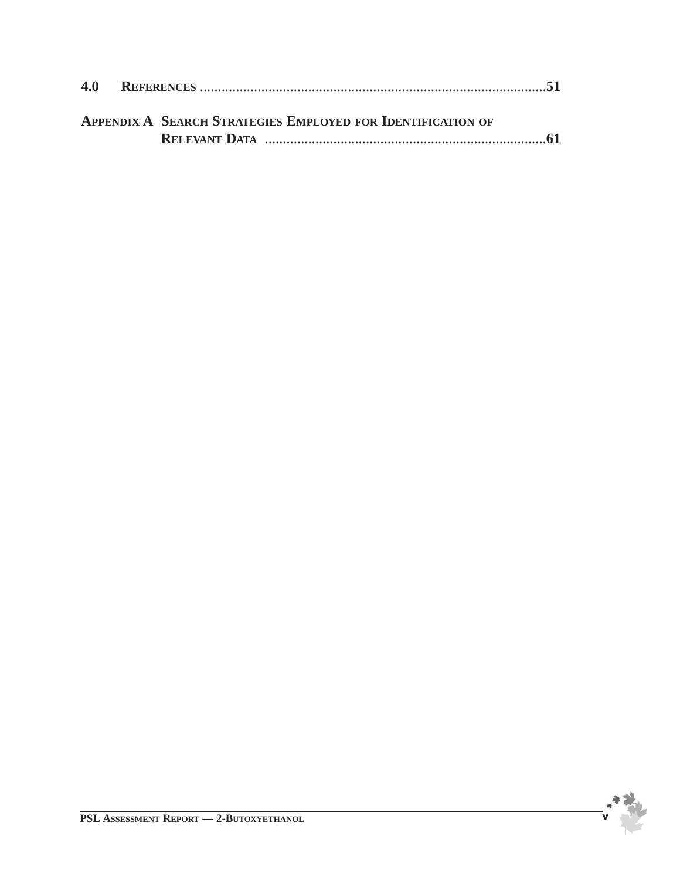|  | <b>APPENDIX A SEARCH STRATEGIES EMPLOYED FOR IDENTIFICATION OF</b> |  |
|--|--------------------------------------------------------------------|--|
|  |                                                                    |  |

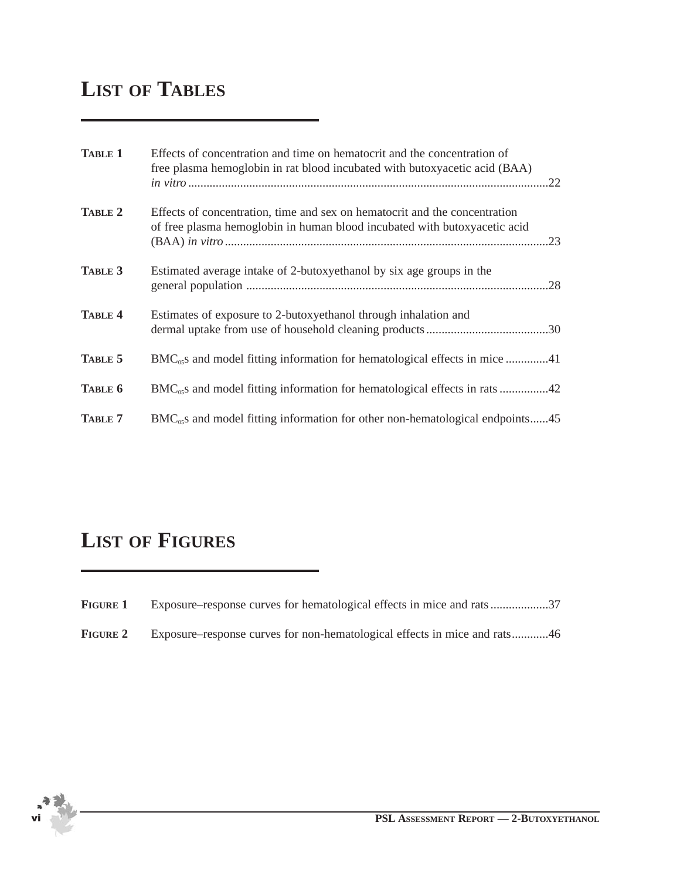## **LIST OF TABLES**

| <b>TABLE 1</b> | Effects of concentration and time on hematocrit and the concentration of<br>free plasma hemoglobin in rat blood incubated with butoxyacetic acid (BAA)<br>.22 |
|----------------|---------------------------------------------------------------------------------------------------------------------------------------------------------------|
| TABLE 2        | Effects of concentration, time and sex on hematocrit and the concentration<br>of free plasma hemoglobin in human blood incubated with butoxyacetic acid       |
| TABLE 3        | Estimated average intake of 2-butoxyethanol by six age groups in the                                                                                          |
| <b>TABLE 4</b> | Estimates of exposure to 2-butoxyethanol through inhalation and                                                                                               |
| TABLE 5        |                                                                                                                                                               |
| TABLE 6        | BMC <sub>05</sub> s and model fitting information for hematological effects in rats 42                                                                        |
| TABLE 7        | $BMC_{0.05}$ and model fitting information for other non-hematological endpoints45                                                                            |

## **LIST OF FIGURES**

| <b>FIGURE 1</b> |  |  | Exposure–response curves for hematological effects in mice and rats37 |
|-----------------|--|--|-----------------------------------------------------------------------|
|-----------------|--|--|-----------------------------------------------------------------------|

**FIGURE 2** Exposure–response curves for non-hematological effects in mice and rats............46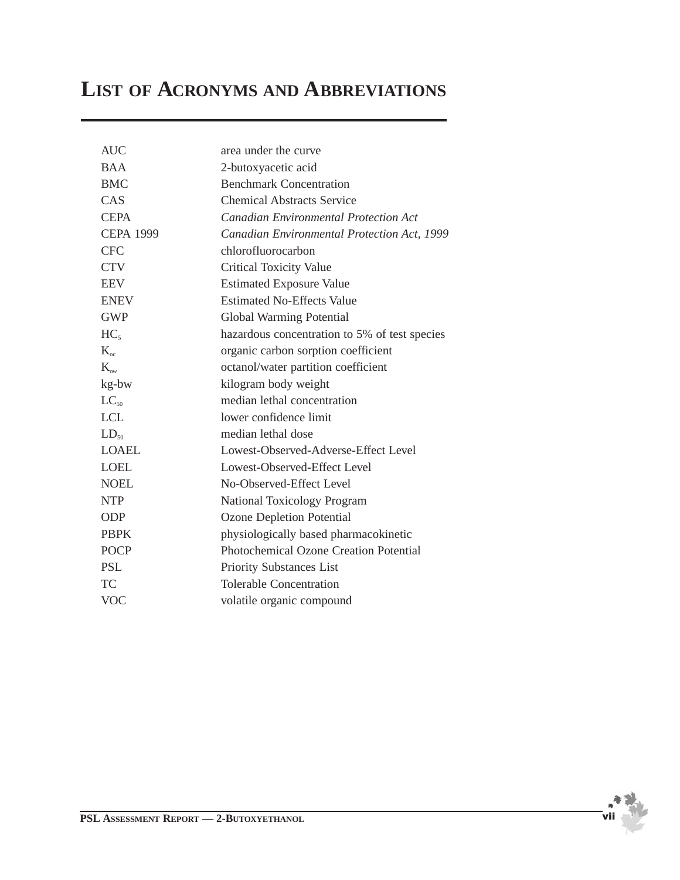## **LIST OF ACRONYMS AND ABBREVIATIONS**

| <b>AUC</b>       | area under the curve                          |
|------------------|-----------------------------------------------|
| <b>BAA</b>       | 2-butoxyacetic acid                           |
| <b>BMC</b>       | <b>Benchmark Concentration</b>                |
| CAS              | <b>Chemical Abstracts Service</b>             |
| <b>CEPA</b>      | <b>Canadian Environmental Protection Act</b>  |
| <b>CEPA 1999</b> | Canadian Environmental Protection Act, 1999   |
| <b>CFC</b>       | chlorofluorocarbon                            |
| <b>CTV</b>       | <b>Critical Toxicity Value</b>                |
| <b>EEV</b>       | <b>Estimated Exposure Value</b>               |
| <b>ENEV</b>      | <b>Estimated No-Effects Value</b>             |
| <b>GWP</b>       | Global Warming Potential                      |
| HC <sub>5</sub>  | hazardous concentration to 5% of test species |
| $K_{\alpha}$     | organic carbon sorption coefficient           |
| $K_{\infty}$     | octanol/water partition coefficient           |
| kg-bw            | kilogram body weight                          |
| $LC_{50}$        | median lethal concentration                   |
| <b>LCL</b>       | lower confidence limit                        |
| $LD_{50}$        | median lethal dose                            |
| <b>LOAEL</b>     | Lowest-Observed-Adverse-Effect Level          |
| <b>LOEL</b>      | Lowest-Observed-Effect Level                  |
| <b>NOEL</b>      | No-Observed-Effect Level                      |
| <b>NTP</b>       | <b>National Toxicology Program</b>            |
| <b>ODP</b>       | <b>Ozone Depletion Potential</b>              |
| <b>PBPK</b>      | physiologically based pharmacokinetic         |
| <b>POCP</b>      | <b>Photochemical Ozone Creation Potential</b> |
| <b>PSL</b>       | <b>Priority Substances List</b>               |
| <b>TC</b>        | <b>Tolerable Concentration</b>                |
| <b>VOC</b>       | volatile organic compound                     |
|                  |                                               |

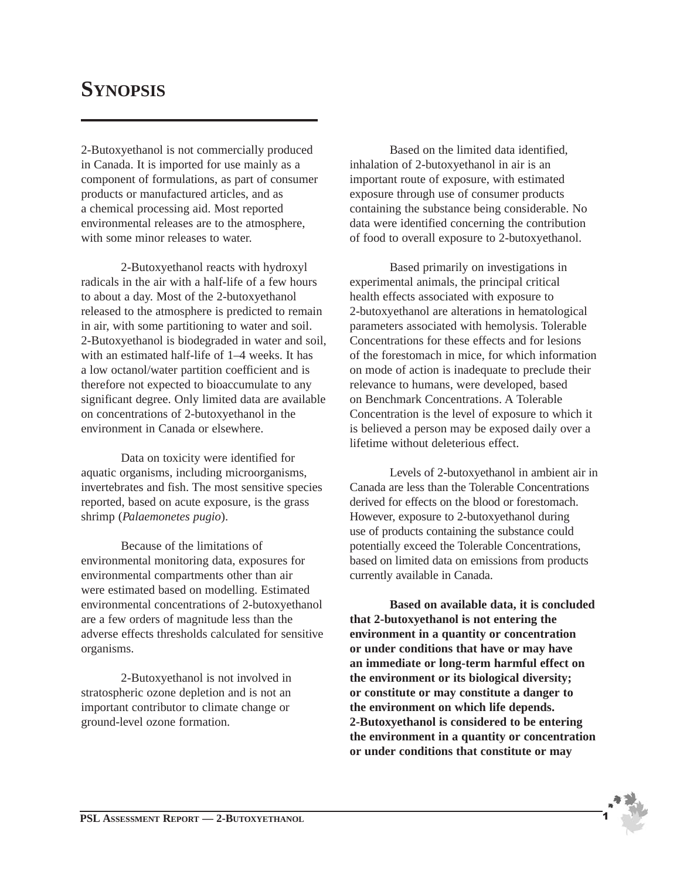## **SYNOPSIS**

2-Butoxyethanol is not commercially produced in Canada. It is imported for use mainly as a component of formulations, as part of consumer products or manufactured articles, and as a chemical processing aid. Most reported environmental releases are to the atmosphere, with some minor releases to water.

2-Butoxyethanol reacts with hydroxyl radicals in the air with a half-life of a few hours to about a day. Most of the 2-butoxyethanol released to the atmosphere is predicted to remain in air, with some partitioning to water and soil. 2-Butoxyethanol is biodegraded in water and soil, with an estimated half-life of 1–4 weeks. It has a low octanol/water partition coefficient and is therefore not expected to bioaccumulate to any significant degree. Only limited data are available on concentrations of 2-butoxyethanol in the environment in Canada or elsewhere.

Data on toxicity were identified for aquatic organisms, including microorganisms, invertebrates and fish. The most sensitive species reported, based on acute exposure, is the grass shrimp (*Palaemonetes pugio*).

Because of the limitations of environmental monitoring data, exposures for environmental compartments other than air were estimated based on modelling. Estimated environmental concentrations of 2-butoxyethanol are a few orders of magnitude less than the adverse effects thresholds calculated for sensitive organisms.

2-Butoxyethanol is not involved in stratospheric ozone depletion and is not an important contributor to climate change or ground-level ozone formation.

Based on the limited data identified, inhalation of 2-butoxyethanol in air is an important route of exposure, with estimated exposure through use of consumer products containing the substance being considerable. No data were identified concerning the contribution of food to overall exposure to 2-butoxyethanol.

Based primarily on investigations in experimental animals, the principal critical health effects associated with exposure to 2-butoxyethanol are alterations in hematological parameters associated with hemolysis. Tolerable Concentrations for these effects and for lesions of the forestomach in mice, for which information on mode of action is inadequate to preclude their relevance to humans, were developed, based on Benchmark Concentrations. A Tolerable Concentration is the level of exposure to which it is believed a person may be exposed daily over a lifetime without deleterious effect.

Levels of 2-butoxyethanol in ambient air in Canada are less than the Tolerable Concentrations derived for effects on the blood or forestomach. However, exposure to 2-butoxyethanol during use of products containing the substance could potentially exceed the Tolerable Concentrations, based on limited data on emissions from products currently available in Canada.

**Based on available data, it is concluded that 2-butoxyethanol is not entering the environment in a quantity or concentration or under conditions that have or may have an immediate or long-term harmful effect on the environment or its biological diversity; or constitute or may constitute a danger to the environment on which life depends. 2-Butoxyethanol is considered to be entering the environment in a quantity or concentration or under conditions that constitute or may**

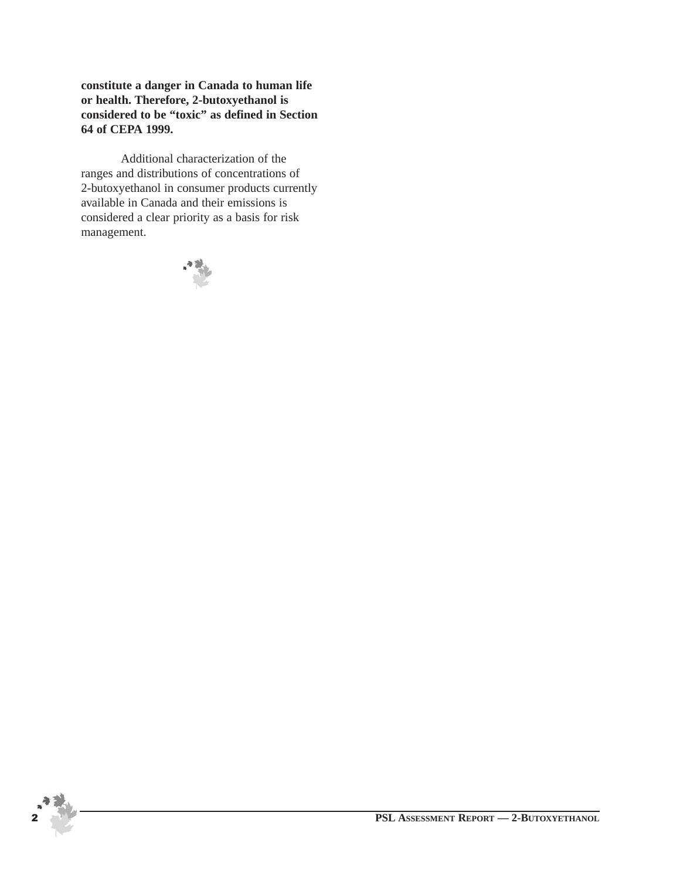**constitute a danger in Canada to human life or health. Therefore, 2-butoxyethanol is considered to be "toxic" as defined in Section 64 of CEPA 1999.**

Additional characterization of the ranges and distributions of concentrations of 2-butoxyethanol in consumer products currently available in Canada and their emissions is considered a clear priority as a basis for risk management.



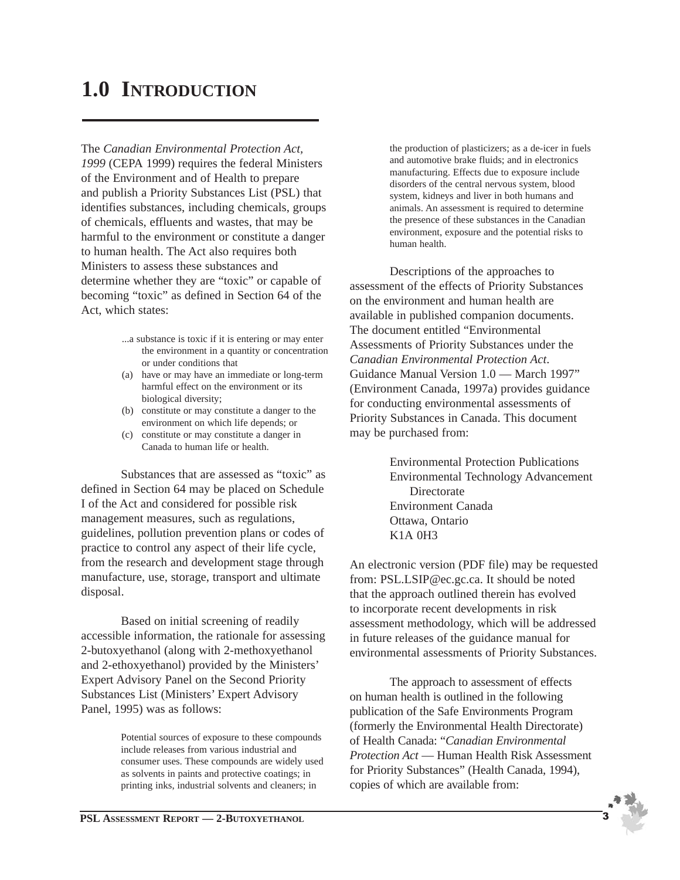## **1.0 INTRODUCTION**

The *Canadian Environmental Protection Act, 1999* (CEPA 1999) requires the federal Ministers of the Environment and of Health to prepare and publish a Priority Substances List (PSL) that identifies substances, including chemicals, groups of chemicals, effluents and wastes, that may be harmful to the environment or constitute a danger to human health. The Act also requires both Ministers to assess these substances and determine whether they are "toxic" or capable of becoming "toxic" as defined in Section 64 of the Act, which states:

- ...a substance is toxic if it is entering or may enter the environment in a quantity or concentration or under conditions that
- (a) have or may have an immediate or long-term harmful effect on the environment or its biological diversity;
- (b) constitute or may constitute a danger to the environment on which life depends; or
- (c) constitute or may constitute a danger in Canada to human life or health.

Substances that are assessed as "toxic" as defined in Section 64 may be placed on Schedule I of the Act and considered for possible risk management measures, such as regulations, guidelines, pollution prevention plans or codes of practice to control any aspect of their life cycle, from the research and development stage through manufacture, use, storage, transport and ultimate disposal.

Based on initial screening of readily accessible information, the rationale for assessing 2-butoxyethanol (along with 2-methoxyethanol and 2-ethoxyethanol) provided by the Ministers' Expert Advisory Panel on the Second Priority Substances List (Ministers' Expert Advisory Panel, 1995) was as follows:

> Potential sources of exposure to these compounds include releases from various industrial and consumer uses. These compounds are widely used as solvents in paints and protective coatings; in printing inks, industrial solvents and cleaners; in

the production of plasticizers; as a de-icer in fuels and automotive brake fluids; and in electronics manufacturing. Effects due to exposure include disorders of the central nervous system, blood system, kidneys and liver in both humans and animals. An assessment is required to determine the presence of these substances in the Canadian environment, exposure and the potential risks to human health.

Descriptions of the approaches to assessment of the effects of Priority Substances on the environment and human health are available in published companion documents. The document entitled "Environmental Assessments of Priority Substances under the *Canadian Environmental Protection Act*. Guidance Manual Version 1.0 — March 1997" (Environment Canada, 1997a) provides guidance for conducting environmental assessments of Priority Substances in Canada. This document may be purchased from:

> Environmental Protection Publications Environmental Technology Advancement **Directorate** Environment Canada Ottawa, Ontario K1A 0H3

An electronic version (PDF file) may be requested from: PSL.LSIP@ec.gc.ca. It should be noted that the approach outlined therein has evolved to incorporate recent developments in risk assessment methodology, which will be addressed in future releases of the guidance manual for environmental assessments of Priority Substances.

The approach to assessment of effects on human health is outlined in the following publication of the Safe Environments Program (formerly the Environmental Health Directorate) of Health Canada: "*Canadian Environmental Protection Act* — Human Health Risk Assessment for Priority Substances" (Health Canada, 1994), copies of which are available from:

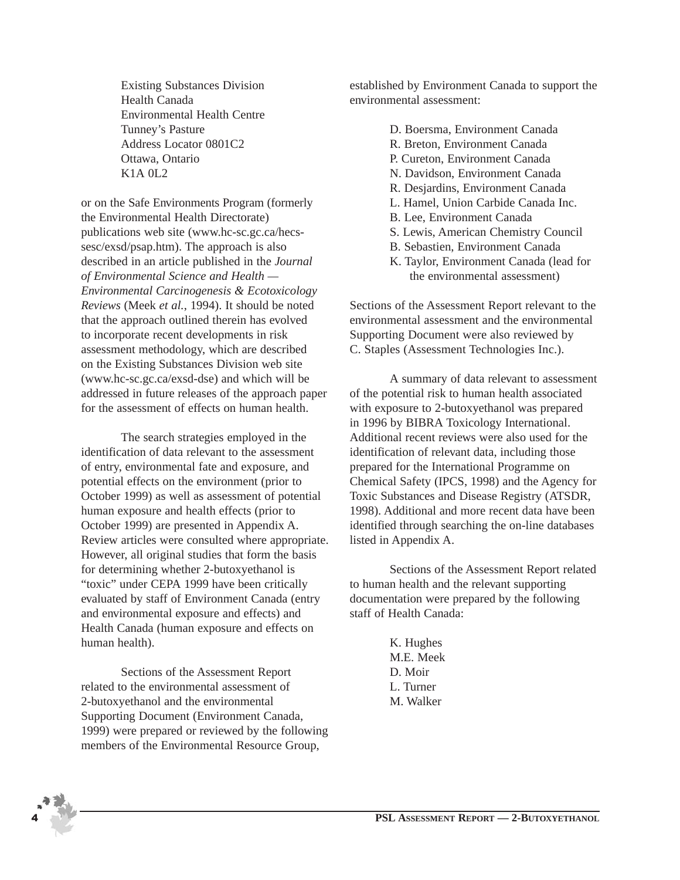Existing Substances Division Health Canada Environmental Health Centre Tunney's Pasture Address Locator 0801C2 Ottawa, Ontario K1A 0L2

or on the Safe Environments Program (formerly the Environmental Health Directorate) publications web site (www.hc-sc.gc.ca/hecssesc/exsd/psap.htm). The approach is also described in an article published in the *Journal of Environmental Science and Health — Environmental Carcinogenesis & Ecotoxicology Reviews* (Meek *et al.*, 1994). It should be noted that the approach outlined therein has evolved to incorporate recent developments in risk assessment methodology, which are described on the Existing Substances Division web site (www.hc-sc.gc.ca/exsd-dse) and which will be addressed in future releases of the approach paper for the assessment of effects on human health.

The search strategies employed in the identification of data relevant to the assessment of entry, environmental fate and exposure, and potential effects on the environment (prior to October 1999) as well as assessment of potential human exposure and health effects (prior to October 1999) are presented in Appendix A. Review articles were consulted where appropriate. However, all original studies that form the basis for determining whether 2-butoxyethanol is "toxic" under CEPA 1999 have been critically evaluated by staff of Environment Canada (entry and environmental exposure and effects) and Health Canada (human exposure and effects on human health).

Sections of the Assessment Report related to the environmental assessment of 2-butoxyethanol and the environmental Supporting Document (Environment Canada, 1999) were prepared or reviewed by the following members of the Environmental Resource Group,

established by Environment Canada to support the environmental assessment:

- D. Boersma, Environment Canada
- R. Breton, Environment Canada
- P. Cureton, Environment Canada
- N. Davidson, Environment Canada
- R. Desjardins, Environment Canada
- L. Hamel, Union Carbide Canada Inc.
- B. Lee, Environment Canada
- S. Lewis, American Chemistry Council
- B. Sebastien, Environment Canada
- K. Taylor, Environment Canada (lead for the environmental assessment)

Sections of the Assessment Report relevant to the environmental assessment and the environmental Supporting Document were also reviewed by C. Staples (Assessment Technologies Inc.).

A summary of data relevant to assessment of the potential risk to human health associated with exposure to 2-butoxyethanol was prepared in 1996 by BIBRA Toxicology International. Additional recent reviews were also used for the identification of relevant data, including those prepared for the International Programme on Chemical Safety (IPCS, 1998) and the Agency for Toxic Substances and Disease Registry (ATSDR, 1998). Additional and more recent data have been identified through searching the on-line databases listed in Appendix A.

Sections of the Assessment Report related to human health and the relevant supporting documentation were prepared by the following staff of Health Canada:

> K. Hughes M.E. Meek D. Moir L. Turner M. Walker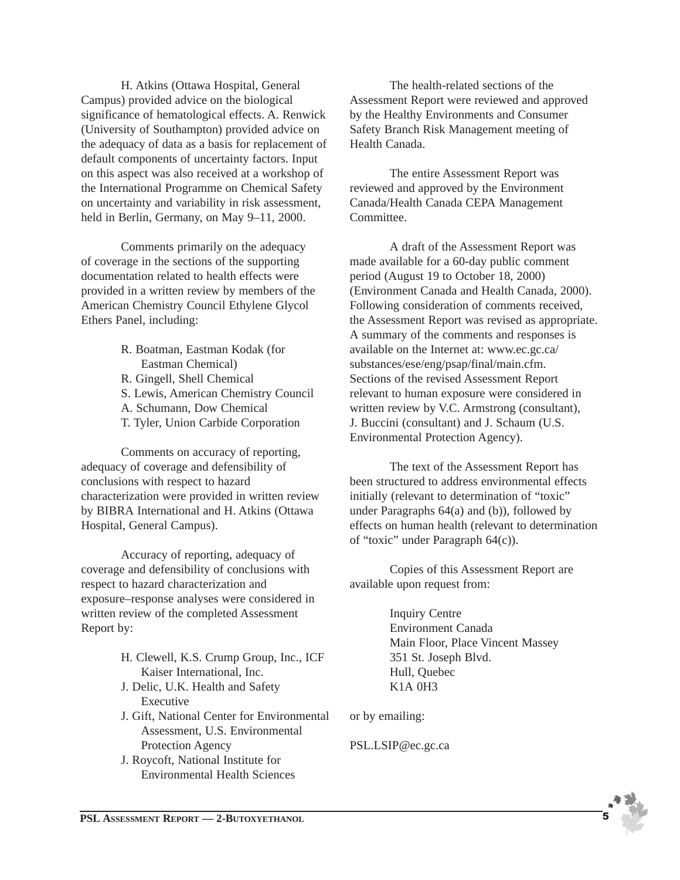H. Atkins (Ottawa Hospital, General Campus) provided advice on the biological significance of hematological effects. A. Renwick (University of Southampton) provided advice on the adequacy of data as a basis for replacement of default components of uncertainty factors. Input on this aspect was also received at a workshop of the International Programme on Chemical Safety on uncertainty and variability in risk assessment, held in Berlin, Germany, on May 9–11, 2000.

Comments primarily on the adequacy of coverage in the sections of the supporting documentation related to health effects were provided in a written review by members of the American Chemistry Council Ethylene Glycol Ethers Panel, including:

> R. Boatman, Eastman Kodak (for Eastman Chemical) R. Gingell, Shell Chemical S. Lewis, American Chemistry Council A. Schumann, Dow Chemical T. Tyler, Union Carbide Corporation

Comments on accuracy of reporting, adequacy of coverage and defensibility of conclusions with respect to hazard characterization were provided in written review by BIBRA International and H. Atkins (Ottawa Hospital, General Campus).

Accuracy of reporting, adequacy of coverage and defensibility of conclusions with respect to hazard characterization and exposure–response analyses were considered in written review of the completed Assessment Report by:

- H. Clewell, K.S. Crump Group, Inc., ICF Kaiser International, Inc.
- J. Delic, U.K. Health and Safety Executive
- J. Gift, National Center for Environmental Assessment, U.S. Environmental Protection Agency
- J. Roycoft, National Institute for Environmental Health Sciences

The health-related sections of the Assessment Report were reviewed and approved by the Healthy Environments and Consumer Safety Branch Risk Management meeting of Health Canada.

The entire Assessment Report was reviewed and approved by the Environment Canada/Health Canada CEPA Management Committee.

A draft of the Assessment Report was made available for a 60-day public comment period (August 19 to October 18, 2000) (Environment Canada and Health Canada, 2000). Following consideration of comments received, the Assessment Report was revised as appropriate. A summary of the comments and responses is available on the Internet at: www.ec.gc.ca/ substances/ese/eng/psap/final/main.cfm. Sections of the revised Assessment Report relevant to human exposure were considered in written review by V.C. Armstrong (consultant), J. Buccini (consultant) and J. Schaum (U.S. Environmental Protection Agency).

The text of the Assessment Report has been structured to address environmental effects initially (relevant to determination of "toxic" under Paragraphs 64(a) and (b)), followed by effects on human health (relevant to determination of "toxic" under Paragraph 64(c)).

Copies of this Assessment Report are available upon request from:

> Inquiry Centre Environment Canada Main Floor, Place Vincent Massey 351 St. Joseph Blvd. Hull, Quebec K1A 0H3

or by emailing:

PSL.LSIP@ec.gc.ca

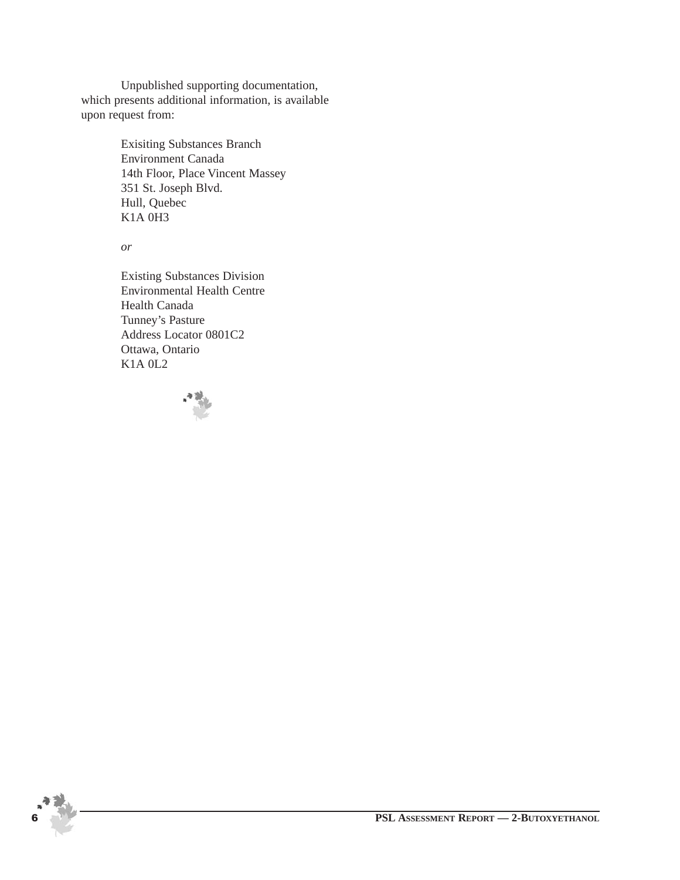Unpublished supporting documentation, which presents additional information, is available upon request from:

> Exisiting Substances Branch Environment Canada 14th Floor, Place Vincent Massey 351 St. Joseph Blvd. Hull, Quebec K1A 0H3

*or*

Existing Substances Division Environmental Health Centre Health Canada Tunney's Pasture Address Locator 0801C2 Ottawa, Ontario K1A 0L2



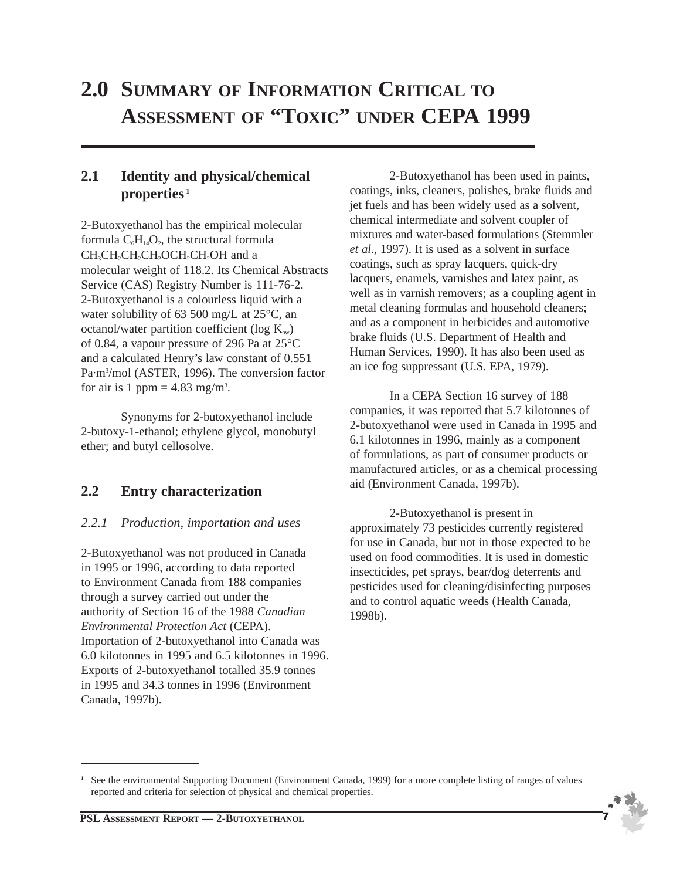## **2.0 SUMMARY OF INFORMATION CRITICAL TO ASSESSMENT OF "TOXIC" UNDER CEPA 1999**

## **2.1 Identity and physical/chemical properties <sup>1</sup>**

2-Butoxyethanol has the empirical molecular formula  $C_6H_{14}O_2$ , the structural formula CH<sub>3</sub>CH<sub>2</sub>CH<sub>2</sub>CH<sub>2</sub>CH<sub>2</sub>CH<sub>2</sub>OH and a molecular weight of 118.2. Its Chemical Abstracts Service (CAS) Registry Number is 111-76-2. 2-Butoxyethanol is a colourless liquid with a water solubility of 63 500 mg/L at 25°C, an octanol/water partition coefficient (log  $K_{ow}$ ) of 0.84, a vapour pressure of 296 Pa at 25°C and a calculated Henry's law constant of 0.551 Pa·m3 /mol (ASTER, 1996). The conversion factor for air is 1 ppm =  $4.83$  mg/m<sup>3</sup>.

Synonyms for 2-butoxyethanol include 2-butoxy-1-ethanol; ethylene glycol, monobutyl ether; and butyl cellosolve.

## **2.2 Entry characterization**

#### *2.2.1 Production, importation and uses*

2-Butoxyethanol was not produced in Canada in 1995 or 1996, according to data reported to Environment Canada from 188 companies through a survey carried out under the authority of Section 16 of the 1988 *Canadian Environmental Protection Act* (CEPA). Importation of 2-butoxyethanol into Canada was 6.0 kilotonnes in 1995 and 6.5 kilotonnes in 1996. Exports of 2-butoxyethanol totalled 35.9 tonnes in 1995 and 34.3 tonnes in 1996 (Environment Canada, 1997b).

2-Butoxyethanol has been used in paints, coatings, inks, cleaners, polishes, brake fluids and jet fuels and has been widely used as a solvent, chemical intermediate and solvent coupler of mixtures and water-based formulations (Stemmler *et al.*, 1997). It is used as a solvent in surface coatings, such as spray lacquers, quick-dry lacquers, enamels, varnishes and latex paint, as well as in varnish removers; as a coupling agent in metal cleaning formulas and household cleaners; and as a component in herbicides and automotive brake fluids (U.S. Department of Health and Human Services, 1990). It has also been used as an ice fog suppressant (U.S. EPA, 1979).

In a CEPA Section 16 survey of 188 companies, it was reported that 5.7 kilotonnes of 2-butoxyethanol were used in Canada in 1995 and 6.1 kilotonnes in 1996, mainly as a component of formulations, as part of consumer products or manufactured articles, or as a chemical processing aid (Environment Canada, 1997b).

2-Butoxyethanol is present in approximately 73 pesticides currently registered for use in Canada, but not in those expected to be used on food commodities. It is used in domestic insecticides, pet sprays, bear/dog deterrents and pesticides used for cleaning/disinfecting purposes and to control aquatic weeds (Health Canada, 1998b).

**<sup>1</sup>** See the environmental Supporting Document (Environment Canada, 1999) for a more complete listing of ranges of values reported and criteria for selection of physical and chemical properties.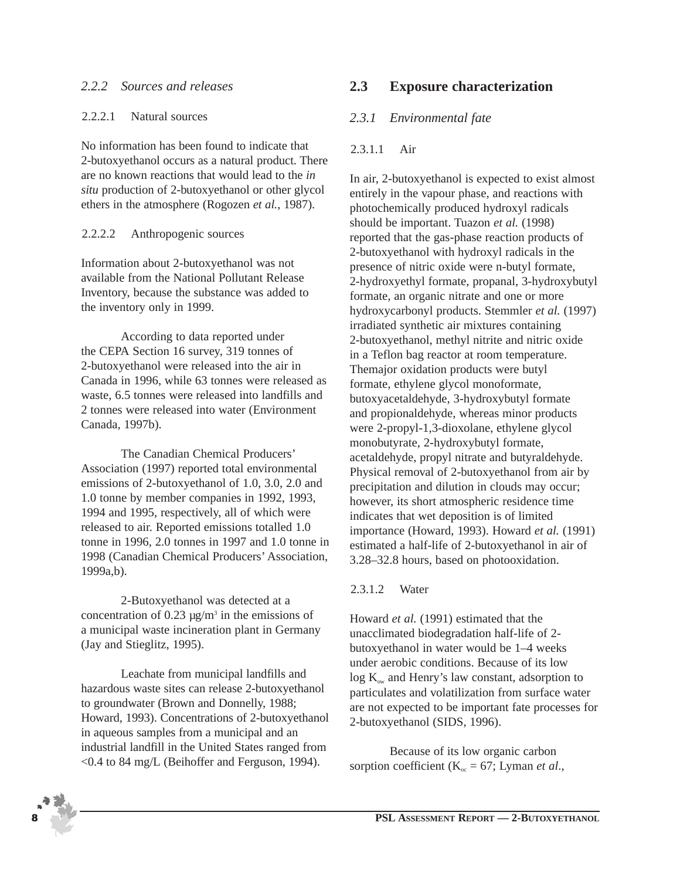#### *2.2.2 Sources and releases*

#### 2.2.2.1 Natural sources

No information has been found to indicate that 2-butoxyethanol occurs as a natural product. There are no known reactions that would lead to the *in situ* production of 2-butoxyethanol or other glycol ethers in the atmosphere (Rogozen *et al.*, 1987).

#### 2.2.2.2 Anthropogenic sources

Information about 2-butoxyethanol was not available from the National Pollutant Release Inventory, because the substance was added to the inventory only in 1999.

According to data reported under the CEPA Section 16 survey, 319 tonnes of 2-butoxyethanol were released into the air in Canada in 1996, while 63 tonnes were released as waste, 6.5 tonnes were released into landfills and 2 tonnes were released into water (Environment Canada, 1997b).

The Canadian Chemical Producers' Association (1997) reported total environmental emissions of 2-butoxyethanol of 1.0, 3.0, 2.0 and 1.0 tonne by member companies in 1992, 1993, 1994 and 1995, respectively, all of which were released to air. Reported emissions totalled 1.0 tonne in 1996, 2.0 tonnes in 1997 and 1.0 tonne in 1998 (Canadian Chemical Producers' Association, 1999a,b).

2-Butoxyethanol was detected at a concentration of 0.23  $\mu$ g/m<sup>3</sup> in the emissions of a municipal waste incineration plant in Germany (Jay and Stieglitz, 1995).

Leachate from municipal landfills and hazardous waste sites can release 2-butoxyethanol to groundwater (Brown and Donnelly, 1988; Howard, 1993). Concentrations of 2-butoxyethanol in aqueous samples from a municipal and an industrial landfill in the United States ranged from <0.4 to 84 mg/L (Beihoffer and Ferguson, 1994).

## **2.3 Exposure characterization**

## *2.3.1 Environmental fate*

#### 2.3.1.1 Air

In air, 2-butoxyethanol is expected to exist almost entirely in the vapour phase, and reactions with photochemically produced hydroxyl radicals should be important. Tuazon *et al.* (1998) reported that the gas-phase reaction products of 2-butoxyethanol with hydroxyl radicals in the presence of nitric oxide were n-butyl formate, 2-hydroxyethyl formate, propanal, 3-hydroxybutyl formate, an organic nitrate and one or more hydroxycarbonyl products. Stemmler *et al.* (1997) irradiated synthetic air mixtures containing 2-butoxyethanol, methyl nitrite and nitric oxide in a Teflon bag reactor at room temperature. Themajor oxidation products were butyl formate, ethylene glycol monoformate, butoxyacetaldehyde, 3-hydroxybutyl formate and propionaldehyde, whereas minor products were 2-propyl-1,3-dioxolane, ethylene glycol monobutyrate, 2-hydroxybutyl formate, acetaldehyde, propyl nitrate and butyraldehyde. Physical removal of 2-butoxyethanol from air by precipitation and dilution in clouds may occur; however, its short atmospheric residence time indicates that wet deposition is of limited importance (Howard, 1993). Howard *et al.* (1991) estimated a half-life of 2-butoxyethanol in air of 3.28–32.8 hours, based on photooxidation.

#### 2.3.1.2 Water

Howard *et al.* (1991) estimated that the unacclimated biodegradation half-life of 2 butoxyethanol in water would be 1–4 weeks under aerobic conditions. Because of its low  $log K<sub>ow</sub>$  and Henry's law constant, adsorption to particulates and volatilization from surface water are not expected to be important fate processes for 2-butoxyethanol (SIDS, 1996).

Because of its low organic carbon sorption coefficient ( $K_{oc} = 67$ ; Lyman *et al.*,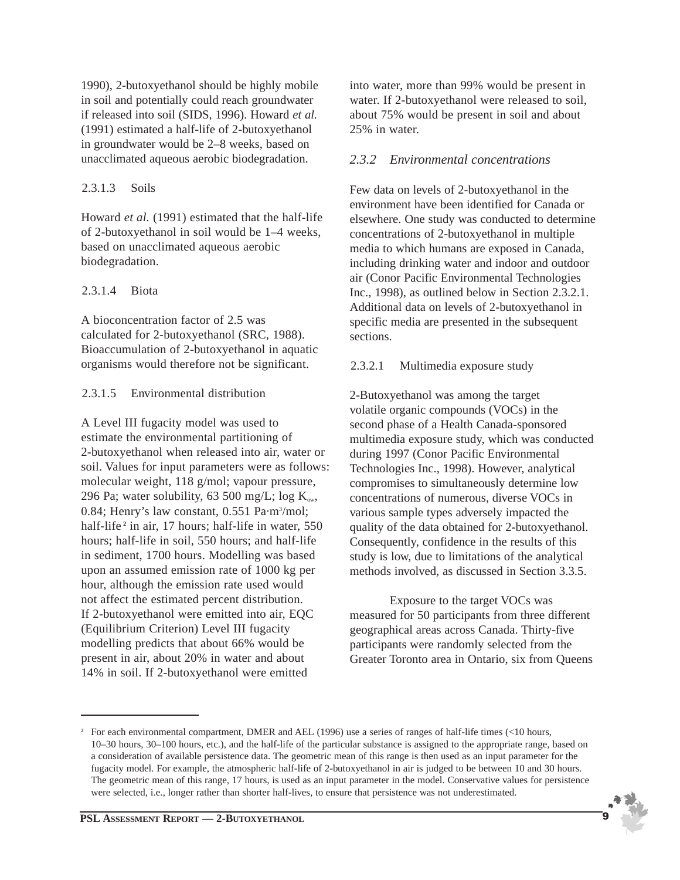1990), 2-butoxyethanol should be highly mobile in soil and potentially could reach groundwater if released into soil (SIDS, 1996). Howard *et al.* (1991) estimated a half-life of 2-butoxyethanol in groundwater would be 2–8 weeks, based on unacclimated aqueous aerobic biodegradation.

#### 2.3.1.3 Soils

Howard *et al.* (1991) estimated that the half-life of 2-butoxyethanol in soil would be 1–4 weeks, based on unacclimated aqueous aerobic biodegradation.

#### 2.3.1.4 Biota

A bioconcentration factor of 2.5 was calculated for 2-butoxyethanol (SRC, 1988). Bioaccumulation of 2-butoxyethanol in aquatic organisms would therefore not be significant.

#### 2.3.1.5 Environmental distribution

A Level III fugacity model was used to estimate the environmental partitioning of 2-butoxyethanol when released into air, water or soil. Values for input parameters were as follows: molecular weight, 118 g/mol; vapour pressure, 296 Pa; water solubility, 63 500 mg/L; log  $K_{ow}$ , 0.84; Henry's law constant, 0.551 Pa·m<sup>3</sup>/mol; half-life<sup>2</sup> in air, 17 hours; half-life in water, 550 hours; half-life in soil, 550 hours; and half-life in sediment, 1700 hours. Modelling was based upon an assumed emission rate of 1000 kg per hour, although the emission rate used would not affect the estimated percent distribution. If 2-butoxyethanol were emitted into air, EQC (Equilibrium Criterion) Level III fugacity modelling predicts that about 66% would be present in air, about 20% in water and about 14% in soil. If 2-butoxyethanol were emitted

into water, more than 99% would be present in water. If 2-butoxyethanol were released to soil, about 75% would be present in soil and about 25% in water.

#### *2.3.2 Environmental concentrations*

Few data on levels of 2-butoxyethanol in the environment have been identified for Canada or elsewhere. One study was conducted to determine concentrations of 2-butoxyethanol in multiple media to which humans are exposed in Canada, including drinking water and indoor and outdoor air (Conor Pacific Environmental Technologies Inc., 1998), as outlined below in Section 2.3.2.1. Additional data on levels of 2-butoxyethanol in specific media are presented in the subsequent sections.

#### 2.3.2.1 Multimedia exposure study

2-Butoxyethanol was among the target volatile organic compounds (VOCs) in the second phase of a Health Canada-sponsored multimedia exposure study, which was conducted during 1997 (Conor Pacific Environmental Technologies Inc., 1998). However, analytical compromises to simultaneously determine low concentrations of numerous, diverse VOCs in various sample types adversely impacted the quality of the data obtained for 2-butoxyethanol. Consequently, confidence in the results of this study is low, due to limitations of the analytical methods involved, as discussed in Section 3.3.5.

Exposure to the target VOCs was measured for 50 participants from three different geographical areas across Canada. Thirty-five participants were randomly selected from the Greater Toronto area in Ontario, six from Queens



<sup>&</sup>lt;sup>2</sup> For each environmental compartment, DMER and AEL (1996) use a series of ranges of half-life times (<10 hours, 10–30 hours, 30–100 hours, etc.), and the half-life of the particular substance is assigned to the appropriate range, based on a consideration of available persistence data. The geometric mean of this range is then used as an input parameter for the fugacity model. For example, the atmospheric half-life of 2-butoxyethanol in air is judged to be between 10 and 30 hours. The geometric mean of this range, 17 hours, is used as an input parameter in the model. Conservative values for persistence were selected, i.e., longer rather than shorter half-lives, to ensure that persistence was not underestimated.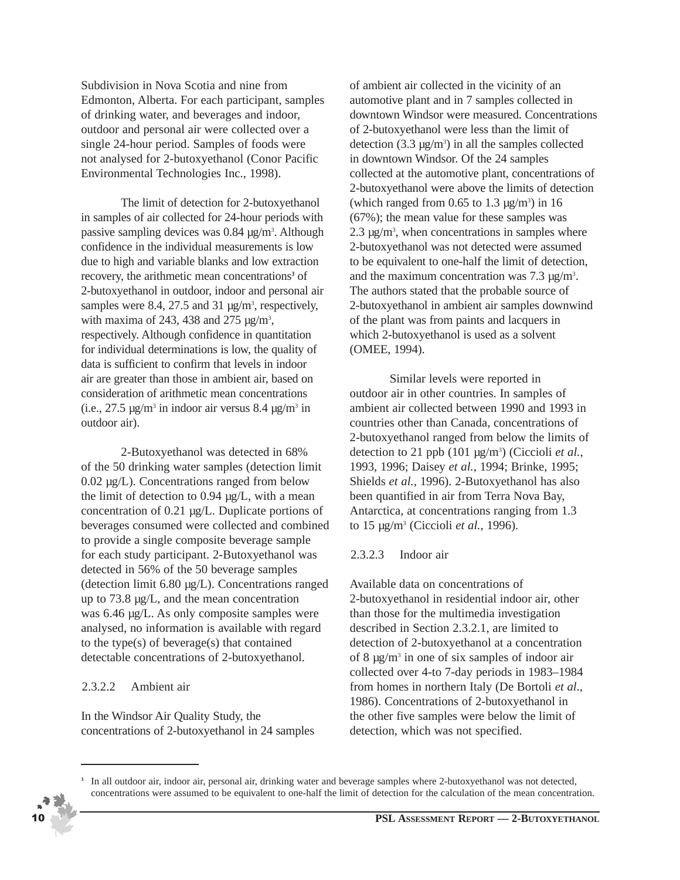Subdivision in Nova Scotia and nine from Edmonton, Alberta. For each participant, samples of drinking water, and beverages and indoor, outdoor and personal air were collected over a single 24-hour period. Samples of foods were not analysed for 2-butoxyethanol (Conor Pacific Environmental Technologies Inc., 1998).

The limit of detection for 2-butoxyethanol in samples of air collected for 24-hour periods with passive sampling devices was 0.84 µg/m<sup>3</sup>. Although confidence in the individual measurements is low due to high and variable blanks and low extraction recovery, the arithmetic mean concentrations**<sup>3</sup>** of 2-butoxyethanol in outdoor, indoor and personal air samples were 8.4, 27.5 and 31  $\mu$ g/m<sup>3</sup>, respectively, with maxima of 243, 438 and 275  $\mu$ g/m<sup>3</sup>, respectively. Although confidence in quantitation for individual determinations is low, the quality of data is sufficient to confirm that levels in indoor air are greater than those in ambient air, based on consideration of arithmetic mean concentrations (i.e.,  $27.5 \text{ µg/m}^3$  in indoor air versus  $8.4 \text{ µg/m}^3$  in outdoor air).

2-Butoxyethanol was detected in 68% of the 50 drinking water samples (detection limit 0.02 µg/L). Concentrations ranged from below the limit of detection to 0.94 µg/L, with a mean concentration of 0.21 µg/L. Duplicate portions of beverages consumed were collected and combined to provide a single composite beverage sample for each study participant. 2-Butoxyethanol was detected in 56% of the 50 beverage samples (detection limit 6.80 µg/L). Concentrations ranged up to 73.8 µg/L, and the mean concentration was 6.46 µg/L. As only composite samples were analysed, no information is available with regard to the type(s) of beverage(s) that contained detectable concentrations of 2-butoxyethanol.

#### 2.3.2.2 Ambient air

In the Windsor Air Quality Study, the concentrations of 2-butoxyethanol in 24 samples of ambient air collected in the vicinity of an automotive plant and in 7 samples collected in downtown Windsor were measured. Concentrations of 2-butoxyethanol were less than the limit of detection  $(3.3 \text{ µg/m}^3)$  in all the samples collected in downtown Windsor. Of the 24 samples collected at the automotive plant, concentrations of 2-butoxyethanol were above the limits of detection (which ranged from  $0.65$  to  $1.3 \mu g/m^3$ ) in 16 (67%); the mean value for these samples was 2.3  $\mu$ g/m<sup>3</sup>, when concentrations in samples where 2-butoxyethanol was not detected were assumed to be equivalent to one-half the limit of detection, and the maximum concentration was  $7.3 \mu g/m^3$ . The authors stated that the probable source of 2-butoxyethanol in ambient air samples downwind of the plant was from paints and lacquers in which 2-butoxyethanol is used as a solvent (OMEE, 1994).

Similar levels were reported in outdoor air in other countries. In samples of ambient air collected between 1990 and 1993 in countries other than Canada, concentrations of 2-butoxyethanol ranged from below the limits of detection to 21 ppb (101 μg/m<sup>3</sup>) (Ciccioli *et al.*, 1993, 1996; Daisey *et al.*, 1994; Brinke, 1995; Shields *et al.*, 1996). 2-Butoxyethanol has also been quantified in air from Terra Nova Bay, Antarctica, at concentrations ranging from 1.3 to 15 µg/m3 (Ciccioli *et al.*, 1996).

#### 2.3.2.3 Indoor air

Available data on concentrations of 2-butoxyethanol in residential indoor air, other than those for the multimedia investigation described in Section 2.3.2.1, are limited to detection of 2-butoxyethanol at a concentration of 8  $\mu$ g/m<sup>3</sup> in one of six samples of indoor air collected over 4-to 7-day periods in 1983–1984 from homes in northern Italy (De Bortoli *et al*., 1986). Concentrations of 2-butoxyethanol in the other five samples were below the limit of detection, which was not specified.

**<sup>3</sup>** In all outdoor air, indoor air, personal air, drinking water and beverage samples where 2-butoxyethanol was not detected, concentrations were assumed to be equivalent to one-half the limit of detection for the calculation of the mean concentration.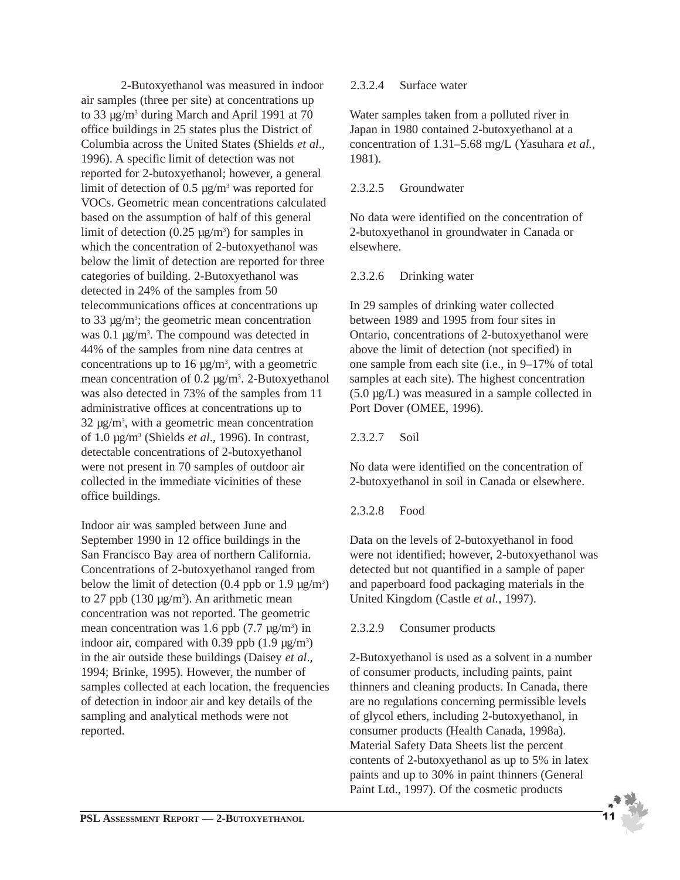2-Butoxyethanol was measured in indoor air samples (three per site) at concentrations up to 33 µg/m3 during March and April 1991 at 70 office buildings in 25 states plus the District of Columbia across the United States (Shields *et al*., 1996). A specific limit of detection was not reported for 2-butoxyethanol; however, a general limit of detection of 0.5  $\mu$ g/m<sup>3</sup> was reported for VOCs. Geometric mean concentrations calculated based on the assumption of half of this general limit of detection  $(0.25 \text{ µg/m}^3)$  for samples in which the concentration of 2-butoxyethanol was below the limit of detection are reported for three categories of building. 2-Butoxyethanol was detected in 24% of the samples from 50 telecommunications offices at concentrations up to 33  $\mu$ g/m<sup>3</sup>; the geometric mean concentration was  $0.1 \mu g/m<sup>3</sup>$ . The compound was detected in 44% of the samples from nine data centres at concentrations up to 16  $\mu$ g/m<sup>3</sup>, with a geometric mean concentration of  $0.2 \mu g/m^3$ . 2-Butoxyethanol was also detected in 73% of the samples from 11 administrative offices at concentrations up to 32 µg/m3 , with a geometric mean concentration of 1.0 µg/m3 (Shields *et al*., 1996). In contrast, detectable concentrations of 2-butoxyethanol were not present in 70 samples of outdoor air collected in the immediate vicinities of these office buildings.

Indoor air was sampled between June and September 1990 in 12 office buildings in the San Francisco Bay area of northern California. Concentrations of 2-butoxyethanol ranged from below the limit of detection  $(0.4 \text{ pb} \text{ or } 1.9 \text{ µg/m}^3)$ to 27 ppb (130  $\mu$ g/m<sup>3</sup>). An arithmetic mean concentration was not reported. The geometric mean concentration was 1.6 ppb  $(7.7 \text{ µg/m}^3)$  in indoor air, compared with 0.39 ppb  $(1.9 \,\mu g/m^3)$ in the air outside these buildings (Daisey *et al*., 1994; Brinke, 1995). However, the number of samples collected at each location, the frequencies of detection in indoor air and key details of the sampling and analytical methods were not reported.

#### 2.3.2.4 Surface water

Water samples taken from a polluted river in Japan in 1980 contained 2-butoxyethanol at a concentration of 1.31–5.68 mg/L (Yasuhara *et al.*, 1981).

#### 2.3.2.5 Groundwater

No data were identified on the concentration of 2-butoxyethanol in groundwater in Canada or elsewhere.

#### 2.3.2.6 Drinking water

In 29 samples of drinking water collected between 1989 and 1995 from four sites in Ontario, concentrations of 2-butoxyethanol were above the limit of detection (not specified) in one sample from each site (i.e., in 9–17% of total samples at each site). The highest concentration (5.0 µg/L) was measured in a sample collected in Port Dover (OMEE, 1996).

#### 2.3.2.7 Soil

No data were identified on the concentration of 2-butoxyethanol in soil in Canada or elsewhere.

#### 2.3.2.8 Food

Data on the levels of 2-butoxyethanol in food were not identified; however, 2-butoxyethanol was detected but not quantified in a sample of paper and paperboard food packaging materials in the United Kingdom (Castle *et al.*, 1997).

#### 2.3.2.9 Consumer products

2-Butoxyethanol is used as a solvent in a number of consumer products, including paints, paint thinners and cleaning products. In Canada, there are no regulations concerning permissible levels of glycol ethers, including 2-butoxyethanol, in consumer products (Health Canada, 1998a). Material Safety Data Sheets list the percent contents of 2-butoxyethanol as up to 5% in latex paints and up to 30% in paint thinners (General Paint Ltd., 1997). Of the cosmetic products

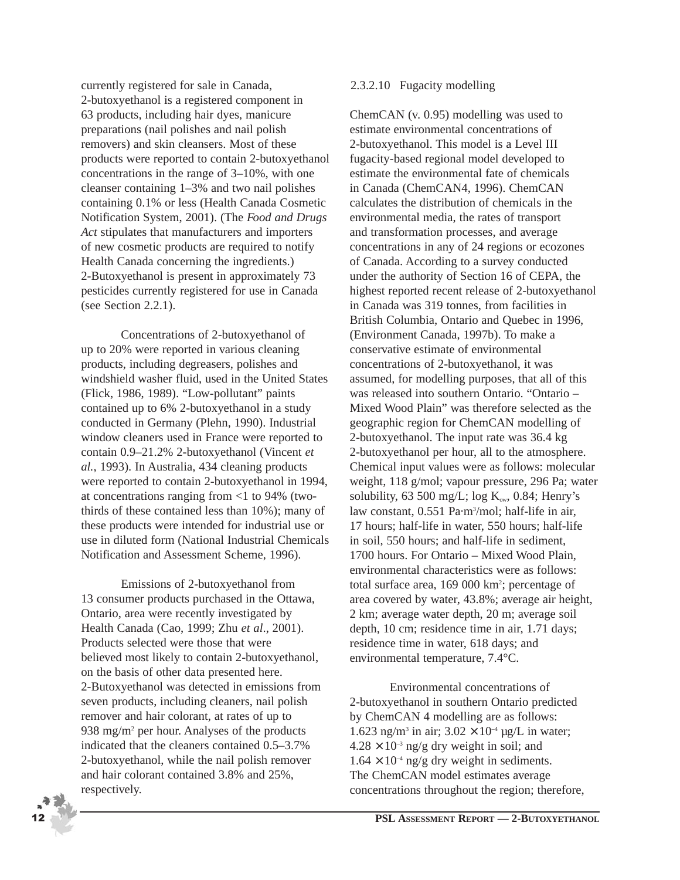currently registered for sale in Canada, 2-butoxyethanol is a registered component in 63 products, including hair dyes, manicure preparations (nail polishes and nail polish removers) and skin cleansers. Most of these products were reported to contain 2-butoxyethanol concentrations in the range of 3–10%, with one cleanser containing 1–3% and two nail polishes containing 0.1% or less (Health Canada Cosmetic Notification System, 2001). (The *Food and Drugs Act* stipulates that manufacturers and importers of new cosmetic products are required to notify Health Canada concerning the ingredients.) 2-Butoxyethanol is present in approximately 73 pesticides currently registered for use in Canada (see Section 2.2.1).

Concentrations of 2-butoxyethanol of up to 20% were reported in various cleaning products, including degreasers, polishes and windshield washer fluid, used in the United States (Flick, 1986, 1989). "Low-pollutant" paints contained up to 6% 2-butoxyethanol in a study conducted in Germany (Plehn, 1990). Industrial window cleaners used in France were reported to contain 0.9–21.2% 2-butoxyethanol (Vincent *et al.*, 1993). In Australia, 434 cleaning products were reported to contain 2-butoxyethanol in 1994, at concentrations ranging from <1 to 94% (twothirds of these contained less than 10%); many of these products were intended for industrial use or use in diluted form (National Industrial Chemicals Notification and Assessment Scheme, 1996).

Emissions of 2-butoxyethanol from 13 consumer products purchased in the Ottawa, Ontario, area were recently investigated by Health Canada (Cao, 1999; Zhu *et al*., 2001). Products selected were those that were believed most likely to contain 2-butoxyethanol, on the basis of other data presented here. 2-Butoxyethanol was detected in emissions from seven products, including cleaners, nail polish remover and hair colorant, at rates of up to 938 mg/m2 per hour. Analyses of the products indicated that the cleaners contained 0.5–3.7% 2-butoxyethanol, while the nail polish remover and hair colorant contained 3.8% and 25%, respectively.

#### 2.3.2.10 Fugacity modelling

ChemCAN (v. 0.95) modelling was used to estimate environmental concentrations of 2-butoxyethanol. This model is a Level III fugacity-based regional model developed to estimate the environmental fate of chemicals in Canada (ChemCAN4, 1996). ChemCAN calculates the distribution of chemicals in the environmental media, the rates of transport and transformation processes, and average concentrations in any of 24 regions or ecozones of Canada. According to a survey conducted under the authority of Section 16 of CEPA, the highest reported recent release of 2-butoxyethanol in Canada was 319 tonnes, from facilities in British Columbia, Ontario and Quebec in 1996, (Environment Canada, 1997b). To make a conservative estimate of environmental concentrations of 2-butoxyethanol, it was assumed, for modelling purposes, that all of this was released into southern Ontario. "Ontario – Mixed Wood Plain" was therefore selected as the geographic region for ChemCAN modelling of 2-butoxyethanol. The input rate was 36.4 kg 2-butoxyethanol per hour, all to the atmosphere. Chemical input values were as follows: molecular weight, 118 g/mol; vapour pressure, 296 Pa; water solubility, 63 500 mg/L; log  $K_{ow}$ , 0.84; Henry's law constant, 0.551 Pa·m3 /mol; half-life in air, 17 hours; half-life in water, 550 hours; half-life in soil, 550 hours; and half-life in sediment, 1700 hours. For Ontario – Mixed Wood Plain, environmental characteristics were as follows: total surface area, 169 000 km<sup>2</sup>; percentage of area covered by water, 43.8%; average air height, 2 km; average water depth, 20 m; average soil depth, 10 cm; residence time in air, 1.71 days; residence time in water, 618 days; and environmental temperature, 7.4°C.

Environmental concentrations of 2-butoxyethanol in southern Ontario predicted by ChemCAN 4 modelling are as follows: 1.623 ng/m<sup>3</sup> in air;  $3.02 \times 10^{-4}$  µg/L in water;  $4.28 \times 10^{-3}$  ng/g dry weight in soil; and  $1.64 \times 10^{-4}$  ng/g dry weight in sediments. The ChemCAN model estimates average concentrations throughout the region; therefore,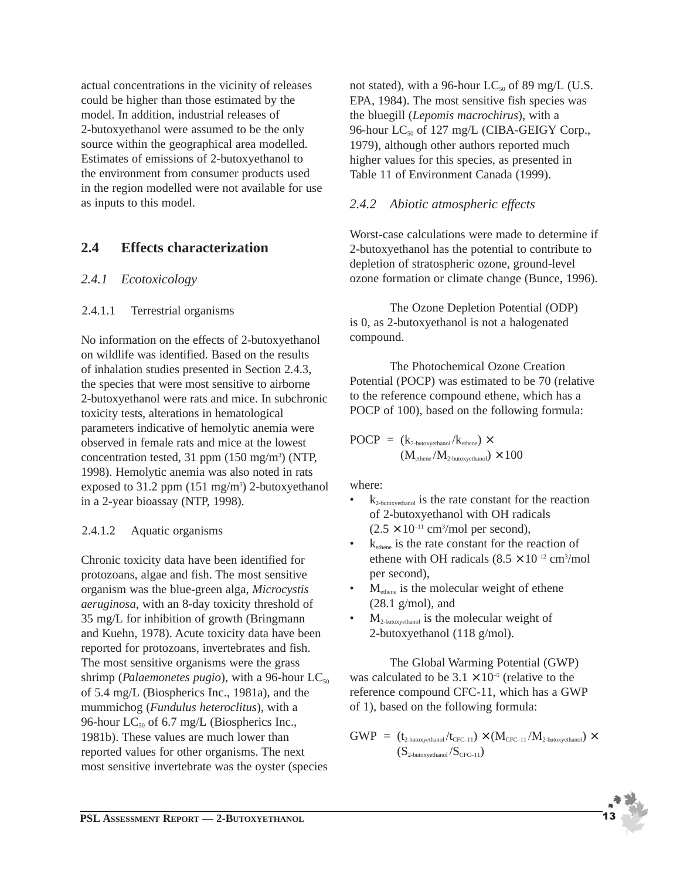actual concentrations in the vicinity of releases could be higher than those estimated by the model. In addition, industrial releases of 2-butoxyethanol were assumed to be the only source within the geographical area modelled. Estimates of emissions of 2-butoxyethanol to the environment from consumer products used in the region modelled were not available for use as inputs to this model.

## **2.4 Effects characterization**

### *2.4.1 Ecotoxicology*

#### 2.4.1.1 Terrestrial organisms

No information on the effects of 2-butoxyethanol on wildlife was identified. Based on the results of inhalation studies presented in Section 2.4.3, the species that were most sensitive to airborne 2-butoxyethanol were rats and mice. In subchronic toxicity tests, alterations in hematological parameters indicative of hemolytic anemia were observed in female rats and mice at the lowest concentration tested, 31 ppm (150 mg/m<sup>3</sup>) (NTP, 1998). Hemolytic anemia was also noted in rats exposed to  $31.2$  ppm  $(151 \text{ mg/m}^3)$  2-butoxyethanol in a 2-year bioassay (NTP, 1998).

#### 2.4.1.2 Aquatic organisms

Chronic toxicity data have been identified for protozoans, algae and fish. The most sensitive organism was the blue-green alga, *Microcystis aeruginosa*, with an 8-day toxicity threshold of 35 mg/L for inhibition of growth (Bringmann and Kuehn, 1978). Acute toxicity data have been reported for protozoans, invertebrates and fish. The most sensitive organisms were the grass shrimp (*Palaemonetes pugio*), with a 96-hour LC<sub>50</sub> of 5.4 mg/L (Biospherics Inc., 1981a), and the mummichog (*Fundulus heteroclitus*), with a 96-hour  $LC_{50}$  of 6.7 mg/L (Biospherics Inc., 1981b). These values are much lower than reported values for other organisms. The next most sensitive invertebrate was the oyster (species not stated), with a 96-hour  $LC_{50}$  of 89 mg/L (U.S. EPA, 1984). The most sensitive fish species was the bluegill (*Lepomis macrochirus*), with a 96-hour LC<sub>50</sub> of 127 mg/L (CIBA-GEIGY Corp., 1979), although other authors reported much higher values for this species, as presented in Table 11 of Environment Canada (1999).

### *2.4.2 Abiotic atmospheric effects*

Worst-case calculations were made to determine if 2-butoxyethanol has the potential to contribute to depletion of stratospheric ozone, ground-level ozone formation or climate change (Bunce, 1996).

The Ozone Depletion Potential (ODP) is 0, as 2-butoxyethanol is not a halogenated compound.

The Photochemical Ozone Creation Potential (POCP) was estimated to be 70 (relative to the reference compound ethene, which has a POCP of 100), based on the following formula:

$$
POCP = (k_{2\text{-butoxyethanol}} / k_{\text{ethene}}) \times (M_{\text{ethene}} / M_{2\text{-butoxyethanol}}) \times 100
$$

where:

- $k_{2\text{-butoxyethanol}}$  is the rate constant for the reaction of 2-butoxyethanol with OH radicals  $(2.5 \times 10^{-11} \text{ cm}^3/\text{mol} \text{ per second}),$
- $\bullet$   $k_{\text{ethene}}$  is the rate constant for the reaction of ethene with OH radicals  $(8.5 \times 10^{-12} \text{ cm}^3/\text{mol})$ per second),
- $M<sub>othere</sub>$  is the molecular weight of ethene (28.1 g/mol), and
- $M_{2-butoxvethanol}$  is the molecular weight of 2-butoxyethanol (118 g/mol).

The Global Warming Potential (GWP) was calculated to be  $3.1 \times 10^{-5}$  (relative to the reference compound CFC-11, which has a GWP of 1), based on the following formula:

$$
\begin{array}{lll} GWP & = & (t_{\tiny 2\text{-butoxyethanol}}/t_{\tiny CFC-11}) \times (M_{\tiny CFC-11}/M_{\tiny 2\text{-butoxyethanol}}) \times \\ & & (S_{\tiny 2\text{-butoxyethanol}}/S_{\tiny CFC-11}) \end{array}
$$

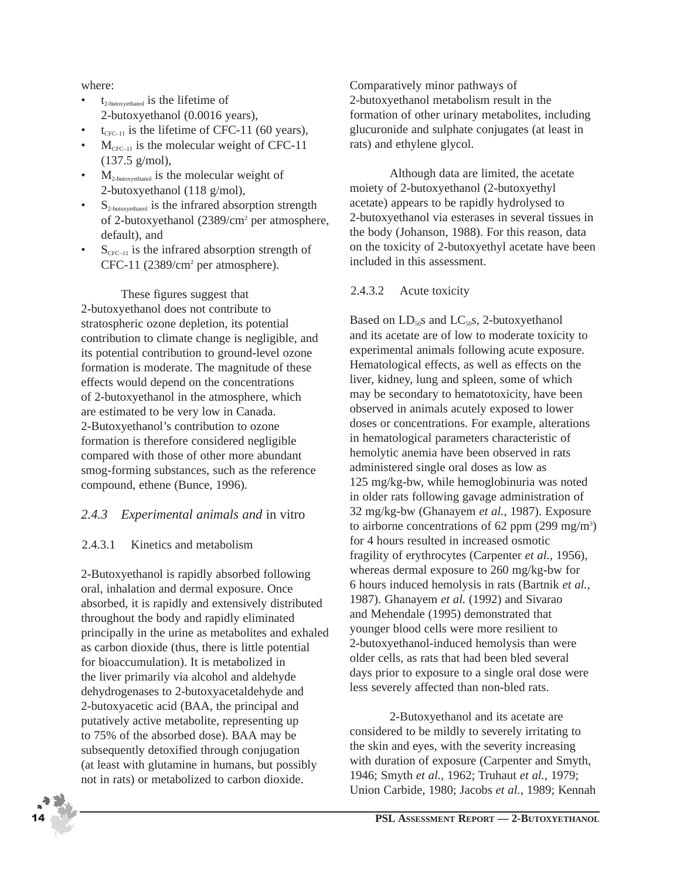where:

- $t_{2-hutoxvethanol}$  is the lifetime of 2-butoxyethanol (0.0016 years),
- $t_{CFC-11}$  is the lifetime of CFC-11 (60 years),
- $M_{CFC-11}$  is the molecular weight of CFC-11 (137.5 g/mol),
- $M_{2\text{-butoxyethanol}}$  is the molecular weight of 2-butoxyethanol (118 g/mol),
- $S_{2\text{-butoxvethanol}}$  is the infrared absorption strength of 2-butoxyethanol (2389/cm2 per atmosphere, default), and
- $S_{CFC-11}$  is the infrared absorption strength of CFC-11 (2389/cm<sup>2</sup> per atmosphere).

These figures suggest that 2-butoxyethanol does not contribute to stratospheric ozone depletion, its potential contribution to climate change is negligible, and its potential contribution to ground-level ozone formation is moderate. The magnitude of these effects would depend on the concentrations of 2-butoxyethanol in the atmosphere, which are estimated to be very low in Canada. 2-Butoxyethanol's contribution to ozone formation is therefore considered negligible compared with those of other more abundant smog-forming substances, such as the reference compound, ethene (Bunce, 1996).

### *2.4.3 Experimental animals and* in vitro

### 2.4.3.1 Kinetics and metabolism

2-Butoxyethanol is rapidly absorbed following oral, inhalation and dermal exposure. Once absorbed, it is rapidly and extensively distributed throughout the body and rapidly eliminated principally in the urine as metabolites and exhaled as carbon dioxide (thus, there is little potential for bioaccumulation). It is metabolized in the liver primarily via alcohol and aldehyde dehydrogenases to 2-butoxyacetaldehyde and 2-butoxyacetic acid (BAA, the principal and putatively active metabolite, representing up to 75% of the absorbed dose). BAA may be subsequently detoxified through conjugation (at least with glutamine in humans, but possibly not in rats) or metabolized to carbon dioxide.

Comparatively minor pathways of 2-butoxyethanol metabolism result in the formation of other urinary metabolites, including glucuronide and sulphate conjugates (at least in rats) and ethylene glycol.

Although data are limited, the acetate moiety of 2-butoxyethanol (2-butoxyethyl acetate) appears to be rapidly hydrolysed to 2-butoxyethanol via esterases in several tissues in the body (Johanson, 1988). For this reason, data on the toxicity of 2-butoxyethyl acetate have been included in this assessment.

#### 2.4.3.2 Acute toxicity

Based on  $LD_{50}$ s and  $LC_{50}$ s, 2-butoxyethanol and its acetate are of low to moderate toxicity to experimental animals following acute exposure. Hematological effects, as well as effects on the liver, kidney, lung and spleen, some of which may be secondary to hematotoxicity, have been observed in animals acutely exposed to lower doses or concentrations. For example, alterations in hematological parameters characteristic of hemolytic anemia have been observed in rats administered single oral doses as low as 125 mg/kg-bw, while hemoglobinuria was noted in older rats following gavage administration of 32 mg/kg-bw (Ghanayem *et al.*, 1987). Exposure to airborne concentrations of 62 ppm  $(299 \text{ mg/m}^3)$ for 4 hours resulted in increased osmotic fragility of erythrocytes (Carpenter *et al.*, 1956), whereas dermal exposure to 260 mg/kg-bw for 6 hours induced hemolysis in rats (Bartnik *et al.*, 1987). Ghanayem *et al.* (1992) and Sivarao and Mehendale (1995) demonstrated that younger blood cells were more resilient to 2-butoxyethanol-induced hemolysis than were older cells, as rats that had been bled several days prior to exposure to a single oral dose were less severely affected than non-bled rats.

2-Butoxyethanol and its acetate are considered to be mildly to severely irritating to the skin and eyes, with the severity increasing with duration of exposure (Carpenter and Smyth, 1946; Smyth *et al.*, 1962; Truhaut *et al.*, 1979; Union Carbide, 1980; Jacobs *et al.*, 1989; Kennah

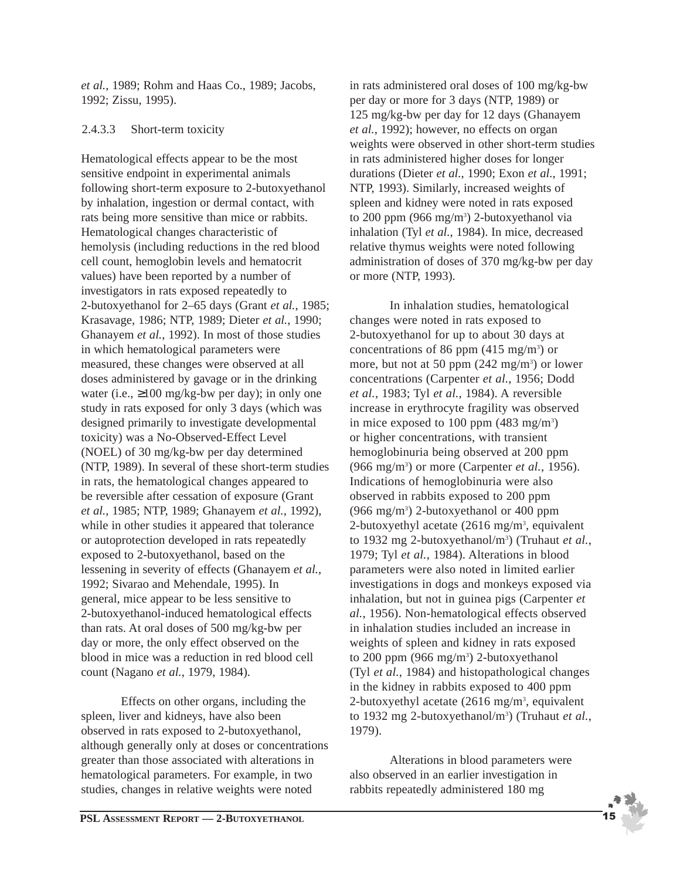*et al.*, 1989; Rohm and Haas Co., 1989; Jacobs, 1992; Zissu, 1995).

#### 2.4.3.3 Short-term toxicity

Hematological effects appear to be the most sensitive endpoint in experimental animals following short-term exposure to 2-butoxyethanol by inhalation, ingestion or dermal contact, with rats being more sensitive than mice or rabbits. Hematological changes characteristic of hemolysis (including reductions in the red blood cell count, hemoglobin levels and hematocrit values) have been reported by a number of investigators in rats exposed repeatedly to 2-butoxyethanol for 2–65 days (Grant *et al.*, 1985; Krasavage, 1986; NTP, 1989; Dieter *et al.*, 1990; Ghanayem *et al.*, 1992). In most of those studies in which hematological parameters were measured, these changes were observed at all doses administered by gavage or in the drinking water (i.e.,  $\geq 100$  mg/kg-bw per day); in only one study in rats exposed for only 3 days (which was designed primarily to investigate developmental toxicity) was a No-Observed-Effect Level (NOEL) of 30 mg/kg-bw per day determined (NTP, 1989). In several of these short-term studies in rats, the hematological changes appeared to be reversible after cessation of exposure (Grant *et al.*, 1985; NTP, 1989; Ghanayem *et al.*, 1992), while in other studies it appeared that tolerance or autoprotection developed in rats repeatedly exposed to 2-butoxyethanol, based on the lessening in severity of effects (Ghanayem *et al.*, 1992; Sivarao and Mehendale, 1995). In general, mice appear to be less sensitive to 2-butoxyethanol-induced hematological effects than rats. At oral doses of 500 mg/kg-bw per day or more, the only effect observed on the blood in mice was a reduction in red blood cell count (Nagano *et al.*, 1979, 1984).

Effects on other organs, including the spleen, liver and kidneys, have also been observed in rats exposed to 2-butoxyethanol, although generally only at doses or concentrations greater than those associated with alterations in hematological parameters. For example, in two studies, changes in relative weights were noted

in rats administered oral doses of 100 mg/kg-bw per day or more for 3 days (NTP, 1989) or 125 mg/kg-bw per day for 12 days (Ghanayem *et al.*, 1992); however, no effects on organ weights were observed in other short-term studies in rats administered higher doses for longer durations (Dieter *et al.*, 1990; Exon *et al.*, 1991; NTP, 1993). Similarly, increased weights of spleen and kidney were noted in rats exposed to 200 ppm (966 mg/m<sup>3</sup>) 2-butoxyethanol via inhalation (Tyl *et al.*, 1984). In mice, decreased relative thymus weights were noted following administration of doses of 370 mg/kg-bw per day or more (NTP, 1993).

In inhalation studies, hematological changes were noted in rats exposed to 2-butoxyethanol for up to about 30 days at concentrations of 86 ppm  $(415 \text{ mg/m}^3)$  or more, but not at 50 ppm  $(242 \text{ mg/m}^3)$  or lower concentrations (Carpenter *et al.*, 1956; Dodd *et al.*, 1983; Tyl *et al.*, 1984). A reversible increase in erythrocyte fragility was observed in mice exposed to 100 ppm (483 mg/m<sup>3</sup>) or higher concentrations, with transient hemoglobinuria being observed at 200 ppm (966 mg/m3 ) or more (Carpenter *et al.*, 1956). Indications of hemoglobinuria were also observed in rabbits exposed to 200 ppm (966 mg/m3 ) 2-butoxyethanol or 400 ppm 2-butoxyethyl acetate  $(2616 \text{ mg/m}^3, \text{ equivalent})$ to 1932 mg 2-butoxyethanol/m<sup>3</sup>) (Truhaut *et al.*, 1979; Tyl *et al.*, 1984). Alterations in blood parameters were also noted in limited earlier investigations in dogs and monkeys exposed via inhalation, but not in guinea pigs (Carpenter *et al.*, 1956). Non-hematological effects observed in inhalation studies included an increase in weights of spleen and kidney in rats exposed to 200 ppm (966 mg/m<sup>3</sup>) 2-butoxyethanol (Tyl *et al.*, 1984) and histopathological changes in the kidney in rabbits exposed to 400 ppm 2-butoxyethyl acetate  $(2616 \text{ mg/m}^3, \text{ equivalent})$ to 1932 mg 2-butoxyethanol/m<sup>3</sup>) (Truhaut et al., 1979).

Alterations in blood parameters were also observed in an earlier investigation in rabbits repeatedly administered 180 mg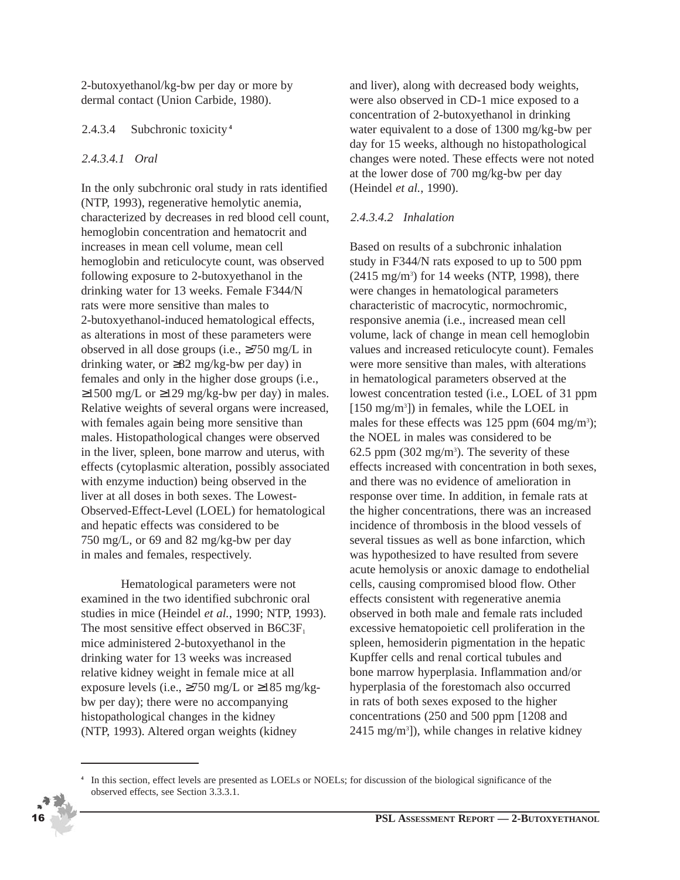2-butoxyethanol/kg-bw per day or more by dermal contact (Union Carbide, 1980).

#### 2.4.3.4 Subchronic toxicity **<sup>4</sup>**

#### *2.4.3.4.1 Oral*

In the only subchronic oral study in rats identified (NTP, 1993), regenerative hemolytic anemia, characterized by decreases in red blood cell count, hemoglobin concentration and hematocrit and increases in mean cell volume, mean cell hemoglobin and reticulocyte count, was observed following exposure to 2-butoxyethanol in the drinking water for 13 weeks. Female F344/N rats were more sensitive than males to 2-butoxyethanol-induced hematological effects, as alterations in most of these parameters were observed in all dose groups (i.e., ≥750 mg/L in drinking water, or  $\geq 82$  mg/kg-bw per day) in females and only in the higher dose groups (i.e.,  $≥1500$  mg/L or  $≥129$  mg/kg-bw per day) in males. Relative weights of several organs were increased, with females again being more sensitive than males. Histopathological changes were observed in the liver, spleen, bone marrow and uterus, with effects (cytoplasmic alteration, possibly associated with enzyme induction) being observed in the liver at all doses in both sexes. The Lowest-Observed-Effect-Level (LOEL) for hematological and hepatic effects was considered to be 750 mg/L, or 69 and 82 mg/kg-bw per day in males and females, respectively.

Hematological parameters were not examined in the two identified subchronic oral studies in mice (Heindel *et al.*, 1990; NTP, 1993). The most sensitive effect observed in  $B6C3F<sub>1</sub>$ mice administered 2-butoxyethanol in the drinking water for 13 weeks was increased relative kidney weight in female mice at all exposure levels (i.e.,  $\geq$ 750 mg/L or  $\geq$ 185 mg/kgbw per day); there were no accompanying histopathological changes in the kidney (NTP, 1993). Altered organ weights (kidney

and liver), along with decreased body weights, were also observed in CD-1 mice exposed to a concentration of 2-butoxyethanol in drinking water equivalent to a dose of 1300 mg/kg-bw per day for 15 weeks, although no histopathological changes were noted. These effects were not noted at the lower dose of 700 mg/kg-bw per day (Heindel *et al.*, 1990).

#### *2.4.3.4.2 Inhalation*

Based on results of a subchronic inhalation study in F344/N rats exposed to up to 500 ppm  $(2415 \text{ mg/m}^3)$  for 14 weeks (NTP, 1998), there were changes in hematological parameters characteristic of macrocytic, normochromic, responsive anemia (i.e., increased mean cell volume, lack of change in mean cell hemoglobin values and increased reticulocyte count). Females were more sensitive than males, with alterations in hematological parameters observed at the lowest concentration tested (i.e., LOEL of 31 ppm [150 mg/m<sup>3</sup>]) in females, while the LOEL in males for these effects was 125 ppm  $(604 \text{ mg/m}^3)$ ; the NOEL in males was considered to be  $62.5$  ppm  $(302 \text{ mg/m}^3)$ . The severity of these effects increased with concentration in both sexes, and there was no evidence of amelioration in response over time. In addition, in female rats at the higher concentrations, there was an increased incidence of thrombosis in the blood vessels of several tissues as well as bone infarction, which was hypothesized to have resulted from severe acute hemolysis or anoxic damage to endothelial cells, causing compromised blood flow. Other effects consistent with regenerative anemia observed in both male and female rats included excessive hematopoietic cell proliferation in the spleen, hemosiderin pigmentation in the hepatic Kupffer cells and renal cortical tubules and bone marrow hyperplasia. Inflammation and/or hyperplasia of the forestomach also occurred in rats of both sexes exposed to the higher concentrations (250 and 500 ppm [1208 and 2415 mg/m<sup>3</sup>]), while changes in relative kidney

**<sup>4</sup>** In this section, effect levels are presented as LOELs or NOELs; for discussion of the biological significance of the observed effects, see Section 3.3.3.1.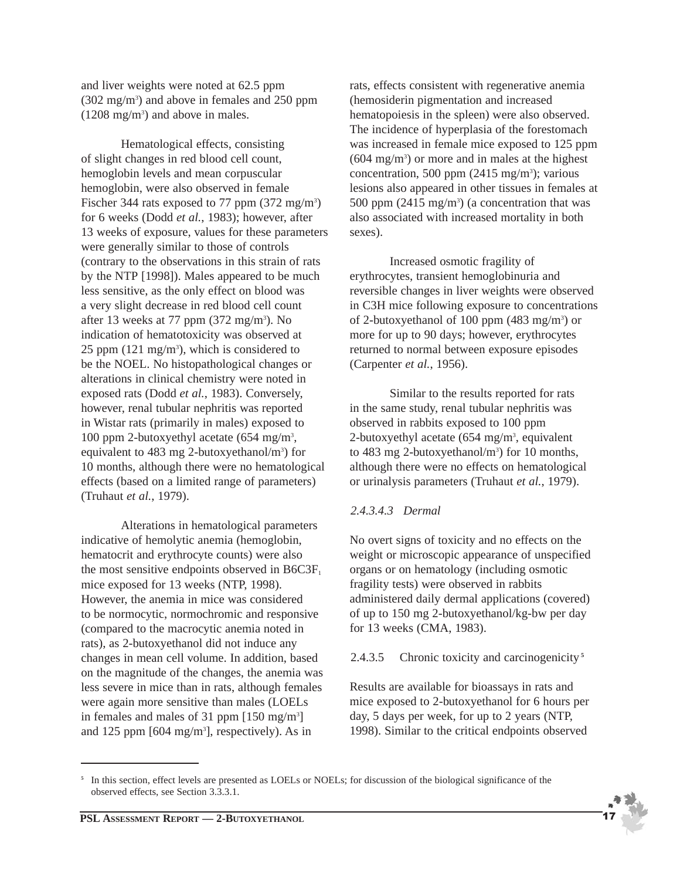and liver weights were noted at 62.5 ppm (302 mg/m3 ) and above in females and 250 ppm  $(1208 \text{ mg/m}^3)$  and above in males.

Hematological effects, consisting of slight changes in red blood cell count, hemoglobin levels and mean corpuscular hemoglobin, were also observed in female Fischer 344 rats exposed to 77 ppm (372 mg/m<sup>3</sup>) for 6 weeks (Dodd *et al.*, 1983); however, after 13 weeks of exposure, values for these parameters were generally similar to those of controls (contrary to the observations in this strain of rats by the NTP [1998]). Males appeared to be much less sensitive, as the only effect on blood was a very slight decrease in red blood cell count after 13 weeks at 77 ppm  $(372 \text{ mg/m}^3)$ . No indication of hematotoxicity was observed at  $25$  ppm  $(121 \text{ mg/m}^3)$ , which is considered to be the NOEL. No histopathological changes or alterations in clinical chemistry were noted in exposed rats (Dodd *et al.*, 1983). Conversely, however, renal tubular nephritis was reported in Wistar rats (primarily in males) exposed to 100 ppm 2-butoxyethyl acetate (654 mg/m3 , equivalent to 483 mg 2-butoxyethanol/m<sup>3</sup>) for 10 months, although there were no hematological effects (based on a limited range of parameters) (Truhaut *et al.*, 1979).

Alterations in hematological parameters indicative of hemolytic anemia (hemoglobin, hematocrit and erythrocyte counts) were also the most sensitive endpoints observed in  $B6C3F<sub>1</sub>$ mice exposed for 13 weeks (NTP, 1998). However, the anemia in mice was considered to be normocytic, normochromic and responsive (compared to the macrocytic anemia noted in rats), as 2-butoxyethanol did not induce any changes in mean cell volume. In addition, based on the magnitude of the changes, the anemia was less severe in mice than in rats, although females were again more sensitive than males (LOELs in females and males of 31 ppm [150 mg/m3 ] and 125 ppm [604 mg/m<sup>3</sup>], respectively). As in

rats, effects consistent with regenerative anemia (hemosiderin pigmentation and increased hematopoiesis in the spleen) were also observed. The incidence of hyperplasia of the forestomach was increased in female mice exposed to 125 ppm (604 mg/m3 ) or more and in males at the highest concentration, 500 ppm (2415 mg/m<sup>3</sup>); various lesions also appeared in other tissues in females at 500 ppm  $(2415 \text{ mg/m}^3)$  (a concentration that was also associated with increased mortality in both sexes).

Increased osmotic fragility of erythrocytes, transient hemoglobinuria and reversible changes in liver weights were observed in C3H mice following exposure to concentrations of 2-butoxyethanol of 100 ppm (483 mg/m<sup>3</sup>) or more for up to 90 days; however, erythrocytes returned to normal between exposure episodes (Carpenter *et al.*, 1956).

Similar to the results reported for rats in the same study, renal tubular nephritis was observed in rabbits exposed to 100 ppm 2-butoxyethyl acetate  $(654 \text{ mg/m}^3, \text{ equivalent})$ to  $483$  mg 2-butoxyethanol/m<sup>3</sup>) for 10 months, although there were no effects on hematological or urinalysis parameters (Truhaut *et al.*, 1979).

#### *2.4.3.4.3 Dermal*

No overt signs of toxicity and no effects on the weight or microscopic appearance of unspecified organs or on hematology (including osmotic fragility tests) were observed in rabbits administered daily dermal applications (covered) of up to 150 mg 2-butoxyethanol/kg-bw per day for 13 weeks (CMA, 1983).

#### 2.4.3.5 Chronic toxicity and carcinogenicity **<sup>5</sup>**

Results are available for bioassays in rats and mice exposed to 2-butoxyethanol for 6 hours per day, 5 days per week, for up to 2 years (NTP, 1998). Similar to the critical endpoints observed



<sup>&</sup>lt;sup>5</sup> In this section, effect levels are presented as LOELs or NOELs; for discussion of the biological significance of the observed effects, see Section 3.3.3.1.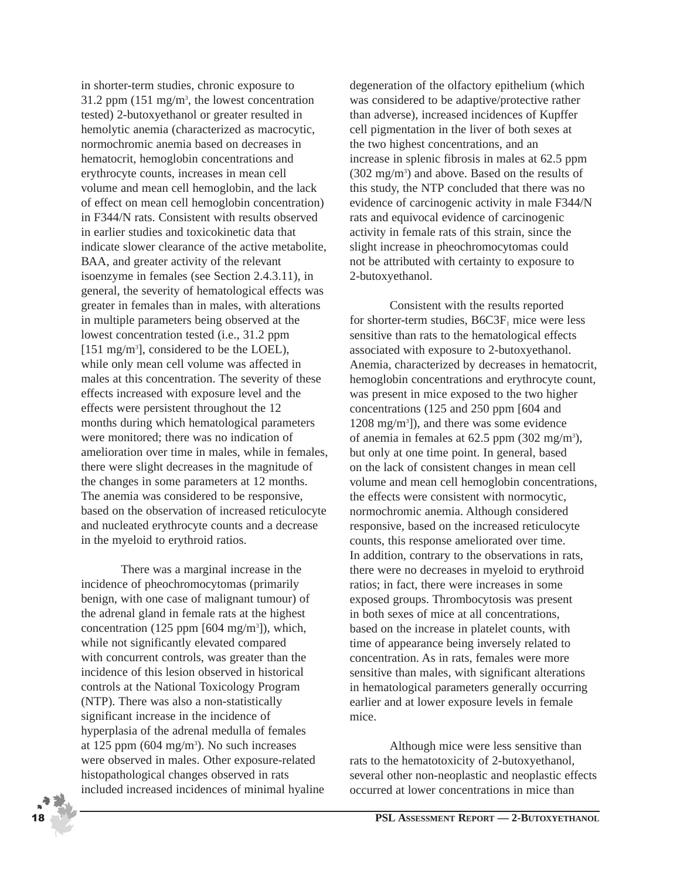in shorter-term studies, chronic exposure to 31.2 ppm (151 mg/m3 , the lowest concentration tested) 2-butoxyethanol or greater resulted in hemolytic anemia (characterized as macrocytic, normochromic anemia based on decreases in hematocrit, hemoglobin concentrations and erythrocyte counts, increases in mean cell volume and mean cell hemoglobin, and the lack of effect on mean cell hemoglobin concentration) in F344/N rats. Consistent with results observed in earlier studies and toxicokinetic data that indicate slower clearance of the active metabolite, BAA, and greater activity of the relevant isoenzyme in females (see Section 2.4.3.11), in general, the severity of hematological effects was greater in females than in males, with alterations in multiple parameters being observed at the lowest concentration tested (i.e., 31.2 ppm [151 mg/m<sup>3</sup>], considered to be the LOEL), while only mean cell volume was affected in males at this concentration. The severity of these effects increased with exposure level and the effects were persistent throughout the 12 months during which hematological parameters were monitored; there was no indication of amelioration over time in males, while in females, there were slight decreases in the magnitude of the changes in some parameters at 12 months. The anemia was considered to be responsive, based on the observation of increased reticulocyte and nucleated erythrocyte counts and a decrease in the myeloid to erythroid ratios.

There was a marginal increase in the incidence of pheochromocytomas (primarily benign, with one case of malignant tumour) of the adrenal gland in female rats at the highest concentration (125 ppm [604 mg/m<sup>3</sup>]), which, while not significantly elevated compared with concurrent controls, was greater than the incidence of this lesion observed in historical controls at the National Toxicology Program (NTP). There was also a non-statistically significant increase in the incidence of hyperplasia of the adrenal medulla of females at 125 ppm  $(604 \text{ mg/m}^3)$ . No such increases were observed in males. Other exposure-related histopathological changes observed in rats included increased incidences of minimal hyaline degeneration of the olfactory epithelium (which was considered to be adaptive/protective rather than adverse), increased incidences of Kupffer cell pigmentation in the liver of both sexes at the two highest concentrations, and an increase in splenic fibrosis in males at 62.5 ppm (302 mg/m3 ) and above. Based on the results of this study, the NTP concluded that there was no evidence of carcinogenic activity in male F344/N rats and equivocal evidence of carcinogenic activity in female rats of this strain, since the slight increase in pheochromocytomas could not be attributed with certainty to exposure to 2-butoxyethanol.

Consistent with the results reported for shorter-term studies,  $B6C3F<sub>1</sub>$  mice were less sensitive than rats to the hematological effects associated with exposure to 2-butoxyethanol. Anemia, characterized by decreases in hematocrit, hemoglobin concentrations and erythrocyte count, was present in mice exposed to the two higher concentrations (125 and 250 ppm [604 and 1208 mg/m3 ]), and there was some evidence of anemia in females at  $62.5$  ppm  $(302 \text{ mg/m}^3)$ , but only at one time point. In general, based on the lack of consistent changes in mean cell volume and mean cell hemoglobin concentrations, the effects were consistent with normocytic, normochromic anemia. Although considered responsive, based on the increased reticulocyte counts, this response ameliorated over time. In addition, contrary to the observations in rats, there were no decreases in myeloid to erythroid ratios; in fact, there were increases in some exposed groups. Thrombocytosis was present in both sexes of mice at all concentrations, based on the increase in platelet counts, with time of appearance being inversely related to concentration. As in rats, females were more sensitive than males, with significant alterations in hematological parameters generally occurring earlier and at lower exposure levels in female mice.

Although mice were less sensitive than rats to the hematotoxicity of 2-butoxyethanol, several other non-neoplastic and neoplastic effects occurred at lower concentrations in mice than

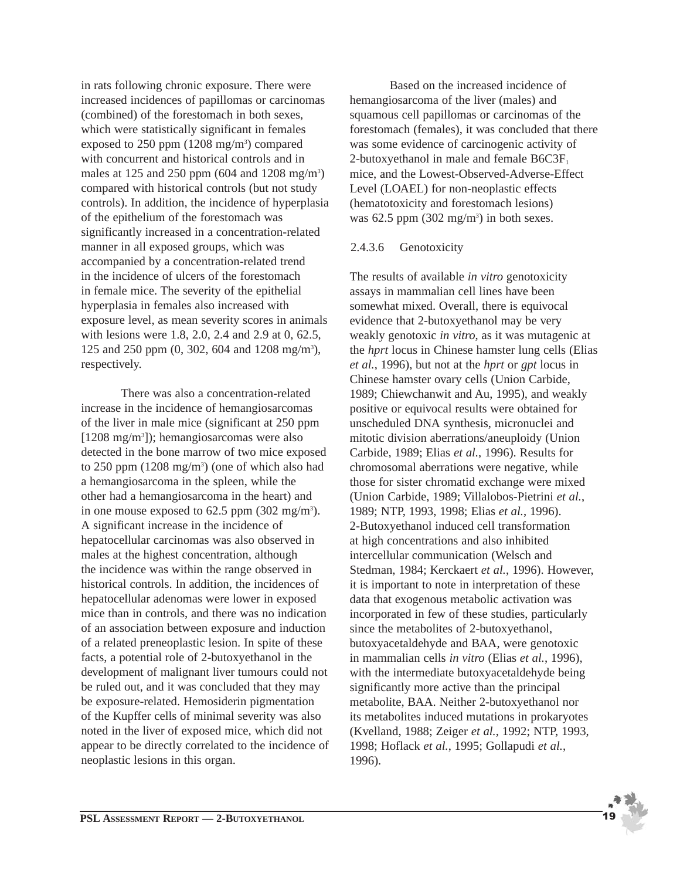in rats following chronic exposure. There were increased incidences of papillomas or carcinomas (combined) of the forestomach in both sexes, which were statistically significant in females exposed to 250 ppm (1208 mg/m<sup>3</sup>) compared with concurrent and historical controls and in males at 125 and 250 ppm (604 and 1208 mg/m<sup>3</sup>) compared with historical controls (but not study controls). In addition, the incidence of hyperplasia of the epithelium of the forestomach was significantly increased in a concentration-related manner in all exposed groups, which was accompanied by a concentration-related trend in the incidence of ulcers of the forestomach in female mice. The severity of the epithelial hyperplasia in females also increased with exposure level, as mean severity scores in animals with lesions were 1.8, 2.0, 2.4 and 2.9 at 0, 62.5, 125 and 250 ppm (0, 302, 604 and 1208 mg/m<sup>3</sup>), respectively.

There was also a concentration-related increase in the incidence of hemangiosarcomas of the liver in male mice (significant at 250 ppm [1208 mg/m3 ]); hemangiosarcomas were also detected in the bone marrow of two mice exposed to 250 ppm (1208 mg/m<sup>3</sup>) (one of which also had a hemangiosarcoma in the spleen, while the other had a hemangiosarcoma in the heart) and in one mouse exposed to  $62.5$  ppm  $(302 \text{ mg/m}^3)$ . A significant increase in the incidence of hepatocellular carcinomas was also observed in males at the highest concentration, although the incidence was within the range observed in historical controls. In addition, the incidences of hepatocellular adenomas were lower in exposed mice than in controls, and there was no indication of an association between exposure and induction of a related preneoplastic lesion. In spite of these facts, a potential role of 2-butoxyethanol in the development of malignant liver tumours could not be ruled out, and it was concluded that they may be exposure-related. Hemosiderin pigmentation of the Kupffer cells of minimal severity was also noted in the liver of exposed mice, which did not appear to be directly correlated to the incidence of neoplastic lesions in this organ.

Based on the increased incidence of hemangiosarcoma of the liver (males) and squamous cell papillomas or carcinomas of the forestomach (females), it was concluded that there was some evidence of carcinogenic activity of 2-butoxyethanol in male and female  $B6C3F<sub>1</sub>$ mice, and the Lowest-Observed-Adverse-Effect Level (LOAEL) for non-neoplastic effects (hematotoxicity and forestomach lesions) was  $62.5$  ppm  $(302 \text{ mg/m}^3)$  in both sexes.

#### 2.4.3.6 Genotoxicity

The results of available *in vitro* genotoxicity assays in mammalian cell lines have been somewhat mixed. Overall, there is equivocal evidence that 2-butoxyethanol may be very weakly genotoxic *in vitro*, as it was mutagenic at the *hprt* locus in Chinese hamster lung cells (Elias *et al.*, 1996), but not at the *hprt* or *gpt* locus in Chinese hamster ovary cells (Union Carbide, 1989; Chiewchanwit and Au, 1995), and weakly positive or equivocal results were obtained for unscheduled DNA synthesis, micronuclei and mitotic division aberrations/aneuploidy (Union Carbide, 1989; Elias *et al.*, 1996). Results for chromosomal aberrations were negative, while those for sister chromatid exchange were mixed (Union Carbide, 1989; Villalobos-Pietrini *et al.*, 1989; NTP, 1993, 1998; Elias *et al.*, 1996). 2-Butoxyethanol induced cell transformation at high concentrations and also inhibited intercellular communication (Welsch and Stedman, 1984; Kerckaert *et al.*, 1996). However, it is important to note in interpretation of these data that exogenous metabolic activation was incorporated in few of these studies, particularly since the metabolites of 2-butoxyethanol, butoxyacetaldehyde and BAA, were genotoxic in mammalian cells *in vitro* (Elias *et al.*, 1996), with the intermediate butoxyacetaldehyde being significantly more active than the principal metabolite, BAA. Neither 2-butoxyethanol nor its metabolites induced mutations in prokaryotes (Kvelland, 1988; Zeiger *et al.*, 1992; NTP, 1993, 1998; Hoflack *et al.*, 1995; Gollapudi *et al.*, 1996).

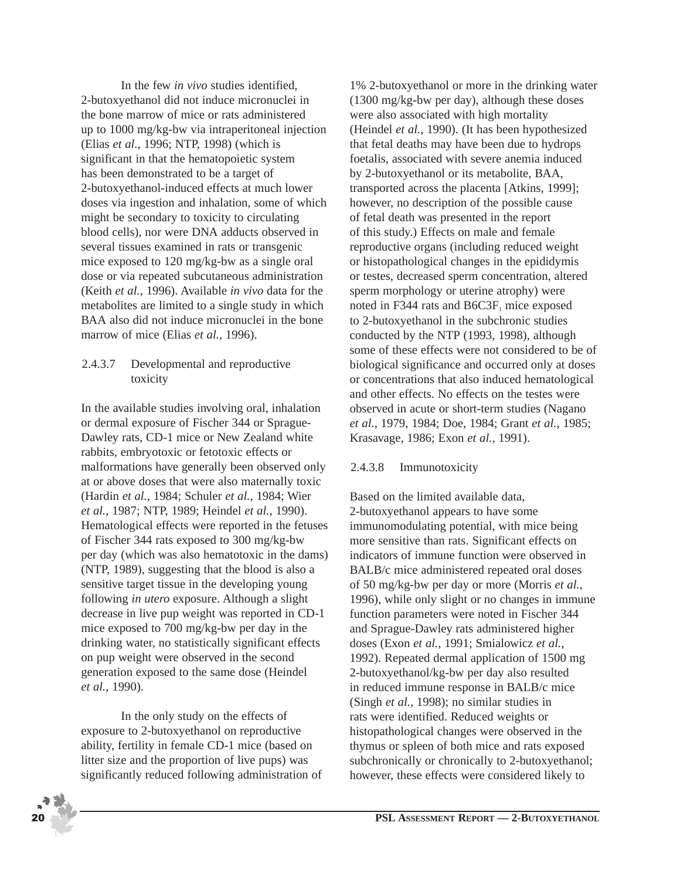In the few *in vivo* studies identified, 2-butoxyethanol did not induce micronuclei in the bone marrow of mice or rats administered up to 1000 mg/kg-bw via intraperitoneal injection (Elias *et al.*, 1996; NTP, 1998) (which is significant in that the hematopoietic system has been demonstrated to be a target of 2-butoxyethanol-induced effects at much lower doses via ingestion and inhalation, some of which might be secondary to toxicity to circulating blood cells), nor were DNA adducts observed in several tissues examined in rats or transgenic mice exposed to 120 mg/kg-bw as a single oral dose or via repeated subcutaneous administration (Keith *et al.*, 1996). Available *in vivo* data for the metabolites are limited to a single study in which BAA also did not induce micronuclei in the bone marrow of mice (Elias *et al.*, 1996).

#### 2.4.3.7 Developmental and reproductive toxicity

In the available studies involving oral, inhalation or dermal exposure of Fischer 344 or Sprague-Dawley rats, CD-1 mice or New Zealand white rabbits, embryotoxic or fetotoxic effects or malformations have generally been observed only at or above doses that were also maternally toxic (Hardin *et al.*, 1984; Schuler *et al.*, 1984; Wier *et al.*, 1987; NTP, 1989; Heindel *et al.*, 1990). Hematological effects were reported in the fetuses of Fischer 344 rats exposed to 300 mg/kg-bw per day (which was also hematotoxic in the dams) (NTP, 1989), suggesting that the blood is also a sensitive target tissue in the developing young following *in utero* exposure. Although a slight decrease in live pup weight was reported in CD-1 mice exposed to 700 mg/kg-bw per day in the drinking water, no statistically significant effects on pup weight were observed in the second generation exposed to the same dose (Heindel *et al.*, 1990).

In the only study on the effects of exposure to 2-butoxyethanol on reproductive ability, fertility in female CD-1 mice (based on litter size and the proportion of live pups) was significantly reduced following administration of

1% 2-butoxyethanol or more in the drinking water (1300 mg/kg-bw per day), although these doses were also associated with high mortality (Heindel *et al.*, 1990). (It has been hypothesized that fetal deaths may have been due to hydrops foetalis, associated with severe anemia induced by 2-butoxyethanol or its metabolite, BAA, transported across the placenta [Atkins, 1999]; however, no description of the possible cause of fetal death was presented in the report of this study.) Effects on male and female reproductive organs (including reduced weight or histopathological changes in the epididymis or testes, decreased sperm concentration, altered sperm morphology or uterine atrophy) were noted in F344 rats and  $B6C3F<sub>1</sub>$  mice exposed to 2-butoxyethanol in the subchronic studies conducted by the NTP (1993, 1998), although some of these effects were not considered to be of biological significance and occurred only at doses or concentrations that also induced hematological and other effects. No effects on the testes were observed in acute or short-term studies (Nagano *et al.*, 1979, 1984; Doe, 1984; Grant *et al.*, 1985; Krasavage, 1986; Exon *et al.*, 1991).

### 2.4.3.8 Immunotoxicity

Based on the limited available data, 2-butoxyethanol appears to have some immunomodulating potential, with mice being more sensitive than rats. Significant effects on indicators of immune function were observed in BALB/c mice administered repeated oral doses of 50 mg/kg-bw per day or more (Morris *et al.*, 1996), while only slight or no changes in immune function parameters were noted in Fischer 344 and Sprague-Dawley rats administered higher doses (Exon *et al.*, 1991; Smialowicz *et al.*, 1992). Repeated dermal application of 1500 mg 2-butoxyethanol/kg-bw per day also resulted in reduced immune response in BALB/c mice (Singh *et al.*, 1998); no similar studies in rats were identified. Reduced weights or histopathological changes were observed in the thymus or spleen of both mice and rats exposed subchronically or chronically to 2-butoxyethanol; however, these effects were considered likely to

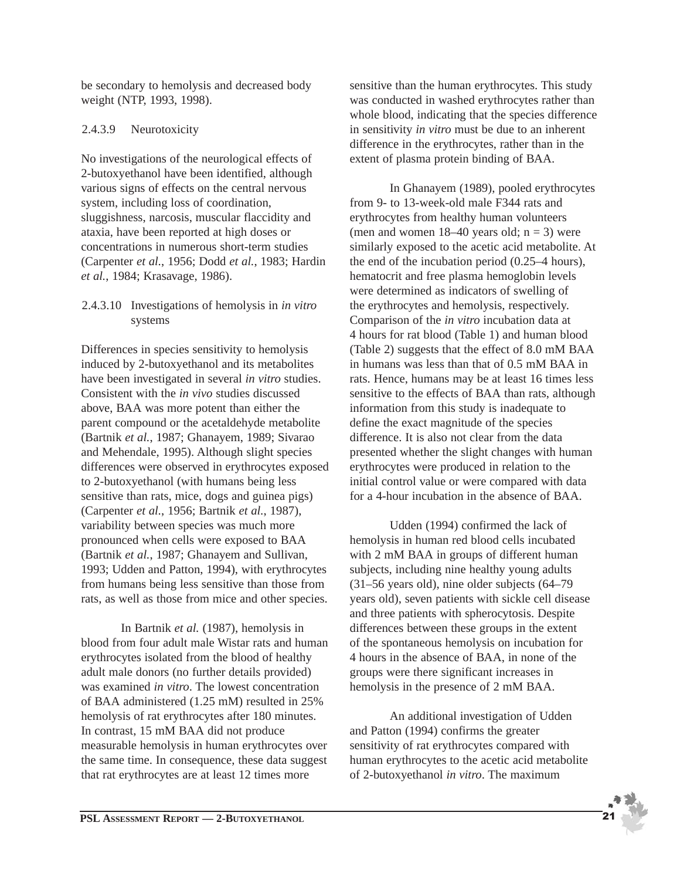be secondary to hemolysis and decreased body weight (NTP, 1993, 1998).

#### 2.4.3.9 Neurotoxicity

No investigations of the neurological effects of 2-butoxyethanol have been identified, although various signs of effects on the central nervous system, including loss of coordination, sluggishness, narcosis, muscular flaccidity and ataxia, have been reported at high doses or concentrations in numerous short-term studies (Carpenter *et al.*, 1956; Dodd *et al.*, 1983; Hardin *et al.*, 1984; Krasavage, 1986).

#### 2.4.3.10 Investigations of hemolysis in *in vitro* systems

Differences in species sensitivity to hemolysis induced by 2-butoxyethanol and its metabolites have been investigated in several *in vitro* studies. Consistent with the *in vivo* studies discussed above, BAA was more potent than either the parent compound or the acetaldehyde metabolite (Bartnik *et al.*, 1987; Ghanayem, 1989; Sivarao and Mehendale, 1995). Although slight species differences were observed in erythrocytes exposed to 2-butoxyethanol (with humans being less sensitive than rats, mice, dogs and guinea pigs) (Carpenter *et al.*, 1956; Bartnik *et al.*, 1987), variability between species was much more pronounced when cells were exposed to BAA (Bartnik *et al.*, 1987; Ghanayem and Sullivan, 1993; Udden and Patton, 1994), with erythrocytes from humans being less sensitive than those from rats, as well as those from mice and other species.

In Bartnik *et al.* (1987), hemolysis in blood from four adult male Wistar rats and human erythrocytes isolated from the blood of healthy adult male donors (no further details provided) was examined *in vitro*. The lowest concentration of BAA administered (1.25 mM) resulted in 25% hemolysis of rat erythrocytes after 180 minutes. In contrast, 15 mM BAA did not produce measurable hemolysis in human erythrocytes over the same time. In consequence, these data suggest that rat erythrocytes are at least 12 times more

sensitive than the human erythrocytes. This study was conducted in washed erythrocytes rather than whole blood, indicating that the species difference in sensitivity *in vitro* must be due to an inherent difference in the erythrocytes, rather than in the extent of plasma protein binding of BAA.

In Ghanayem (1989), pooled erythrocytes from 9- to 13-week-old male F344 rats and erythrocytes from healthy human volunteers (men and women  $18-40$  years old;  $n = 3$ ) were similarly exposed to the acetic acid metabolite. At the end of the incubation period (0.25–4 hours), hematocrit and free plasma hemoglobin levels were determined as indicators of swelling of the erythrocytes and hemolysis, respectively. Comparison of the *in vitro* incubation data at 4 hours for rat blood (Table 1) and human blood (Table 2) suggests that the effect of 8.0 mM BAA in humans was less than that of 0.5 mM BAA in rats. Hence, humans may be at least 16 times less sensitive to the effects of BAA than rats, although information from this study is inadequate to define the exact magnitude of the species difference. It is also not clear from the data presented whether the slight changes with human erythrocytes were produced in relation to the initial control value or were compared with data for a 4-hour incubation in the absence of BAA.

Udden (1994) confirmed the lack of hemolysis in human red blood cells incubated with 2 mM BAA in groups of different human subjects, including nine healthy young adults (31–56 years old), nine older subjects (64–79 years old), seven patients with sickle cell disease and three patients with spherocytosis. Despite differences between these groups in the extent of the spontaneous hemolysis on incubation for 4 hours in the absence of BAA, in none of the groups were there significant increases in hemolysis in the presence of 2 mM BAA.

An additional investigation of Udden and Patton (1994) confirms the greater sensitivity of rat erythrocytes compared with human erythrocytes to the acetic acid metabolite of 2-butoxyethanol *in vitro*. The maximum

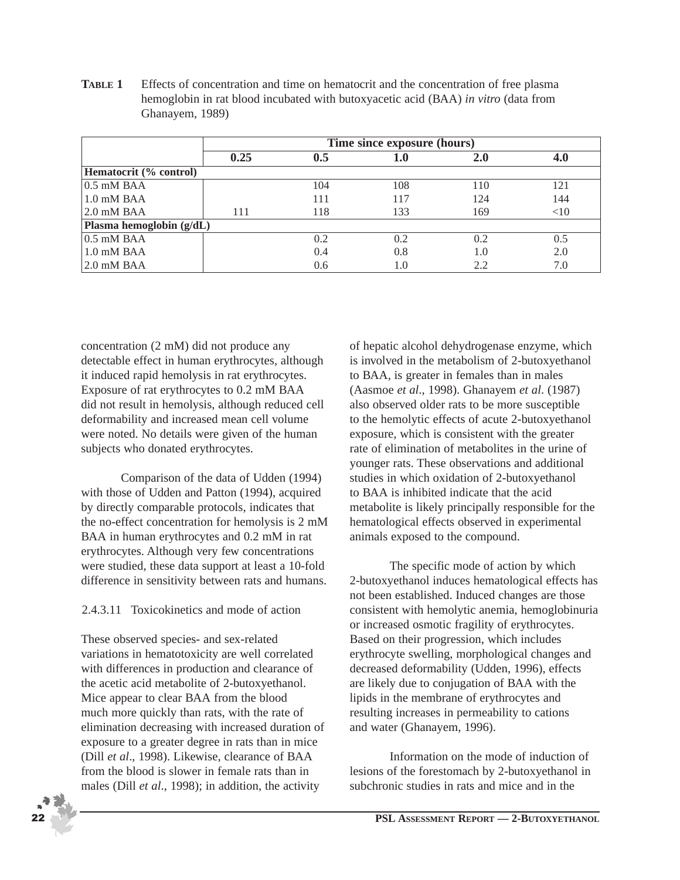**TABLE 1** Effects of concentration and time on hematocrit and the concentration of free plasma hemoglobin in rat blood incubated with butoxyacetic acid (BAA) *in vitro* (data from Ghanayem, 1989)

|                          | Time since exposure (hours) |     |         |     |        |  |  |  |
|--------------------------|-----------------------------|-----|---------|-----|--------|--|--|--|
|                          | 0.25                        | 0.5 | $1.0\,$ | 2.0 | 4.0    |  |  |  |
| Hematocrit (% control)   |                             |     |         |     |        |  |  |  |
| $0.5$ mM BAA             |                             | 104 | 108     | 110 | 121    |  |  |  |
| $1.0 \text{ mM BAA}$     |                             | 111 | 117     | 124 | 144    |  |  |  |
| $2.0$ mM BAA             | 111                         | 118 | 133     | 169 | $<$ 10 |  |  |  |
| Plasma hemoglobin (g/dL) |                             |     |         |     |        |  |  |  |
| $0.5$ mM BAA             |                             | 0.2 | 0.2     | 0.2 | 0.5    |  |  |  |
| $1.0$ mM BAA             |                             | 0.4 | 0.8     | 1.0 | 2.0    |  |  |  |
| $2.0 \text{ mM BAA}$     |                             | 0.6 | 1.0     | 2.2 | 7.0    |  |  |  |

concentration (2 mM) did not produce any detectable effect in human erythrocytes, although it induced rapid hemolysis in rat erythrocytes. Exposure of rat erythrocytes to 0.2 mM BAA did not result in hemolysis, although reduced cell deformability and increased mean cell volume were noted. No details were given of the human subjects who donated erythrocytes.

Comparison of the data of Udden (1994) with those of Udden and Patton (1994), acquired by directly comparable protocols, indicates that the no-effect concentration for hemolysis is 2 mM BAA in human erythrocytes and 0.2 mM in rat erythrocytes. Although very few concentrations were studied, these data support at least a 10-fold difference in sensitivity between rats and humans.

#### 2.4.3.11 Toxicokinetics and mode of action

These observed species- and sex-related variations in hematotoxicity are well correlated with differences in production and clearance of the acetic acid metabolite of 2-butoxyethanol. Mice appear to clear BAA from the blood much more quickly than rats, with the rate of elimination decreasing with increased duration of exposure to a greater degree in rats than in mice (Dill *et al*., 1998). Likewise, clearance of BAA from the blood is slower in female rats than in males (Dill *et al*., 1998); in addition, the activity

of hepatic alcohol dehydrogenase enzyme, which is involved in the metabolism of 2-butoxyethanol to BAA, is greater in females than in males (Aasmoe *et al*., 1998). Ghanayem *et al*. (1987) also observed older rats to be more susceptible to the hemolytic effects of acute 2-butoxyethanol exposure, which is consistent with the greater rate of elimination of metabolites in the urine of younger rats. These observations and additional studies in which oxidation of 2-butoxyethanol to BAA is inhibited indicate that the acid metabolite is likely principally responsible for the hematological effects observed in experimental animals exposed to the compound.

The specific mode of action by which 2-butoxyethanol induces hematological effects has not been established. Induced changes are those consistent with hemolytic anemia, hemoglobinuria or increased osmotic fragility of erythrocytes. Based on their progression, which includes erythrocyte swelling, morphological changes and decreased deformability (Udden, 1996), effects are likely due to conjugation of BAA with the lipids in the membrane of erythrocytes and resulting increases in permeability to cations and water (Ghanayem, 1996).

Information on the mode of induction of lesions of the forestomach by 2-butoxyethanol in subchronic studies in rats and mice and in the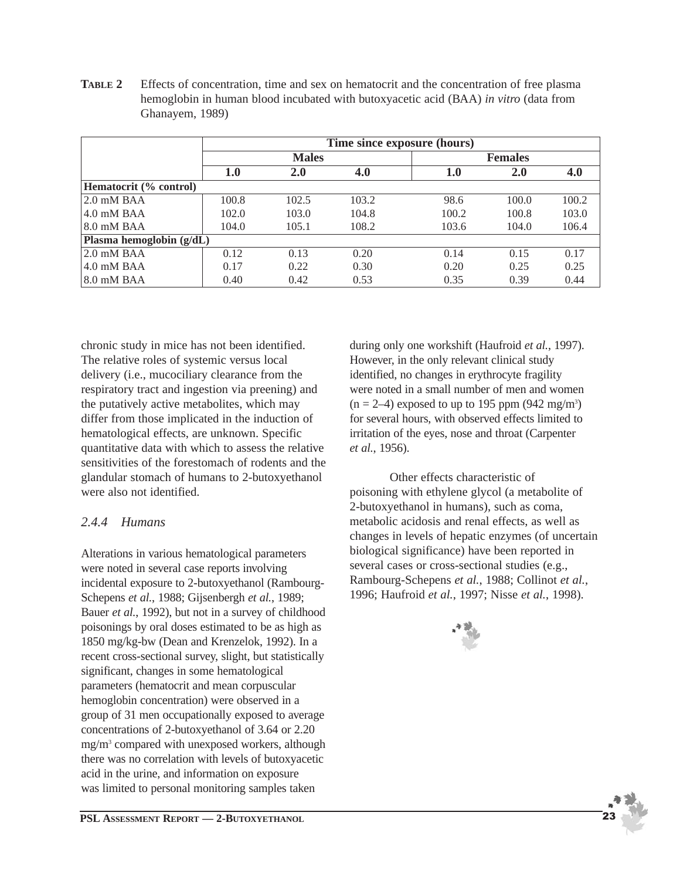**TABLE 2** Effects of concentration, time and sex on hematocrit and the concentration of free plasma hemoglobin in human blood incubated with butoxyacetic acid (BAA) *in vitro* (data from Ghanayem, 1989)

|                            | Time since exposure (hours) |              |       |                |       |       |  |  |
|----------------------------|-----------------------------|--------------|-------|----------------|-------|-------|--|--|
|                            |                             | <b>Males</b> |       | <b>Females</b> |       |       |  |  |
|                            | 1.0                         | 2.0          | 4.0   | 1.0            | 2.0   | 4.0   |  |  |
| Hematocrit (% control)     |                             |              |       |                |       |       |  |  |
| $2.0$ mM BAA               | 100.8                       | 102.5        | 103.2 | 98.6           | 100.0 | 100.2 |  |  |
| $4.0$ mM BAA               | 102.0                       | 103.0        | 104.8 | 100.2          | 100.8 | 103.0 |  |  |
| $8.0$ mM BAA               | 104.0                       | 105.1        | 108.2 | 103.6          | 104.0 | 106.4 |  |  |
| Plasma hemoglobin $(g/dL)$ |                             |              |       |                |       |       |  |  |
| $2.0$ mM BAA               | 0.12                        | 0.13         | 0.20  | 0.14           | 0.15  | 0.17  |  |  |
| $4.0 \text{ mM BAA}$       | 0.17                        | 0.22         | 0.30  | 0.20           | 0.25  | 0.25  |  |  |
| 8.0 mM BAA                 | 0.40                        | 0.42         | 0.53  | 0.35           | 0.39  | 0.44  |  |  |

chronic study in mice has not been identified. The relative roles of systemic versus local delivery (i.e., mucociliary clearance from the respiratory tract and ingestion via preening) and the putatively active metabolites, which may differ from those implicated in the induction of hematological effects, are unknown. Specific quantitative data with which to assess the relative sensitivities of the forestomach of rodents and the glandular stomach of humans to 2-butoxyethanol were also not identified.

### *2.4.4 Humans*

Alterations in various hematological parameters were noted in several case reports involving incidental exposure to 2-butoxyethanol (Rambourg-Schepens *et al.*, 1988; Gijsenbergh *et al.*, 1989; Bauer *et al.*, 1992), but not in a survey of childhood poisonings by oral doses estimated to be as high as 1850 mg/kg-bw (Dean and Krenzelok, 1992). In a recent cross-sectional survey, slight, but statistically significant, changes in some hematological parameters (hematocrit and mean corpuscular hemoglobin concentration) were observed in a group of 31 men occupationally exposed to average concentrations of 2-butoxyethanol of 3.64 or 2.20 mg/m3 compared with unexposed workers, although there was no correlation with levels of butoxyacetic acid in the urine, and information on exposure was limited to personal monitoring samples taken

during only one workshift (Haufroid *et al.*, 1997). However, in the only relevant clinical study identified, no changes in erythrocyte fragility were noted in a small number of men and women  $(n = 2-4)$  exposed to up to 195 ppm (942 mg/m<sup>3</sup>) for several hours, with observed effects limited to irritation of the eyes, nose and throat (Carpenter *et al.*, 1956).

Other effects characteristic of poisoning with ethylene glycol (a metabolite of 2-butoxyethanol in humans), such as coma, metabolic acidosis and renal effects, as well as changes in levels of hepatic enzymes (of uncertain biological significance) have been reported in several cases or cross-sectional studies (e.g., Rambourg-Schepens *et al.*, 1988; Collinot *et al.*, 1996; Haufroid *et al.*, 1997; Nisse *et al.*, 1998).

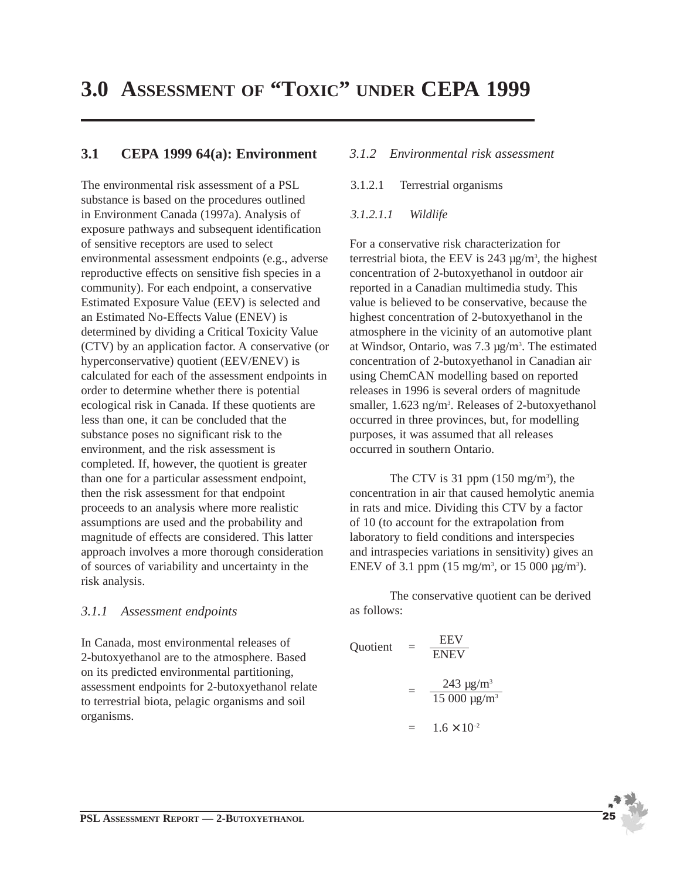## **3.0 ASSESSMENT OF "TOXIC" UNDER CEPA 1999**

### **3.1 CEPA 1999 64(a): Environment**

The environmental risk assessment of a PSL substance is based on the procedures outlined in Environment Canada (1997a). Analysis of exposure pathways and subsequent identification of sensitive receptors are used to select environmental assessment endpoints (e.g., adverse reproductive effects on sensitive fish species in a community). For each endpoint, a conservative Estimated Exposure Value (EEV) is selected and an Estimated No-Effects Value (ENEV) is determined by dividing a Critical Toxicity Value (CTV) by an application factor. A conservative (or hyperconservative) quotient (EEV/ENEV) is calculated for each of the assessment endpoints in order to determine whether there is potential ecological risk in Canada. If these quotients are less than one, it can be concluded that the substance poses no significant risk to the environment, and the risk assessment is completed. If, however, the quotient is greater than one for a particular assessment endpoint, then the risk assessment for that endpoint proceeds to an analysis where more realistic assumptions are used and the probability and magnitude of effects are considered. This latter approach involves a more thorough consideration of sources of variability and uncertainty in the risk analysis.

#### *3.1.1 Assessment endpoints*

In Canada, most environmental releases of 2-butoxyethanol are to the atmosphere. Based on its predicted environmental partitioning, assessment endpoints for 2-butoxyethanol relate to terrestrial biota, pelagic organisms and soil organisms.

#### *3.1.2 Environmental risk assessment*

3.1.2.1 Terrestrial organisms

#### *3.1.2.1.1 Wildlife*

For a conservative risk characterization for terrestrial biota, the EEV is  $243 \mu g/m^3$ , the highest concentration of 2-butoxyethanol in outdoor air reported in a Canadian multimedia study. This value is believed to be conservative, because the highest concentration of 2-butoxyethanol in the atmosphere in the vicinity of an automotive plant at Windsor, Ontario, was  $7.3 \mu g/m<sup>3</sup>$ . The estimated concentration of 2-butoxyethanol in Canadian air using ChemCAN modelling based on reported releases in 1996 is several orders of magnitude smaller, 1.623 ng/m<sup>3</sup>. Releases of 2-butoxyethanol occurred in three provinces, but, for modelling purposes, it was assumed that all releases occurred in southern Ontario.

The CTV is 31 ppm  $(150 \text{ mg/m}^3)$ , the concentration in air that caused hemolytic anemia in rats and mice. Dividing this CTV by a factor of 10 (to account for the extrapolation from laboratory to field conditions and interspecies and intraspecies variations in sensitivity) gives an ENEV of 3.1 ppm  $(15 \text{ mg/m}^3)$ , or  $15\,000 \text{ µg/m}^3$ ).

The conservative quotient can be derived as follows:

Quotient =  $\frac{EFV}{ENEV}$ 

$$
= \frac{243 \text{ }\mu\text{g/m}^3}{15\ 000 \text{ }\mu\text{g/m}^3}
$$

$$
= 1.6 \times 10^{-2}
$$

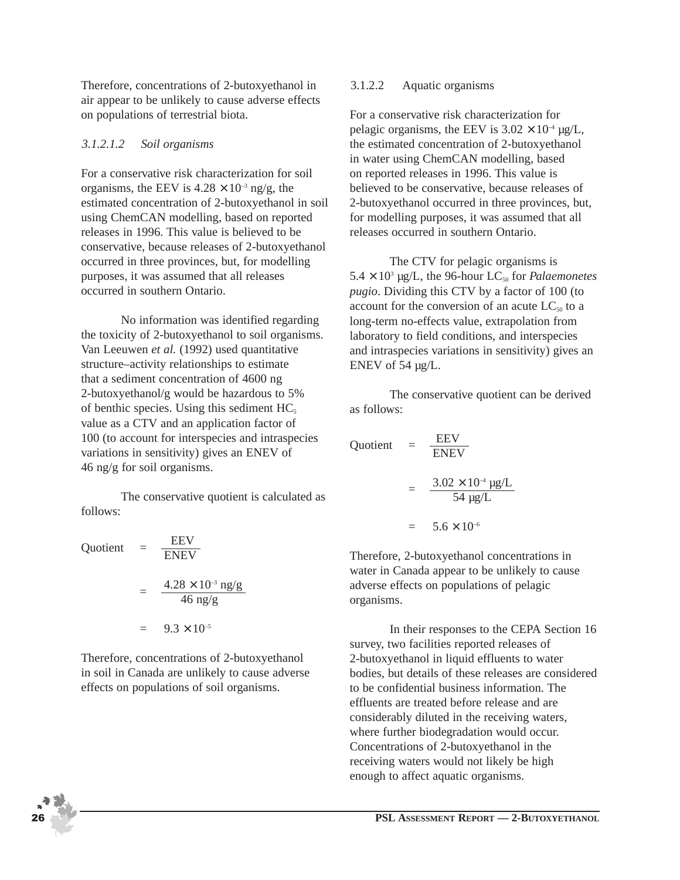Therefore, concentrations of 2-butoxyethanol in air appear to be unlikely to cause adverse effects on populations of terrestrial biota.

#### *3.1.2.1.2 Soil organisms*

For a conservative risk characterization for soil organisms, the EEV is  $4.28 \times 10^{-3}$  ng/g, the estimated concentration of 2-butoxyethanol in soil using ChemCAN modelling, based on reported releases in 1996. This value is believed to be conservative, because releases of 2-butoxyethanol occurred in three provinces, but, for modelling purposes, it was assumed that all releases occurred in southern Ontario.

No information was identified regarding the toxicity of 2-butoxyethanol to soil organisms. Van Leeuwen *et al.* (1992) used quantitative structure–activity relationships to estimate that a sediment concentration of 4600 ng 2-butoxyethanol/g would be hazardous to 5% of benthic species. Using this sediment  $HC<sub>5</sub>$ value as a CTV and an application factor of 100 (to account for interspecies and intraspecies variations in sensitivity) gives an ENEV of 46 ng/g for soil organisms.

The conservative quotient is calculated as follows:

Quotient 
$$
= \frac{EEV}{ENEV}
$$

$$
= \frac{4.28 \times 10^{-3} \text{ ng/g}}{46 \text{ ng/g}}
$$

$$
= 9.3 \times 10^{-5}
$$

Therefore, concentrations of 2-butoxyethanol in soil in Canada are unlikely to cause adverse effects on populations of soil organisms.

#### 3.1.2.2 Aquatic organisms

For a conservative risk characterization for pelagic organisms, the EEV is  $3.02 \times 10^{-4}$  µg/L, the estimated concentration of 2-butoxyethanol in water using ChemCAN modelling, based on reported releases in 1996. This value is believed to be conservative, because releases of 2-butoxyethanol occurred in three provinces, but, for modelling purposes, it was assumed that all releases occurred in southern Ontario.

The CTV for pelagic organisms is  $5.4 \times 10^3$  µg/L, the 96-hour LC<sub>50</sub> for *Palaemonetes pugio*. Dividing this CTV by a factor of 100 (to account for the conversion of an acute  $LC_{50}$  to a long-term no-effects value, extrapolation from laboratory to field conditions, and interspecies and intraspecies variations in sensitivity) gives an ENEV of 54 µg/L.

The conservative quotient can be derived as follows:

Quotient 
$$
= \frac{EEV}{ENEV}
$$

$$
= \frac{3.02 \times 10^{-4} \text{ kg/L}}{54 \text{ kg/L}}
$$

$$
= 5.6 \times 10^{-6}
$$

Therefore, 2-butoxyethanol concentrations in water in Canada appear to be unlikely to cause adverse effects on populations of pelagic organisms.

In their responses to the CEPA Section 16 survey, two facilities reported releases of 2-butoxyethanol in liquid effluents to water bodies, but details of these releases are considered to be confidential business information. The effluents are treated before release and are considerably diluted in the receiving waters, where further biodegradation would occur. Concentrations of 2-butoxyethanol in the receiving waters would not likely be high enough to affect aquatic organisms.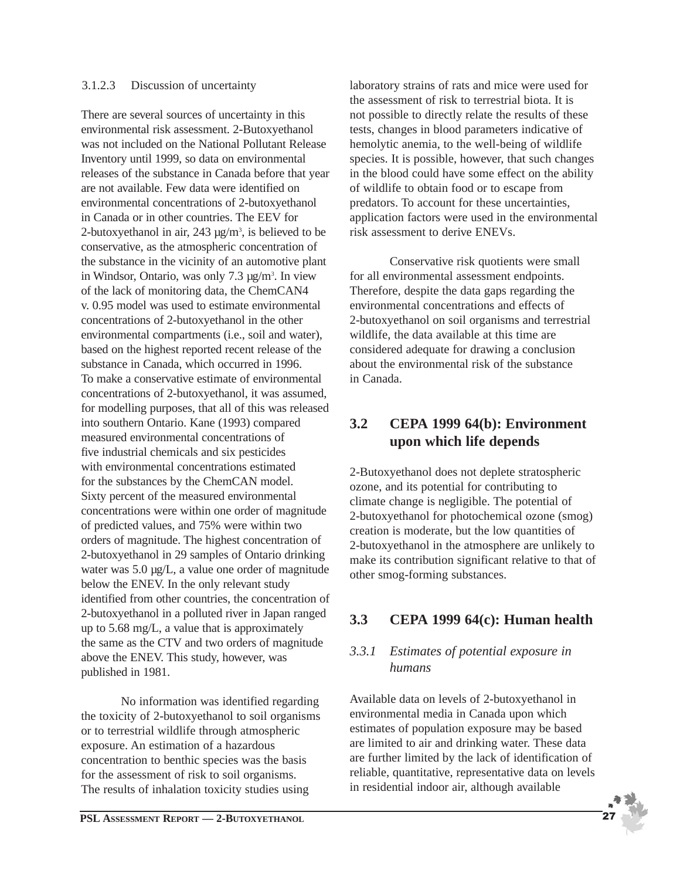#### 3.1.2.3 Discussion of uncertainty

There are several sources of uncertainty in this environmental risk assessment. 2-Butoxyethanol was not included on the National Pollutant Release Inventory until 1999, so data on environmental releases of the substance in Canada before that year are not available. Few data were identified on environmental concentrations of 2-butoxyethanol in Canada or in other countries. The EEV for 2-butoxyethanol in air,  $243 \mu g/m^3$ , is believed to be conservative, as the atmospheric concentration of the substance in the vicinity of an automotive plant in Windsor, Ontario, was only 7.3 µg/m<sup>3</sup>. In view of the lack of monitoring data, the ChemCAN4 v. 0.95 model was used to estimate environmental concentrations of 2-butoxyethanol in the other environmental compartments (i.e., soil and water), based on the highest reported recent release of the substance in Canada, which occurred in 1996. To make a conservative estimate of environmental concentrations of 2-butoxyethanol, it was assumed, for modelling purposes, that all of this was released into southern Ontario. Kane (1993) compared measured environmental concentrations of five industrial chemicals and six pesticides with environmental concentrations estimated for the substances by the ChemCAN model. Sixty percent of the measured environmental concentrations were within one order of magnitude of predicted values, and 75% were within two orders of magnitude. The highest concentration of 2-butoxyethanol in 29 samples of Ontario drinking water was 5.0  $\mu$ g/L, a value one order of magnitude below the ENEV. In the only relevant study identified from other countries, the concentration of 2-butoxyethanol in a polluted river in Japan ranged up to 5.68 mg/L, a value that is approximately the same as the CTV and two orders of magnitude above the ENEV. This study, however, was published in 1981.

No information was identified regarding the toxicity of 2-butoxyethanol to soil organisms or to terrestrial wildlife through atmospheric exposure. An estimation of a hazardous concentration to benthic species was the basis for the assessment of risk to soil organisms. The results of inhalation toxicity studies using

laboratory strains of rats and mice were used for the assessment of risk to terrestrial biota. It is not possible to directly relate the results of these tests, changes in blood parameters indicative of hemolytic anemia, to the well-being of wildlife species. It is possible, however, that such changes in the blood could have some effect on the ability of wildlife to obtain food or to escape from predators. To account for these uncertainties, application factors were used in the environmental risk assessment to derive ENEVs.

Conservative risk quotients were small for all environmental assessment endpoints. Therefore, despite the data gaps regarding the environmental concentrations and effects of 2-butoxyethanol on soil organisms and terrestrial wildlife, the data available at this time are considered adequate for drawing a conclusion about the environmental risk of the substance in Canada.

## **3.2 CEPA 1999 64(b): Environment upon which life depends**

2-Butoxyethanol does not deplete stratospheric ozone, and its potential for contributing to climate change is negligible. The potential of 2-butoxyethanol for photochemical ozone (smog) creation is moderate, but the low quantities of 2-butoxyethanol in the atmosphere are unlikely to make its contribution significant relative to that of other smog-forming substances.

## **3.3 CEPA 1999 64(c): Human health**

## *3.3.1 Estimates of potential exposure in humans*

Available data on levels of 2-butoxyethanol in environmental media in Canada upon which estimates of population exposure may be based are limited to air and drinking water. These data are further limited by the lack of identification of reliable, quantitative, representative data on levels in residential indoor air, although available

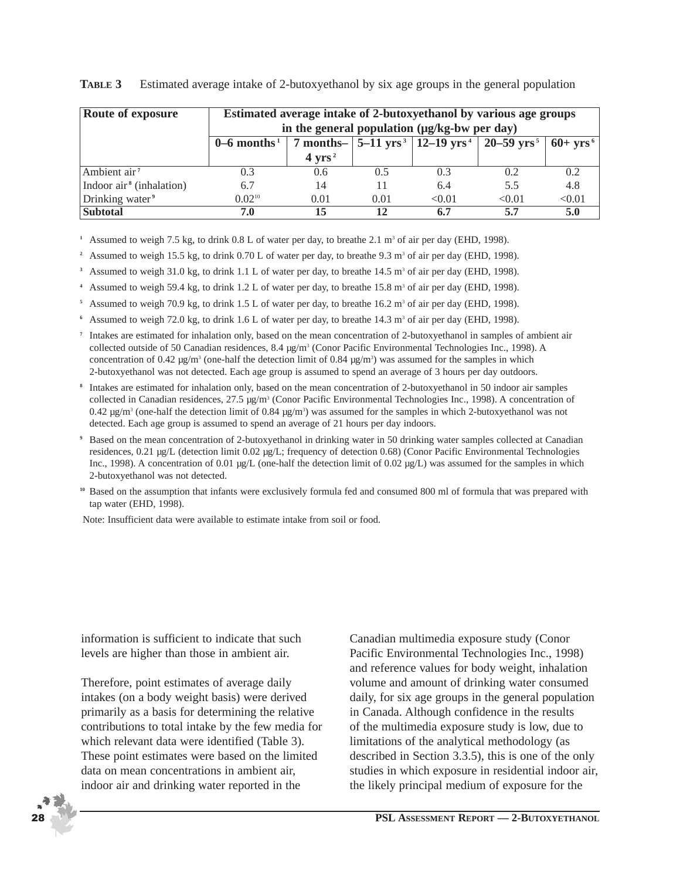| Route of exposure                    | Estimated average intake of 2-butoxyethanol by various age groups<br>in the general population (µg/kg-bw per day) |                   |      |        |                                                                          |                        |  |  |
|--------------------------------------|-------------------------------------------------------------------------------------------------------------------|-------------------|------|--------|--------------------------------------------------------------------------|------------------------|--|--|
|                                      | $0-6$ months <sup>1</sup>                                                                                         |                   |      |        | 7 months- $ 5-11 \text{ yrs}^3 12-19 \text{ yrs}^4 20-59 \text{ yrs}^5 $ | $60+$ vrs <sup>6</sup> |  |  |
|                                      |                                                                                                                   | $4 \text{ yrs}^2$ |      |        |                                                                          |                        |  |  |
| Ambient air <sup>7</sup>             | 0.3                                                                                                               | 0.6               | 0.5  | 0.3    | 0.2                                                                      | 0.2                    |  |  |
| Indoor air <sup>8</sup> (inhalation) | 6.7                                                                                                               | 14                | 11   | 6.4    | 5.5                                                                      | 4.8                    |  |  |
| Drinking water <sup>9</sup>          | $0.02^{10}$                                                                                                       | 0.01              | 0.01 | < 0.01 | < 0.01                                                                   | < 0.01                 |  |  |
| <b>Subtotal</b>                      | 7.0                                                                                                               | 15                | 12   | 6.7    | 5.7                                                                      | 5.0                    |  |  |

#### **TABLE 3** Estimated average intake of 2-butoxyethanol by six age groups in the general population

<sup>1</sup> Assumed to weigh 7.5 kg, to drink  $0.8$  L of water per day, to breathe 2.1 m<sup>3</sup> of air per day (EHD, 1998).

<sup>2</sup> Assumed to weigh 15.5 kg, to drink 0.70 L of water per day, to breathe 9.3 m<sup>3</sup> of air per day (EHD, 1998).

<sup>3</sup> Assumed to weigh 31.0 kg, to drink 1.1 L of water per day, to breathe 14.5 m<sup>3</sup> of air per day (EHD, 1998).

**<sup>4</sup>** Assumed to weigh 59.4 kg, to drink 1.2 L of water per day, to breathe 15.8 m3 of air per day (EHD, 1998).

<sup>5</sup> Assumed to weigh 70.9 kg, to drink 1.5 L of water per day, to breathe  $16.2 \text{ m}^3$  of air per day (EHD, 1998).

<sup>6</sup> Assumed to weigh 72.0 kg, to drink 1.6 L of water per day, to breathe  $14.3$  m<sup>3</sup> of air per day (EHD, 1998).

- **<sup>7</sup>** Intakes are estimated for inhalation only, based on the mean concentration of 2-butoxyethanol in samples of ambient air collected outside of 50 Canadian residences, 8.4  $\mu$ g/m<sup>3</sup> (Conor Pacific Environmental Technologies Inc., 1998). A concentration of 0.42  $\mu$ g/m<sup>3</sup> (one-half the detection limit of 0.84  $\mu$ g/m<sup>3</sup>) was assumed for the samples in which 2-butoxyethanol was not detected. Each age group is assumed to spend an average of 3 hours per day outdoors.
- **<sup>8</sup>** Intakes are estimated for inhalation only, based on the mean concentration of 2-butoxyethanol in 50 indoor air samples collected in Canadian residences,  $27.5 \mu\text{g/m}^3$  (Conor Pacific Environmental Technologies Inc., 1998). A concentration of 0.42  $\mu$ g/m<sup>3</sup> (one-half the detection limit of 0.84  $\mu$ g/m<sup>3</sup>) was assumed for the samples in which 2-butoxyethanol was not detected. Each age group is assumed to spend an average of 21 hours per day indoors.
- **<sup>9</sup>** Based on the mean concentration of 2-butoxyethanol in drinking water in 50 drinking water samples collected at Canadian residences, 0.21 µg/L (detection limit 0.02 µg/L; frequency of detection 0.68) (Conor Pacific Environmental Technologies Inc., 1998). A concentration of 0.01  $\mu$ g/L (one-half the detection limit of 0.02  $\mu$ g/L) was assumed for the samples in which 2-butoxyethanol was not detected.

**<sup>10</sup>** Based on the assumption that infants were exclusively formula fed and consumed 800 ml of formula that was prepared with tap water (EHD, 1998).

Note: Insufficient data were available to estimate intake from soil or food.

information is sufficient to indicate that such levels are higher than those in ambient air.

Therefore, point estimates of average daily intakes (on a body weight basis) were derived primarily as a basis for determining the relative contributions to total intake by the few media for which relevant data were identified (Table 3). These point estimates were based on the limited data on mean concentrations in ambient air, indoor air and drinking water reported in the

Canadian multimedia exposure study (Conor Pacific Environmental Technologies Inc., 1998) and reference values for body weight, inhalation volume and amount of drinking water consumed daily, for six age groups in the general population in Canada. Although confidence in the results of the multimedia exposure study is low, due to limitations of the analytical methodology (as described in Section 3.3.5), this is one of the only studies in which exposure in residential indoor air, the likely principal medium of exposure for the

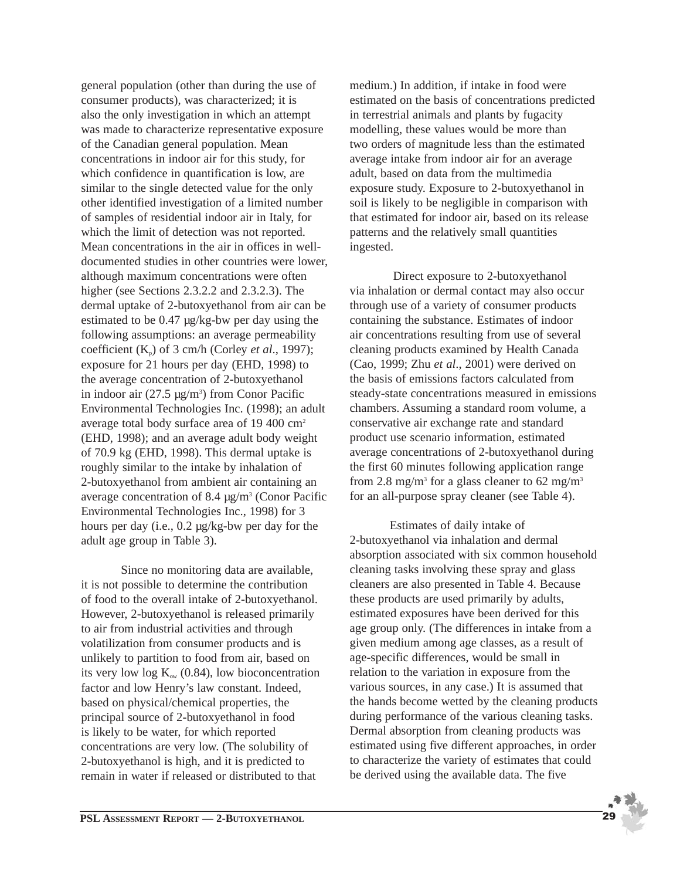general population (other than during the use of consumer products), was characterized; it is also the only investigation in which an attempt was made to characterize representative exposure of the Canadian general population. Mean concentrations in indoor air for this study, for which confidence in quantification is low, are similar to the single detected value for the only other identified investigation of a limited number of samples of residential indoor air in Italy, for which the limit of detection was not reported. Mean concentrations in the air in offices in welldocumented studies in other countries were lower, although maximum concentrations were often higher (see Sections 2.3.2.2 and 2.3.2.3). The dermal uptake of 2-butoxyethanol from air can be estimated to be 0.47 µg/kg-bw per day using the following assumptions: an average permeability coefficient (Kp) of 3 cm/h (Corley *et al*., 1997); exposure for 21 hours per day (EHD, 1998) to the average concentration of 2-butoxyethanol in indoor air  $(27.5 \text{ µg/m}^3)$  from Conor Pacific Environmental Technologies Inc. (1998); an adult average total body surface area of 19 400 cm2 (EHD, 1998); and an average adult body weight of 70.9 kg (EHD, 1998). This dermal uptake is roughly similar to the intake by inhalation of 2-butoxyethanol from ambient air containing an average concentration of 8.4  $\mu$ g/m<sup>3</sup> (Conor Pacific Environmental Technologies Inc., 1998) for 3 hours per day (i.e., 0.2 µg/kg-bw per day for the adult age group in Table 3).

Since no monitoring data are available, it is not possible to determine the contribution of food to the overall intake of 2-butoxyethanol. However, 2-butoxyethanol is released primarily to air from industrial activities and through volatilization from consumer products and is unlikely to partition to food from air, based on its very low log  $K_{ow}$  (0.84), low bioconcentration factor and low Henry's law constant. Indeed, based on physical/chemical properties, the principal source of 2-butoxyethanol in food is likely to be water, for which reported concentrations are very low. (The solubility of 2-butoxyethanol is high, and it is predicted to remain in water if released or distributed to that

medium.) In addition, if intake in food were estimated on the basis of concentrations predicted in terrestrial animals and plants by fugacity modelling, these values would be more than two orders of magnitude less than the estimated average intake from indoor air for an average adult, based on data from the multimedia exposure study. Exposure to 2-butoxyethanol in soil is likely to be negligible in comparison with that estimated for indoor air, based on its release patterns and the relatively small quantities ingested.

Direct exposure to 2-butoxyethanol via inhalation or dermal contact may also occur through use of a variety of consumer products containing the substance. Estimates of indoor air concentrations resulting from use of several cleaning products examined by Health Canada (Cao, 1999; Zhu *et al*., 2001) were derived on the basis of emissions factors calculated from steady-state concentrations measured in emissions chambers. Assuming a standard room volume, a conservative air exchange rate and standard product use scenario information, estimated average concentrations of 2-butoxyethanol during the first 60 minutes following application range from 2.8 mg/m<sup>3</sup> for a glass cleaner to 62 mg/m<sup>3</sup> for an all-purpose spray cleaner (see Table 4).

Estimates of daily intake of 2-butoxyethanol via inhalation and dermal absorption associated with six common household cleaning tasks involving these spray and glass cleaners are also presented in Table 4. Because these products are used primarily by adults, estimated exposures have been derived for this age group only. (The differences in intake from a given medium among age classes, as a result of age-specific differences, would be small in relation to the variation in exposure from the various sources, in any case.) It is assumed that the hands become wetted by the cleaning products during performance of the various cleaning tasks. Dermal absorption from cleaning products was estimated using five different approaches, in order to characterize the variety of estimates that could be derived using the available data. The five

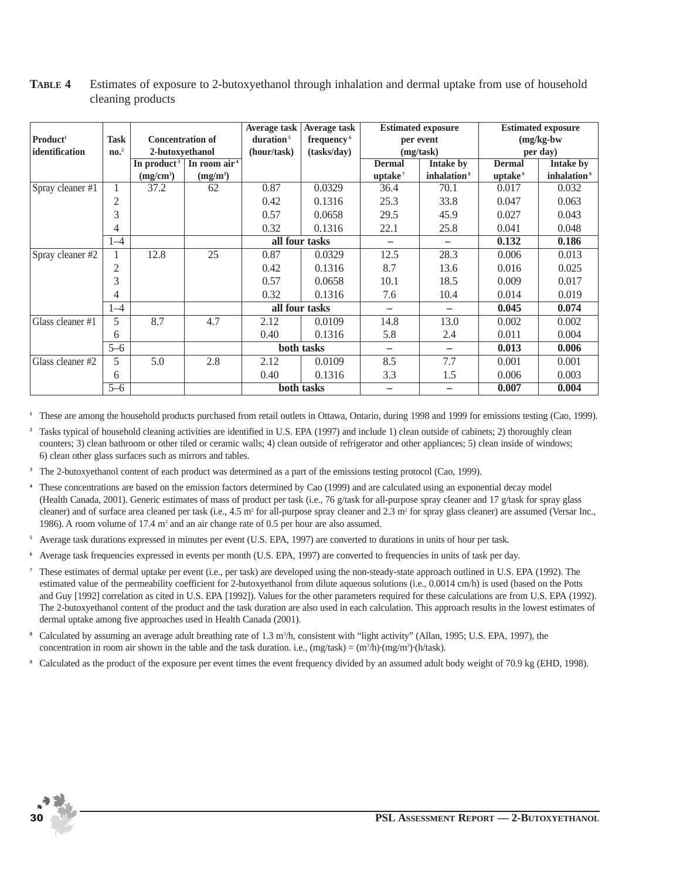|                      |                                        |                         |                       | Average task           | Average task   | <b>Estimated</b> exposure |                         | <b>Estimated exposure</b> |                         |
|----------------------|----------------------------------------|-------------------------|-----------------------|------------------------|----------------|---------------------------|-------------------------|---------------------------|-------------------------|
| Product <sup>1</sup> | <b>Task</b><br><b>Concentration of</b> |                         | duration <sup>5</sup> | frequency <sup>6</sup> | per event      |                           | $(mg/kg-bw)$            |                           |                         |
| identification       | $\mathbf{n}\mathbf{o}$ <sup>2</sup>    | 2-butoxyethanol         |                       | (hour/task)            | (tasks/dav)    | (mg/task)                 |                         | per day)                  |                         |
|                      |                                        | In product <sup>3</sup> | In room $air4$        |                        |                | <b>Dermal</b>             | Intake by               | <b>Dermal</b>             | <b>Intake by</b>        |
|                      |                                        | (mg/cm <sup>3</sup> )   | $(mg/m^3)$            |                        |                | uptake <sup>7</sup>       | inhalation <sup>8</sup> | uptake <sup>9</sup>       | inhalation <sup>9</sup> |
| Spray cleaner #1     |                                        | 37.2                    | 62                    | 0.87                   | 0.0329         | 36.4                      | 70.1                    | 0.017                     | 0.032                   |
|                      | 2                                      |                         |                       | 0.42                   | 0.1316         | 25.3                      | 33.8                    | 0.047                     | 0.063                   |
|                      | 3                                      |                         |                       | 0.57                   | 0.0658         | 29.5                      | 45.9                    | 0.027                     | 0.043                   |
|                      | 4                                      |                         |                       | 0.32                   | 0.1316         | 22.1                      | 25.8                    | 0.041                     | 0.048                   |
|                      | $1 - 4$                                |                         |                       | all four tasks         |                | $\qquad \qquad -$         |                         | 0.132                     | 0.186                   |
| Spray cleaner #2     |                                        | 12.8                    | 25                    | 0.87                   | 0.0329         | 12.5                      | 28.3                    | 0.006                     | 0.013                   |
|                      | 2                                      |                         |                       | 0.42                   | 0.1316         | 8.7                       | 13.6                    | 0.016                     | 0.025                   |
|                      | 3                                      |                         |                       | 0.57                   | 0.0658         | 10.1                      | 18.5                    | 0.009                     | 0.017                   |
|                      | 4                                      |                         |                       | 0.32                   | 0.1316         | 7.6                       | 10.4                    | 0.014                     | 0.019                   |
|                      | $1 - 4$                                |                         |                       |                        | all four tasks |                           |                         | 0.045                     | 0.074                   |
| Glass cleaner #1     | 5                                      | 8.7                     | 4.7                   | 2.12                   | 0.0109         | 14.8                      | 13.0                    | 0.002                     | 0.002                   |
|                      | 6                                      |                         |                       | 0.40                   | 0.1316         | 5.8                       | 2.4                     | 0.011                     | 0.004                   |
|                      | $5 - 6$                                |                         |                       |                        | both tasks     | $\overline{\phantom{0}}$  |                         | 0.013                     | 0.006                   |
| Glass cleaner #2     | 5                                      | 5.0                     | 2.8                   | 2.12                   | 0.0109         | 8.5                       | 7.7                     | 0.001                     | 0.001                   |
|                      | 6                                      |                         |                       | 0.40                   | 0.1316         | 3.3                       | 1.5                     | 0.006                     | 0.003                   |
|                      | $5 - 6$                                |                         |                       |                        | both tasks     |                           |                         | 0.007                     | 0.004                   |

#### **TABLE 4** Estimates of exposure to 2-butoxyethanol through inhalation and dermal uptake from use of household cleaning products

**<sup>1</sup>** These are among the household products purchased from retail outlets in Ottawa, Ontario, during 1998 and 1999 for emissions testing (Cao, 1999).

- **<sup>2</sup>** Tasks typical of household cleaning activities are identified in U.S. EPA (1997) and include 1) clean outside of cabinets; 2) thoroughly clean counters; 3) clean bathroom or other tiled or ceramic walls; 4) clean outside of refrigerator and other appliances; 5) clean inside of windows; 6) clean other glass surfaces such as mirrors and tables.
- <sup>3</sup> The 2-butoxyethanol content of each product was determined as a part of the emissions testing protocol (Cao, 1999).
- **<sup>4</sup>**These concentrations are based on the emission factors determined by Cao (1999) and are calculated using an exponential decay model (Health Canada, 2001). Generic estimates of mass of product per task (i.e., 76 g/task for all-purpose spray cleaner and 17 g/task for spray glass cleaner) and of surface area cleaned per task (i.e., 4.5 m<sup>2</sup> for all-purpose spray cleaner and 2.3 m<sup>2</sup> for spray glass cleaner) are assumed (Versar Inc., 1986). A room volume of 17.4 m<sup>3</sup> and an air change rate of 0.5 per hour are also assumed.
- **<sup>5</sup>**Average task durations expressed in minutes per event (U.S. EPA, 1997) are converted to durations in units of hour per task.
- **<sup>6</sup>**Average task frequencies expressed in events per month (U.S. EPA, 1997) are converted to frequencies in units of task per day.
- **<sup>7</sup>**These estimates of dermal uptake per event (i.e., per task) are developed using the non-steady-state approach outlined in U.S. EPA (1992). The estimated value of the permeability coefficient for 2-butoxyethanol from dilute aqueous solutions (i.e., 0.0014 cm/h) is used (based on the Potts and Guy [1992] correlation as cited in U.S. EPA [1992]). Values for the other parameters required for these calculations are from U.S. EPA (1992). The 2-butoxyethanol content of the product and the task duration are also used in each calculation. This approach results in the lowest estimates of dermal uptake among five approaches used in Health Canada (2001).
- <sup>8</sup> Calculated by assuming an average adult breathing rate of 1.3 m<sup>3</sup>/h, consistent with "light activity" (Allan, 1995; U.S. EPA, 1997), the concentration in room air shown in the table and the task duration. i.e.,  $(mz/task) = (m^3/h)·(mz/m^3)·(h/task)$ .
- **9** Calculated as the product of the exposure per event times the event frequency divided by an assumed adult body weight of 70.9 kg (EHD, 1998).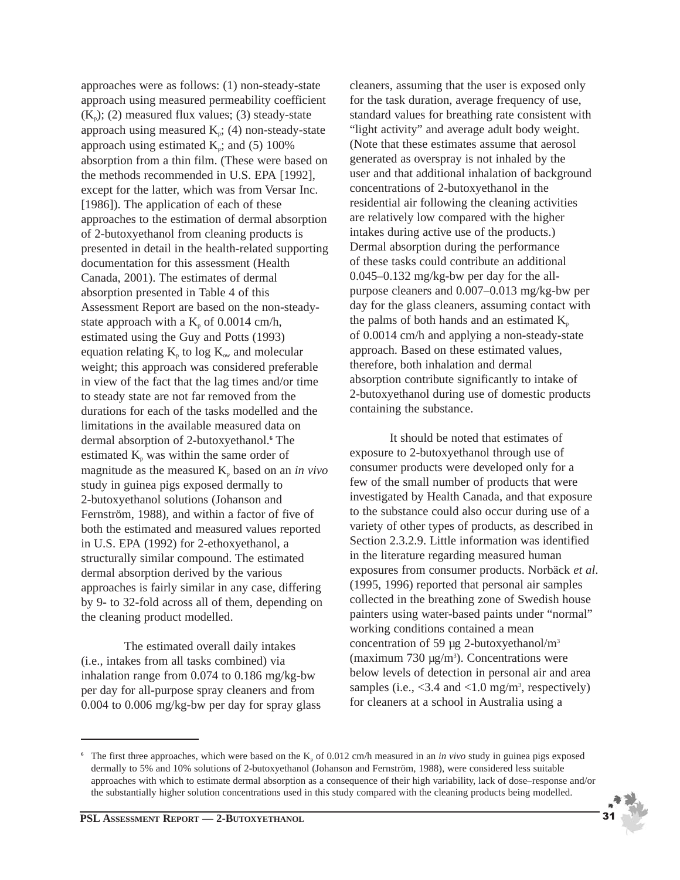approaches were as follows: (1) non-steady-state approach using measured permeability coefficient  $(K_p)$ ; (2) measured flux values; (3) steady-state approach using measured  $K_p$ ; (4) non-steady-state approach using estimated  $K_p$ ; and (5) 100% absorption from a thin film. (These were based on the methods recommended in U.S. EPA [1992], except for the latter, which was from Versar Inc. [1986]). The application of each of these approaches to the estimation of dermal absorption of 2-butoxyethanol from cleaning products is presented in detail in the health-related supporting documentation for this assessment (Health Canada, 2001). The estimates of dermal absorption presented in Table 4 of this Assessment Report are based on the non-steadystate approach with a  $K_p$  of 0.0014 cm/h, estimated using the Guy and Potts (1993) equation relating  $K_p$  to log  $K_{ow}$  and molecular weight; this approach was considered preferable in view of the fact that the lag times and/or time to steady state are not far removed from the durations for each of the tasks modelled and the limitations in the available measured data on dermal absorption of 2-butoxyethanol.**<sup>6</sup>** The estimated  $K_p$  was within the same order of magnitude as the measured  $K_p$  based on an *in vivo* study in guinea pigs exposed dermally to 2-butoxyethanol solutions (Johanson and Fernström, 1988), and within a factor of five of both the estimated and measured values reported in U.S. EPA (1992) for 2-ethoxyethanol, a structurally similar compound. The estimated dermal absorption derived by the various approaches is fairly similar in any case, differing by 9- to 32-fold across all of them, depending on the cleaning product modelled.

The estimated overall daily intakes (i.e., intakes from all tasks combined) via inhalation range from 0.074 to 0.186 mg/kg-bw per day for all-purpose spray cleaners and from 0.004 to 0.006 mg/kg-bw per day for spray glass cleaners, assuming that the user is exposed only for the task duration, average frequency of use, standard values for breathing rate consistent with "light activity" and average adult body weight. (Note that these estimates assume that aerosol generated as overspray is not inhaled by the user and that additional inhalation of background concentrations of 2-butoxyethanol in the residential air following the cleaning activities are relatively low compared with the higher intakes during active use of the products.) Dermal absorption during the performance of these tasks could contribute an additional 0.045–0.132 mg/kg-bw per day for the allpurpose cleaners and 0.007–0.013 mg/kg-bw per day for the glass cleaners, assuming contact with the palms of both hands and an estimated  $K_p$ of 0.0014 cm/h and applying a non-steady-state approach. Based on these estimated values, therefore, both inhalation and dermal absorption contribute significantly to intake of 2-butoxyethanol during use of domestic products containing the substance.

It should be noted that estimates of exposure to 2-butoxyethanol through use of consumer products were developed only for a few of the small number of products that were investigated by Health Canada, and that exposure to the substance could also occur during use of a variety of other types of products, as described in Section 2.3.2.9. Little information was identified in the literature regarding measured human exposures from consumer products. Norbäck *et al*. (1995, 1996) reported that personal air samples collected in the breathing zone of Swedish house painters using water-based paints under "normal" working conditions contained a mean concentration of 59  $\mu$ g 2-butoxyethanol/m<sup>3</sup>  $(\text{maximum } 730 \text{ µg/m}^3)$ . Concentrations were below levels of detection in personal air and area samples (i.e.,  $<$ 3.4 and  $<$ 1.0 mg/m<sup>3</sup>, respectively) for cleaners at a school in Australia using a

<sup>&</sup>lt;sup>6</sup> The first three approaches, which were based on the  $K_p$  of 0.012 cm/h measured in an *in vivo* study in guinea pigs exposed dermally to 5% and 10% solutions of 2-butoxyethanol (Johanson and Fernström, 1988), were considered less suitable approaches with which to estimate dermal absorption as a consequence of their high variability, lack of dose–response and/or the substantially higher solution concentrations used in this study compared with the cleaning products being modelled.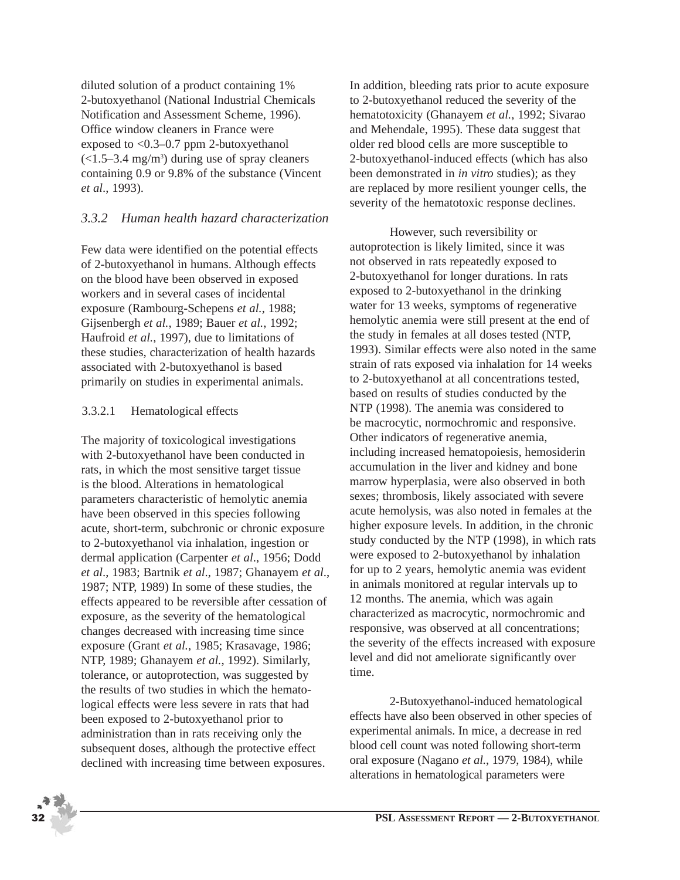diluted solution of a product containing 1% 2-butoxyethanol (National Industrial Chemicals Notification and Assessment Scheme, 1996). Office window cleaners in France were exposed to <0.3–0.7 ppm 2-butoxyethanol  $\left($ <1.5–3.4 mg/m<sup>3</sup> $\right)$  during use of spray cleaners containing 0.9 or 9.8% of the substance (Vincent *et al*., 1993).

#### *3.3.2 Human health hazard characterization*

Few data were identified on the potential effects of 2-butoxyethanol in humans. Although effects on the blood have been observed in exposed workers and in several cases of incidental exposure (Rambourg-Schepens *et al.*, 1988; Gijsenbergh *et al.*, 1989; Bauer *et al.*, 1992; Haufroid *et al.*, 1997), due to limitations of these studies, characterization of health hazards associated with 2-butoxyethanol is based primarily on studies in experimental animals.

#### 3.3.2.1 Hematological effects

The majority of toxicological investigations with 2-butoxyethanol have been conducted in rats, in which the most sensitive target tissue is the blood. Alterations in hematological parameters characteristic of hemolytic anemia have been observed in this species following acute, short-term, subchronic or chronic exposure to 2-butoxyethanol via inhalation, ingestion or dermal application (Carpenter *et al*., 1956; Dodd *et al*., 1983; Bartnik *et al*., 1987; Ghanayem *et al*., 1987; NTP, 1989) In some of these studies, the effects appeared to be reversible after cessation of exposure, as the severity of the hematological changes decreased with increasing time since exposure (Grant *et al.*, 1985; Krasavage, 1986; NTP, 1989; Ghanayem *et al.*, 1992). Similarly, tolerance, or autoprotection, was suggested by the results of two studies in which the hematological effects were less severe in rats that had been exposed to 2-butoxyethanol prior to administration than in rats receiving only the subsequent doses, although the protective effect declined with increasing time between exposures.

In addition, bleeding rats prior to acute exposure to 2-butoxyethanol reduced the severity of the hematotoxicity (Ghanayem *et al.*, 1992; Sivarao and Mehendale, 1995). These data suggest that older red blood cells are more susceptible to 2-butoxyethanol-induced effects (which has also been demonstrated in *in vitro* studies); as they are replaced by more resilient younger cells, the severity of the hematotoxic response declines.

However, such reversibility or autoprotection is likely limited, since it was not observed in rats repeatedly exposed to 2-butoxyethanol for longer durations. In rats exposed to 2-butoxyethanol in the drinking water for 13 weeks, symptoms of regenerative hemolytic anemia were still present at the end of the study in females at all doses tested (NTP, 1993). Similar effects were also noted in the same strain of rats exposed via inhalation for 14 weeks to 2-butoxyethanol at all concentrations tested, based on results of studies conducted by the NTP (1998). The anemia was considered to be macrocytic, normochromic and responsive. Other indicators of regenerative anemia, including increased hematopoiesis, hemosiderin accumulation in the liver and kidney and bone marrow hyperplasia, were also observed in both sexes; thrombosis, likely associated with severe acute hemolysis, was also noted in females at the higher exposure levels. In addition, in the chronic study conducted by the NTP (1998), in which rats were exposed to 2-butoxyethanol by inhalation for up to 2 years, hemolytic anemia was evident in animals monitored at regular intervals up to 12 months. The anemia, which was again characterized as macrocytic, normochromic and responsive, was observed at all concentrations; the severity of the effects increased with exposure level and did not ameliorate significantly over time.

2-Butoxyethanol-induced hematological effects have also been observed in other species of experimental animals. In mice, a decrease in red blood cell count was noted following short-term oral exposure (Nagano *et al.*, 1979, 1984), while alterations in hematological parameters were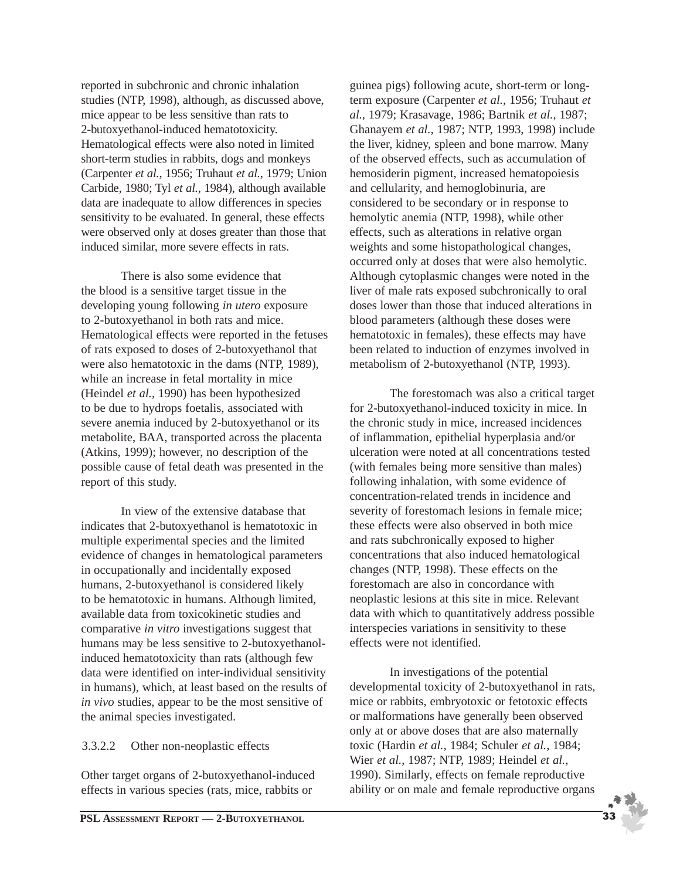reported in subchronic and chronic inhalation studies (NTP, 1998), although, as discussed above, mice appear to be less sensitive than rats to 2-butoxyethanol-induced hematotoxicity. Hematological effects were also noted in limited short-term studies in rabbits, dogs and monkeys (Carpenter *et al.*, 1956; Truhaut *et al.*, 1979; Union Carbide, 1980; Tyl *et al.*, 1984), although available data are inadequate to allow differences in species sensitivity to be evaluated. In general, these effects were observed only at doses greater than those that induced similar, more severe effects in rats.

There is also some evidence that the blood is a sensitive target tissue in the developing young following *in utero* exposure to 2-butoxyethanol in both rats and mice. Hematological effects were reported in the fetuses of rats exposed to doses of 2-butoxyethanol that were also hematotoxic in the dams (NTP, 1989), while an increase in fetal mortality in mice (Heindel *et al.*, 1990) has been hypothesized to be due to hydrops foetalis, associated with severe anemia induced by 2-butoxyethanol or its metabolite, BAA, transported across the placenta (Atkins, 1999); however, no description of the possible cause of fetal death was presented in the report of this study.

In view of the extensive database that indicates that 2-butoxyethanol is hematotoxic in multiple experimental species and the limited evidence of changes in hematological parameters in occupationally and incidentally exposed humans, 2-butoxyethanol is considered likely to be hematotoxic in humans. Although limited, available data from toxicokinetic studies and comparative *in vitro* investigations suggest that humans may be less sensitive to 2-butoxyethanolinduced hematotoxicity than rats (although few data were identified on inter-individual sensitivity in humans), which, at least based on the results of *in vivo* studies, appear to be the most sensitive of the animal species investigated.

#### 3.3.2.2 Other non-neoplastic effects

Other target organs of 2-butoxyethanol-induced effects in various species (rats, mice, rabbits or

guinea pigs) following acute, short-term or longterm exposure (Carpenter *et al.*, 1956; Truhaut *et al.*, 1979; Krasavage, 1986; Bartnik *et al.*, 1987; Ghanayem *et al.*, 1987; NTP, 1993, 1998) include the liver, kidney, spleen and bone marrow. Many of the observed effects, such as accumulation of hemosiderin pigment, increased hematopoiesis and cellularity, and hemoglobinuria, are considered to be secondary or in response to hemolytic anemia (NTP, 1998), while other effects, such as alterations in relative organ weights and some histopathological changes, occurred only at doses that were also hemolytic. Although cytoplasmic changes were noted in the liver of male rats exposed subchronically to oral doses lower than those that induced alterations in blood parameters (although these doses were hematotoxic in females), these effects may have been related to induction of enzymes involved in metabolism of 2-butoxyethanol (NTP, 1993).

The forestomach was also a critical target for 2-butoxyethanol-induced toxicity in mice. In the chronic study in mice, increased incidences of inflammation, epithelial hyperplasia and/or ulceration were noted at all concentrations tested (with females being more sensitive than males) following inhalation, with some evidence of concentration-related trends in incidence and severity of forestomach lesions in female mice; these effects were also observed in both mice and rats subchronically exposed to higher concentrations that also induced hematological changes (NTP, 1998). These effects on the forestomach are also in concordance with neoplastic lesions at this site in mice. Relevant data with which to quantitatively address possible interspecies variations in sensitivity to these effects were not identified.

In investigations of the potential developmental toxicity of 2-butoxyethanol in rats, mice or rabbits, embryotoxic or fetotoxic effects or malformations have generally been observed only at or above doses that are also maternally toxic (Hardin *et al.*, 1984; Schuler *et al.*, 1984; Wier *et al.*, 1987; NTP, 1989; Heindel *et al.*, 1990). Similarly, effects on female reproductive ability or on male and female reproductive organs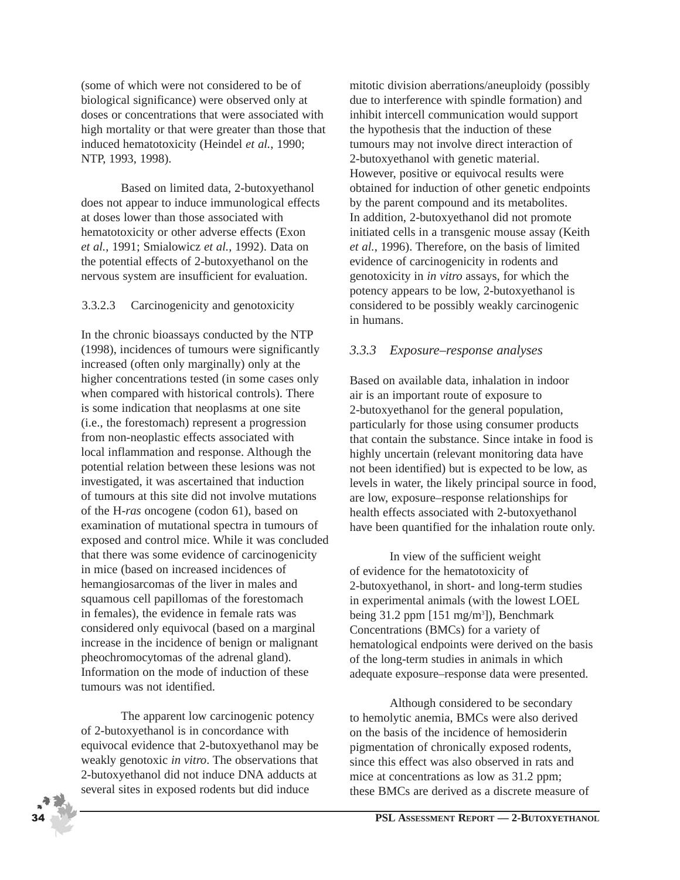(some of which were not considered to be of biological significance) were observed only at doses or concentrations that were associated with high mortality or that were greater than those that induced hematotoxicity (Heindel *et al.*, 1990; NTP, 1993, 1998).

Based on limited data, 2-butoxyethanol does not appear to induce immunological effects at doses lower than those associated with hematotoxicity or other adverse effects (Exon *et al.*, 1991; Smialowicz *et al.*, 1992). Data on the potential effects of 2-butoxyethanol on the nervous system are insufficient for evaluation.

#### 3.3.2.3 Carcinogenicity and genotoxicity

In the chronic bioassays conducted by the NTP (1998), incidences of tumours were significantly increased (often only marginally) only at the higher concentrations tested (in some cases only when compared with historical controls). There is some indication that neoplasms at one site (i.e., the forestomach) represent a progression from non-neoplastic effects associated with local inflammation and response. Although the potential relation between these lesions was not investigated, it was ascertained that induction of tumours at this site did not involve mutations of the H-*ras* oncogene (codon 61), based on examination of mutational spectra in tumours of exposed and control mice. While it was concluded that there was some evidence of carcinogenicity in mice (based on increased incidences of hemangiosarcomas of the liver in males and squamous cell papillomas of the forestomach in females), the evidence in female rats was considered only equivocal (based on a marginal increase in the incidence of benign or malignant pheochromocytomas of the adrenal gland). Information on the mode of induction of these tumours was not identified.

The apparent low carcinogenic potency of 2-butoxyethanol is in concordance with equivocal evidence that 2-butoxyethanol may be weakly genotoxic *in vitro*. The observations that 2-butoxyethanol did not induce DNA adducts at several sites in exposed rodents but did induce

mitotic division aberrations/aneuploidy (possibly due to interference with spindle formation) and inhibit intercell communication would support the hypothesis that the induction of these tumours may not involve direct interaction of 2-butoxyethanol with genetic material. However, positive or equivocal results were obtained for induction of other genetic endpoints by the parent compound and its metabolites. In addition, 2-butoxyethanol did not promote initiated cells in a transgenic mouse assay (Keith *et al.*, 1996). Therefore, on the basis of limited evidence of carcinogenicity in rodents and genotoxicity in *in vitro* assays, for which the potency appears to be low, 2-butoxyethanol is considered to be possibly weakly carcinogenic in humans.

## *3.3.3 Exposure–response analyses*

Based on available data, inhalation in indoor air is an important route of exposure to 2-butoxyethanol for the general population, particularly for those using consumer products that contain the substance. Since intake in food is highly uncertain (relevant monitoring data have not been identified) but is expected to be low, as levels in water, the likely principal source in food, are low, exposure–response relationships for health effects associated with 2-butoxyethanol have been quantified for the inhalation route only.

In view of the sufficient weight of evidence for the hematotoxicity of 2-butoxyethanol, in short- and long-term studies in experimental animals (with the lowest LOEL being 31.2 ppm [151 mg/m<sup>3</sup>]), Benchmark Concentrations (BMCs) for a variety of hematological endpoints were derived on the basis of the long-term studies in animals in which adequate exposure–response data were presented.

Although considered to be secondary to hemolytic anemia, BMCs were also derived on the basis of the incidence of hemosiderin pigmentation of chronically exposed rodents, since this effect was also observed in rats and mice at concentrations as low as 31.2 ppm; these BMCs are derived as a discrete measure of

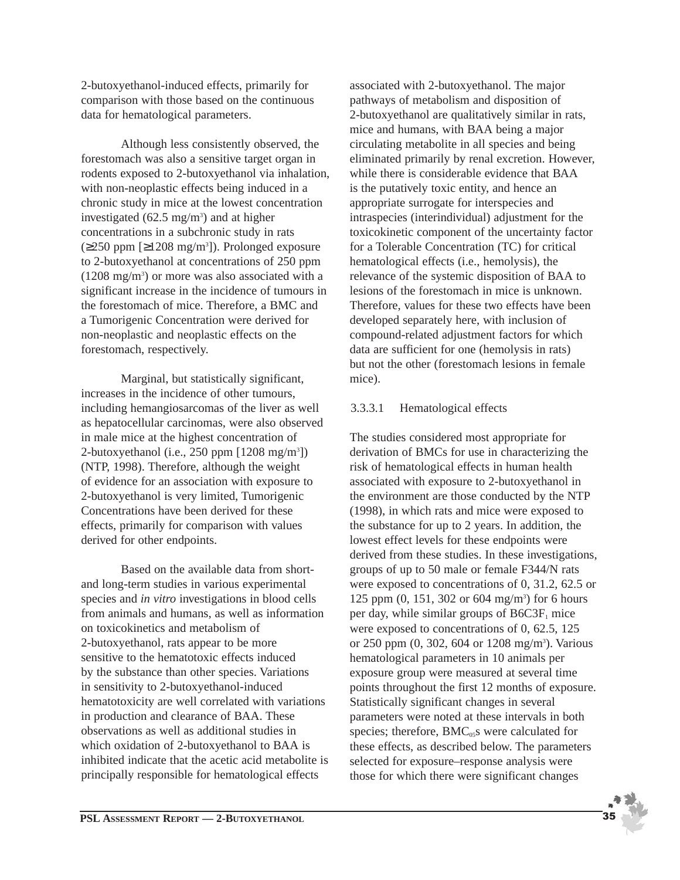2-butoxyethanol-induced effects, primarily for comparison with those based on the continuous data for hematological parameters.

Although less consistently observed, the forestomach was also a sensitive target organ in rodents exposed to 2-butoxyethanol via inhalation, with non-neoplastic effects being induced in a chronic study in mice at the lowest concentration investigated  $(62.5 \text{ mg/m}^3)$  and at higher concentrations in a subchronic study in rats  $(\geq 250$  ppm [ $\geq 1208$  mg/m<sup>3</sup>]). Prolonged exposure to 2-butoxyethanol at concentrations of 250 ppm (1208 mg/m3 ) or more was also associated with a significant increase in the incidence of tumours in the forestomach of mice. Therefore, a BMC and a Tumorigenic Concentration were derived for non-neoplastic and neoplastic effects on the forestomach, respectively.

Marginal, but statistically significant, increases in the incidence of other tumours, including hemangiosarcomas of the liver as well as hepatocellular carcinomas, were also observed in male mice at the highest concentration of 2-butoxyethanol (i.e., 250 ppm [1208 mg/m3 ]) (NTP, 1998). Therefore, although the weight of evidence for an association with exposure to 2-butoxyethanol is very limited, Tumorigenic Concentrations have been derived for these effects, primarily for comparison with values derived for other endpoints.

Based on the available data from shortand long-term studies in various experimental species and *in vitro* investigations in blood cells from animals and humans, as well as information on toxicokinetics and metabolism of 2-butoxyethanol, rats appear to be more sensitive to the hematotoxic effects induced by the substance than other species. Variations in sensitivity to 2-butoxyethanol-induced hematotoxicity are well correlated with variations in production and clearance of BAA. These observations as well as additional studies in which oxidation of 2-butoxyethanol to BAA is inhibited indicate that the acetic acid metabolite is principally responsible for hematological effects

associated with 2-butoxyethanol. The major pathways of metabolism and disposition of 2-butoxyethanol are qualitatively similar in rats, mice and humans, with BAA being a major circulating metabolite in all species and being eliminated primarily by renal excretion. However, while there is considerable evidence that BAA is the putatively toxic entity, and hence an appropriate surrogate for interspecies and intraspecies (interindividual) adjustment for the toxicokinetic component of the uncertainty factor for a Tolerable Concentration (TC) for critical hematological effects (i.e., hemolysis), the relevance of the systemic disposition of BAA to lesions of the forestomach in mice is unknown. Therefore, values for these two effects have been developed separately here, with inclusion of compound-related adjustment factors for which data are sufficient for one (hemolysis in rats) but not the other (forestomach lesions in female mice).

#### 3.3.3.1 Hematological effects

The studies considered most appropriate for derivation of BMCs for use in characterizing the risk of hematological effects in human health associated with exposure to 2-butoxyethanol in the environment are those conducted by the NTP (1998), in which rats and mice were exposed to the substance for up to 2 years. In addition, the lowest effect levels for these endpoints were derived from these studies. In these investigations, groups of up to 50 male or female F344/N rats were exposed to concentrations of 0, 31.2, 62.5 or 125 ppm (0, 151, 302 or 604 mg/m3 ) for 6 hours per day, while similar groups of  $B6C3F<sub>1</sub>$  mice were exposed to concentrations of 0, 62.5, 125 or 250 ppm (0, 302, 604 or 1208 mg/m<sup>3</sup>). Various hematological parameters in 10 animals per exposure group were measured at several time points throughout the first 12 months of exposure. Statistically significant changes in several parameters were noted at these intervals in both species; therefore,  $BMC<sub>05</sub>$ s were calculated for these effects, as described below. The parameters selected for exposure–response analysis were those for which there were significant changes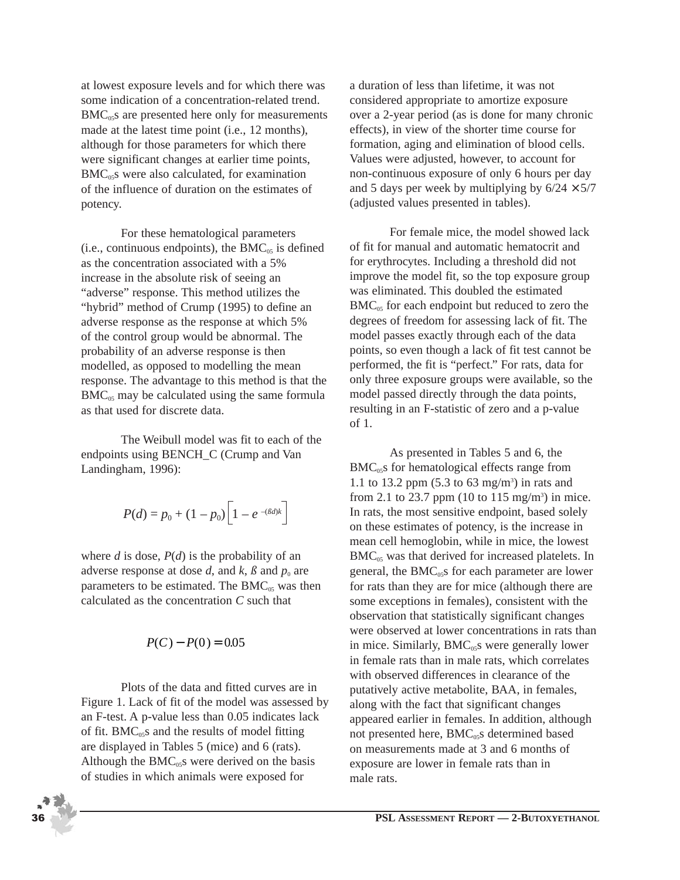at lowest exposure levels and for which there was some indication of a concentration-related trend.  $BMC<sub>05</sub>$ s are presented here only for measurements made at the latest time point (i.e., 12 months), although for those parameters for which there were significant changes at earlier time points,  $BMC<sub>05</sub>$ s were also calculated, for examination of the influence of duration on the estimates of potency.

For these hematological parameters (i.e., continuous endpoints), the  $BMC_{05}$  is defined as the concentration associated with a 5% increase in the absolute risk of seeing an "adverse" response. This method utilizes the "hybrid" method of Crump (1995) to define an adverse response as the response at which 5% of the control group would be abnormal. The probability of an adverse response is then modelled, as opposed to modelling the mean response. The advantage to this method is that the  $BMC<sub>05</sub>$  may be calculated using the same formula as that used for discrete data.

The Weibull model was fit to each of the endpoints using BENCH\_C (Crump and Van Landingham, 1996):

$$
P(d) = p_0 + (1 - p_0) \left[ 1 - e^{-\left(\beta d\right)k} \right]
$$

where  $d$  is dose,  $P(d)$  is the probability of an adverse response at dose  $d$ , and  $k$ ,  $\beta$  and  $p_0$  are parameters to be estimated. The  $BMC_{05}$  was then calculated as the concentration *C* such that

$$
P(C) - P(0) = 0.05
$$

Plots of the data and fitted curves are in Figure 1. Lack of fit of the model was assessed by an F-test. A p-value less than 0.05 indicates lack of fit.  $BMC_{0.05}$  and the results of model fitting are displayed in Tables 5 (mice) and 6 (rats). Although the  $BMC_{05}$ s were derived on the basis of studies in which animals were exposed for

a duration of less than lifetime, it was not considered appropriate to amortize exposure over a 2-year period (as is done for many chronic effects), in view of the shorter time course for formation, aging and elimination of blood cells. Values were adjusted, however, to account for non-continuous exposure of only 6 hours per day and 5 days per week by multiplying by  $6/24 \times 5/7$ (adjusted values presented in tables).

For female mice, the model showed lack of fit for manual and automatic hematocrit and for erythrocytes. Including a threshold did not improve the model fit, so the top exposure group was eliminated. This doubled the estimated  $BMC<sub>05</sub>$  for each endpoint but reduced to zero the degrees of freedom for assessing lack of fit. The model passes exactly through each of the data points, so even though a lack of fit test cannot be performed, the fit is "perfect." For rats, data for only three exposure groups were available, so the model passed directly through the data points, resulting in an F-statistic of zero and a p-value of 1.

As presented in Tables 5 and 6, the  $BMC<sub>05</sub>$ s for hematological effects range from 1.1 to 13.2 ppm  $(5.3 \text{ to } 63 \text{ mg/m}^3)$  in rats and from 2.1 to 23.7 ppm (10 to 115 mg/m<sup>3</sup>) in mice. In rats, the most sensitive endpoint, based solely on these estimates of potency, is the increase in mean cell hemoglobin, while in mice, the lowest  $BMC<sub>05</sub>$  was that derived for increased platelets. In general, the  $BMC<sub>05</sub>$ s for each parameter are lower for rats than they are for mice (although there are some exceptions in females), consistent with the observation that statistically significant changes were observed at lower concentrations in rats than in mice. Similarly,  $BMC<sub>05</sub>S$  were generally lower in female rats than in male rats, which correlates with observed differences in clearance of the putatively active metabolite, BAA, in females, along with the fact that significant changes appeared earlier in females. In addition, although not presented here, BMC<sub>05</sub>S determined based on measurements made at 3 and 6 months of exposure are lower in female rats than in male rats.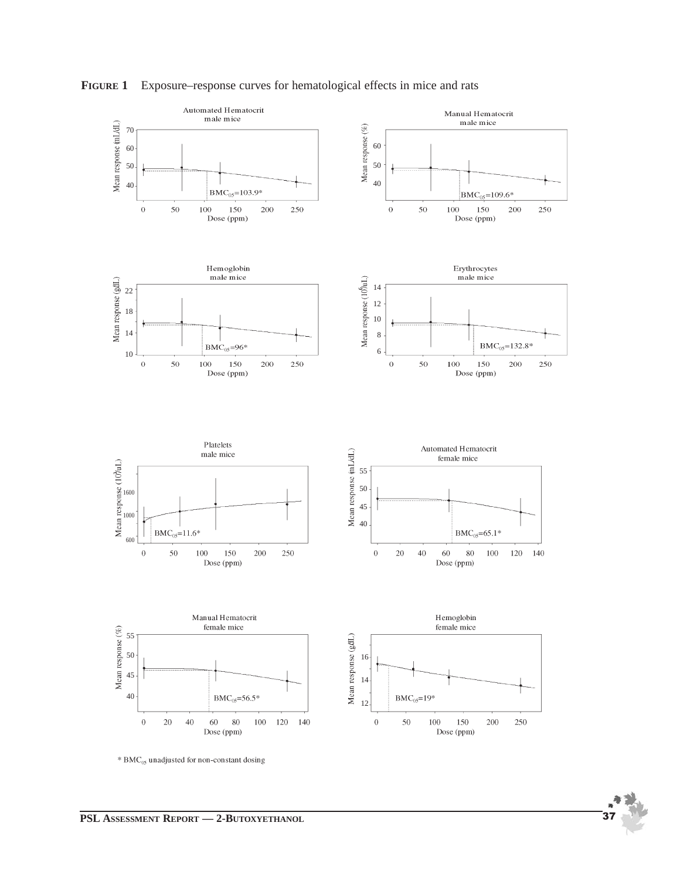

**FIGURE 1** Exposure–response curves for hematological effects in mice and rats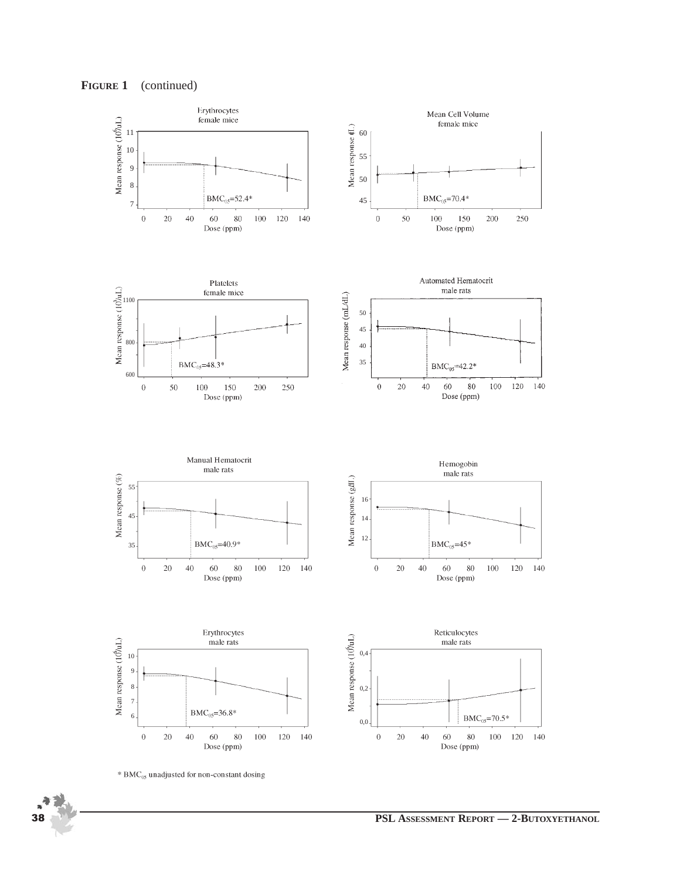**FIGURE 1** (continued)

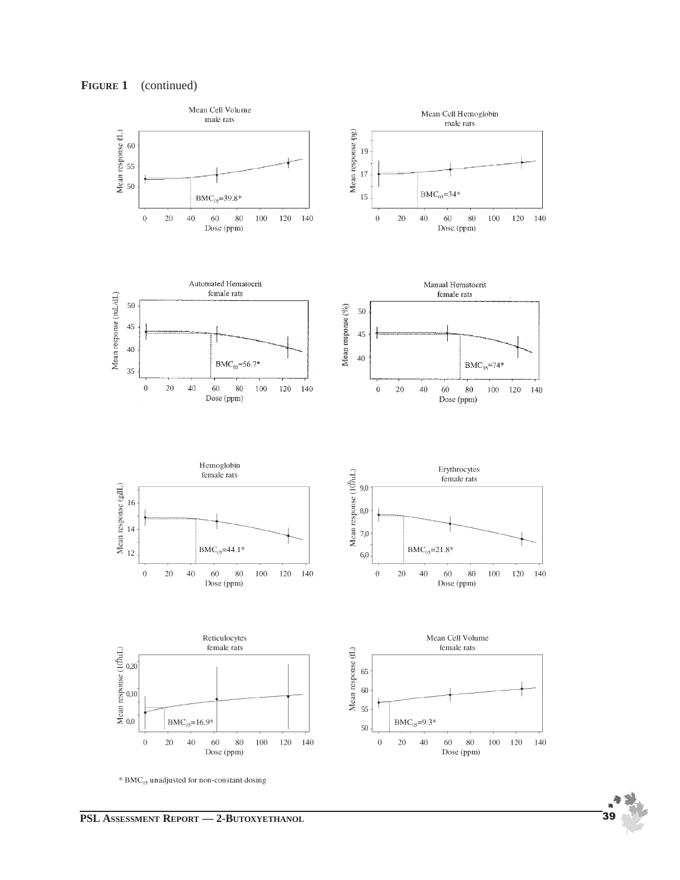



\* BMC<sub>05</sub> unadjusted for non-constant dosing

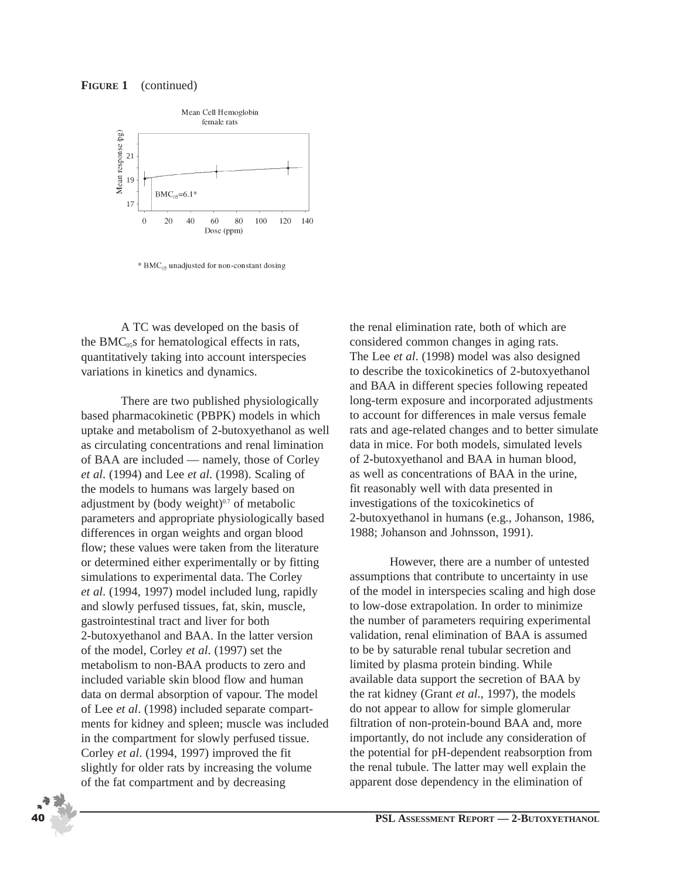#### **FIGURE 1** (continued)



\* BMC<sub>05</sub> unadjusted for non-constant dosing

A TC was developed on the basis of the BMC $<sub>05</sub>$ s for hematological effects in rats,</sub> quantitatively taking into account interspecies variations in kinetics and dynamics.

There are two published physiologically based pharmacokinetic (PBPK) models in which uptake and metabolism of 2-butoxyethanol as well as circulating concentrations and renal limination of BAA are included — namely, those of Corley *et al*. (1994) and Lee *et al*. (1998). Scaling of the models to humans was largely based on adjustment by (body weight) $0.7$  of metabolic parameters and appropriate physiologically based differences in organ weights and organ blood flow; these values were taken from the literature or determined either experimentally or by fitting simulations to experimental data. The Corley *et al*. (1994, 1997) model included lung, rapidly and slowly perfused tissues, fat, skin, muscle, gastrointestinal tract and liver for both 2-butoxyethanol and BAA. In the latter version of the model, Corley *et al*. (1997) set the metabolism to non-BAA products to zero and included variable skin blood flow and human data on dermal absorption of vapour. The model of Lee *et al*. (1998) included separate compartments for kidney and spleen; muscle was included in the compartment for slowly perfused tissue. Corley *et al*. (1994, 1997) improved the fit slightly for older rats by increasing the volume of the fat compartment and by decreasing

the renal elimination rate, both of which are considered common changes in aging rats. The Lee *et al*. (1998) model was also designed to describe the toxicokinetics of 2-butoxyethanol and BAA in different species following repeated long-term exposure and incorporated adjustments to account for differences in male versus female rats and age-related changes and to better simulate data in mice. For both models, simulated levels of 2-butoxyethanol and BAA in human blood, as well as concentrations of BAA in the urine, fit reasonably well with data presented in investigations of the toxicokinetics of 2-butoxyethanol in humans (e.g., Johanson, 1986, 1988; Johanson and Johnsson, 1991).

However, there are a number of untested assumptions that contribute to uncertainty in use of the model in interspecies scaling and high dose to low-dose extrapolation. In order to minimize the number of parameters requiring experimental validation, renal elimination of BAA is assumed to be by saturable renal tubular secretion and limited by plasma protein binding. While available data support the secretion of BAA by the rat kidney (Grant *et al*., 1997), the models do not appear to allow for simple glomerular filtration of non-protein-bound BAA and, more importantly, do not include any consideration of the potential for pH-dependent reabsorption from the renal tubule. The latter may well explain the apparent dose dependency in the elimination of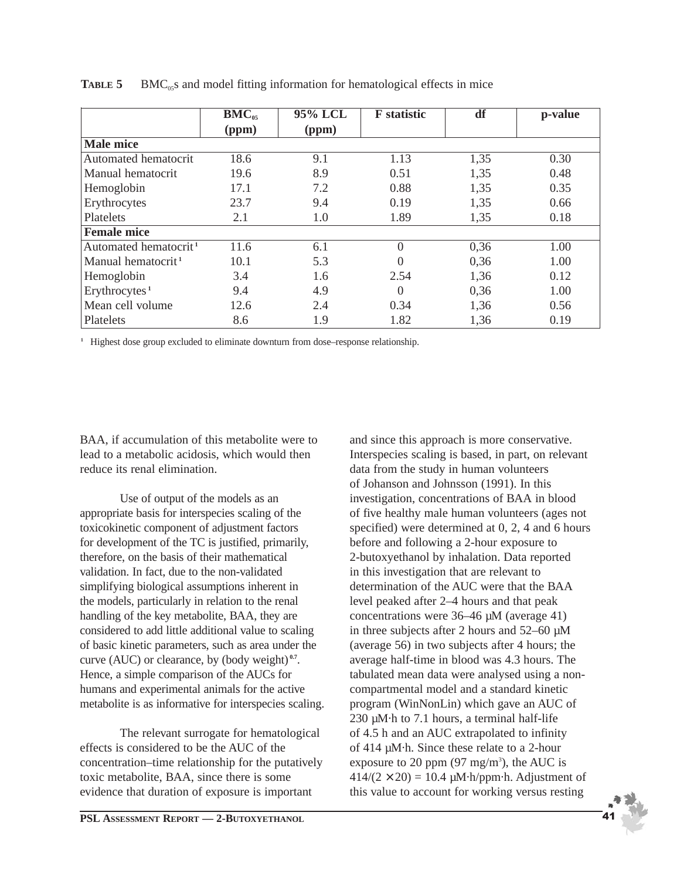|                                   | $\overline{B}MC_{05}$ | 95% LCL | <b>F</b> statistic | df   | p-value |
|-----------------------------------|-----------------------|---------|--------------------|------|---------|
|                                   | (ppm)                 | (ppm)   |                    |      |         |
| <b>Male mice</b>                  |                       |         |                    |      |         |
| Automated hematocrit              | 18.6                  | 9.1     | 1.13               | 1,35 | 0.30    |
| Manual hematocrit                 | 19.6                  | 8.9     | 0.51               | 1,35 | 0.48    |
| Hemoglobin                        | 17.1                  | 7.2     | 0.88               | 1,35 | 0.35    |
| Erythrocytes                      | 23.7                  | 9.4     | 0.19               | 1,35 | 0.66    |
| Platelets                         | 2.1                   | 1.0     | 1.89               | 1,35 | 0.18    |
| <b>Female mice</b>                |                       |         |                    |      |         |
| Automated hematocrit <sup>1</sup> | 11.6                  | 6.1     | $\overline{0}$     | 0,36 | 1.00    |
| Manual hematocrit <sup>1</sup>    | 10.1                  | 5.3     | $\Omega$           | 0,36 | 1.00    |
| Hemoglobin                        | 3.4                   | 1.6     | 2.54               | 1,36 | 0.12    |
| Erythrocytes <sup>1</sup>         | 9.4                   | 4.9     | $\theta$           | 0,36 | 1.00    |
| Mean cell volume                  | 12.6                  | 2.4     | 0.34               | 1,36 | 0.56    |
| Platelets                         | 8.6                   | 1.9     | 1.82               | 1,36 | 0.19    |

**TABLE 5** BMC<sub>05</sub>s and model fitting information for hematological effects in mice

**<sup>1</sup>** Highest dose group excluded to eliminate downturn from dose–response relationship.

BAA, if accumulation of this metabolite were to lead to a metabolic acidosis, which would then reduce its renal elimination.

Use of output of the models as an appropriate basis for interspecies scaling of the toxicokinetic component of adjustment factors for development of the TC is justified, primarily, therefore, on the basis of their mathematical validation. In fact, due to the non-validated simplifying biological assumptions inherent in the models, particularly in relation to the renal handling of the key metabolite, BAA, they are considered to add little additional value to scaling of basic kinetic parameters, such as area under the curve (AUC) or clearance, by (body weight) **0.7**. Hence, a simple comparison of the AUCs for humans and experimental animals for the active metabolite is as informative for interspecies scaling.

The relevant surrogate for hematological effects is considered to be the AUC of the concentration–time relationship for the putatively toxic metabolite, BAA, since there is some evidence that duration of exposure is important

**PSL ASSESSMENT REPORT — 2-BUTOXYETHANOL** 

and since this approach is more conservative. Interspecies scaling is based, in part, on relevant data from the study in human volunteers of Johanson and Johnsson (1991). In this investigation, concentrations of BAA in blood of five healthy male human volunteers (ages not specified) were determined at 0, 2, 4 and 6 hours before and following a 2-hour exposure to 2-butoxyethanol by inhalation. Data reported in this investigation that are relevant to determination of the AUC were that the BAA level peaked after 2–4 hours and that peak concentrations were 36–46 µM (average 41) in three subjects after 2 hours and 52–60 µM (average 56) in two subjects after 4 hours; the average half-time in blood was 4.3 hours. The tabulated mean data were analysed using a noncompartmental model and a standard kinetic program (WinNonLin) which gave an AUC of 230 µM·h to 7.1 hours, a terminal half-life of 4.5 h and an AUC extrapolated to infinity of 414 µM·h. Since these relate to a 2-hour exposure to 20 ppm  $(97 \text{ mg/m}^3)$ , the AUC is  $414/(2 \times 20) = 10.4 \mu M \cdot h/ppm \cdot h$ . Adjustment of this value to account for working versus resting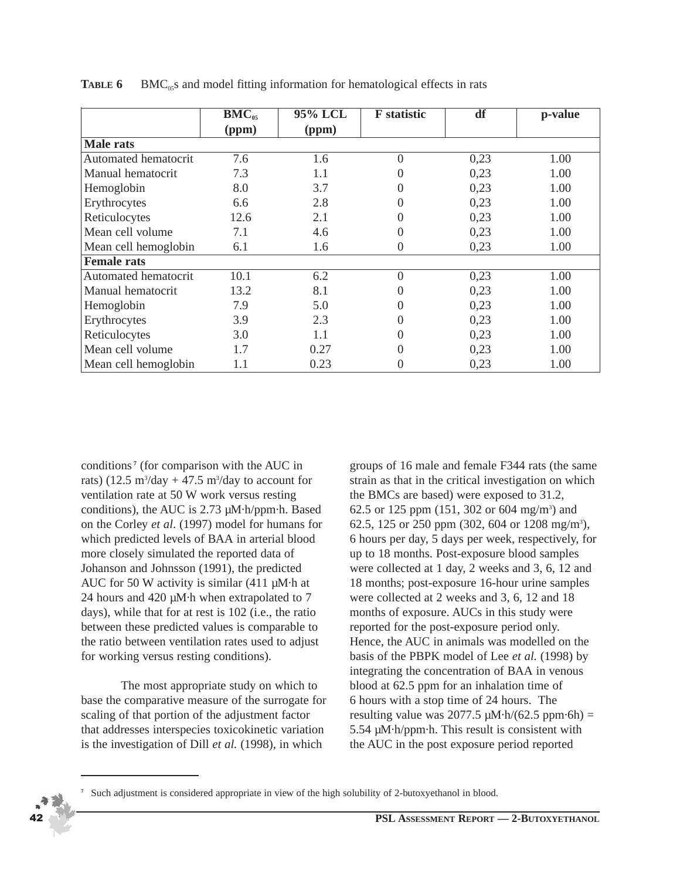|                      | $BMC_{05}$ | 95% LCL | <b>F</b> statistic | df   | p-value |
|----------------------|------------|---------|--------------------|------|---------|
|                      | (ppm)      | (ppm)   |                    |      |         |
| <b>Male rats</b>     |            |         |                    |      |         |
| Automated hematocrit | 7.6        | 1.6     | $\overline{0}$     | 0,23 | 1.00    |
| Manual hematocrit    | 7.3        | 1.1     | 0                  | 0,23 | 1.00    |
| Hemoglobin           | 8.0        | 3.7     | 0                  | 0,23 | 1.00    |
| Erythrocytes         | 6.6        | 2.8     | 0                  | 0,23 | 1.00    |
| Reticulocytes        | 12.6       | 2.1     | 0                  | 0,23 | 1.00    |
| Mean cell volume     | 7.1        | 4.6     | 0                  | 0,23 | 1.00    |
| Mean cell hemoglobin | 6.1        | 1.6     | 0                  | 0,23 | 1.00    |
| <b>Female rats</b>   |            |         |                    |      |         |
| Automated hematocrit | 10.1       | 6.2     | $\overline{0}$     | 0,23 | 1.00    |
| Manual hematocrit    | 13.2       | 8.1     | 0                  | 0,23 | 1.00    |
| Hemoglobin           | 7.9        | 5.0     | 0                  | 0,23 | 1.00    |
| Erythrocytes         | 3.9        | 2.3     | 0                  | 0,23 | 1.00    |
| Reticulocytes        | 3.0        | 1.1     | 0                  | 0,23 | 1.00    |
| Mean cell volume     | 1.7        | 0.27    | 0                  | 0,23 | 1.00    |
| Mean cell hemoglobin | 1.1        | 0.23    | 0                  | 0,23 | 1.00    |

**TABLE 6** BMC<sub>05</sub>s and model fitting information for hematological effects in rats

conditions **<sup>7</sup>** (for comparison with the AUC in rats)  $(12.5 \text{ m}^3/\text{day} + 47.5 \text{ m}^3/\text{day}$  to account for ventilation rate at 50 W work versus resting conditions), the AUC is 2.73 µM·h/ppm·h. Based on the Corley *et al*. (1997) model for humans for which predicted levels of BAA in arterial blood more closely simulated the reported data of Johanson and Johnsson (1991), the predicted AUC for 50 W activity is similar (411 µM·h at 24 hours and 420 µM·h when extrapolated to 7 days), while that for at rest is 102 (i.e., the ratio between these predicted values is comparable to the ratio between ventilation rates used to adjust for working versus resting conditions).

The most appropriate study on which to base the comparative measure of the surrogate for scaling of that portion of the adjustment factor that addresses interspecies toxicokinetic variation is the investigation of Dill *et al.* (1998), in which

groups of 16 male and female F344 rats (the same strain as that in the critical investigation on which the BMCs are based) were exposed to 31.2, 62.5 or 125 ppm (151, 302 or 604 mg/m<sup>3</sup>) and 62.5, 125 or 250 ppm (302, 604 or 1208 mg/m<sup>3</sup>), 6 hours per day, 5 days per week, respectively, for up to 18 months. Post-exposure blood samples were collected at 1 day, 2 weeks and 3, 6, 12 and 18 months; post-exposure 16-hour urine samples were collected at 2 weeks and 3, 6, 12 and 18 months of exposure. AUCs in this study were reported for the post-exposure period only. Hence, the AUC in animals was modelled on the basis of the PBPK model of Lee *et al.* (1998) by integrating the concentration of BAA in venous blood at 62.5 ppm for an inhalation time of 6 hours with a stop time of 24 hours. The resulting value was 2077.5  $\mu$ M·h/(62.5 ppm·6h) = 5.54 µM·h/ppm·h. This result is consistent with the AUC in the post exposure period reported



**<sup>7</sup>** Such adjustment is considered appropriate in view of the high solubility of 2-butoxyethanol in blood.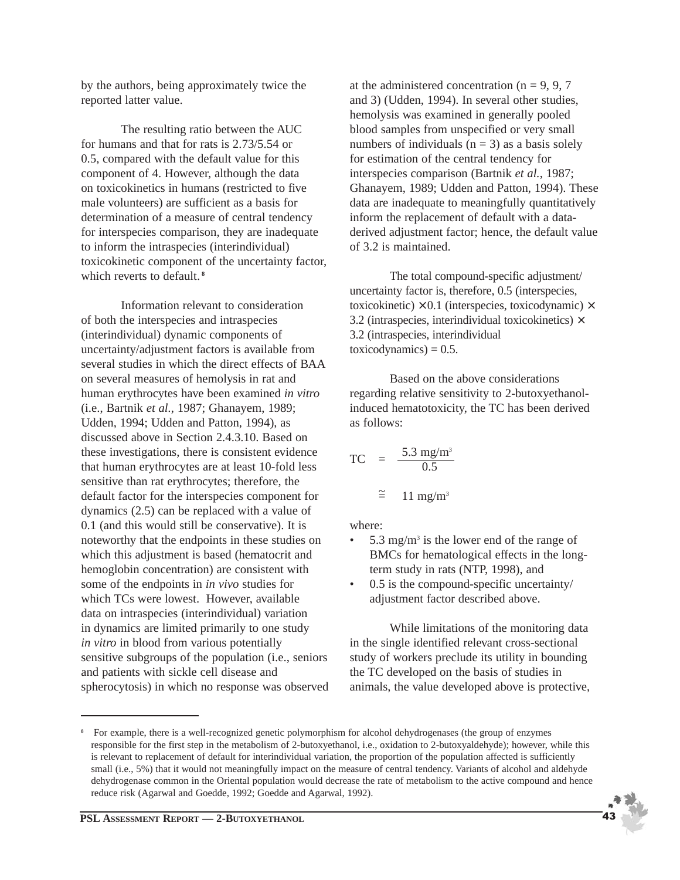by the authors, being approximately twice the reported latter value.

The resulting ratio between the AUC for humans and that for rats is 2.73/5.54 or 0.5, compared with the default value for this component of 4. However, although the data on toxicokinetics in humans (restricted to five male volunteers) are sufficient as a basis for determination of a measure of central tendency for interspecies comparison, they are inadequate to inform the intraspecies (interindividual) toxicokinetic component of the uncertainty factor, which reverts to default. **<sup>8</sup>**

Information relevant to consideration of both the interspecies and intraspecies (interindividual) dynamic components of uncertainty/adjustment factors is available from several studies in which the direct effects of BAA on several measures of hemolysis in rat and human erythrocytes have been examined *in vitro* (i.e., Bartnik *et al.*, 1987; Ghanayem, 1989; Udden, 1994; Udden and Patton, 1994), as discussed above in Section 2.4.3.10. Based on these investigations, there is consistent evidence that human erythrocytes are at least 10-fold less sensitive than rat erythrocytes; therefore, the default factor for the interspecies component for dynamics (2.5) can be replaced with a value of 0.1 (and this would still be conservative). It is noteworthy that the endpoints in these studies on which this adjustment is based (hematocrit and hemoglobin concentration) are consistent with some of the endpoints in *in vivo* studies for which TCs were lowest. However, available data on intraspecies (interindividual) variation in dynamics are limited primarily to one study *in vitro* in blood from various potentially sensitive subgroups of the population (i.e., seniors and patients with sickle cell disease and spherocytosis) in which no response was observed at the administered concentration ( $n = 9, 9, 7$ ) and 3) (Udden, 1994). In several other studies, hemolysis was examined in generally pooled blood samples from unspecified or very small numbers of individuals  $(n = 3)$  as a basis solely for estimation of the central tendency for interspecies comparison (Bartnik *et al.*, 1987; Ghanayem, 1989; Udden and Patton, 1994). These data are inadequate to meaningfully quantitatively inform the replacement of default with a dataderived adjustment factor; hence, the default value of 3.2 is maintained.

The total compound-specific adjustment/ uncertainty factor is, therefore, 0.5 (interspecies, toxicokinetic)  $\times$  0.1 (interspecies, toxicodynamic)  $\times$ 3.2 (intraspecies, interindividual toxicokinetics)  $\times$ 3.2 (intraspecies, interindividual  $toxicodynamics) = 0.5.$ 

Based on the above considerations regarding relative sensitivity to 2-butoxyethanolinduced hematotoxicity, the TC has been derived as follows:

$$
TC = \frac{5.3 \text{ mg/m}^3}{0.5}
$$

$$
\approx 11 \text{ mg/m}^3
$$

where:

- 5.3 mg/m<sup>3</sup> is the lower end of the range of BMCs for hematological effects in the longterm study in rats (NTP, 1998), and
- $0.5$  is the compound-specific uncertainty/ adjustment factor described above.

While limitations of the monitoring data in the single identified relevant cross-sectional study of workers preclude its utility in bounding the TC developed on the basis of studies in animals, the value developed above is protective,

**<sup>8</sup>** For example, there is a well-recognized genetic polymorphism for alcohol dehydrogenases (the group of enzymes responsible for the first step in the metabolism of 2-butoxyethanol, i.e., oxidation to 2-butoxyaldehyde); however, while this is relevant to replacement of default for interindividual variation, the proportion of the population affected is sufficiently small (i.e., 5%) that it would not meaningfully impact on the measure of central tendency. Variants of alcohol and aldehyde dehydrogenase common in the Oriental population would decrease the rate of metabolism to the active compound and hence reduce risk (Agarwal and Goedde, 1992; Goedde and Agarwal, 1992).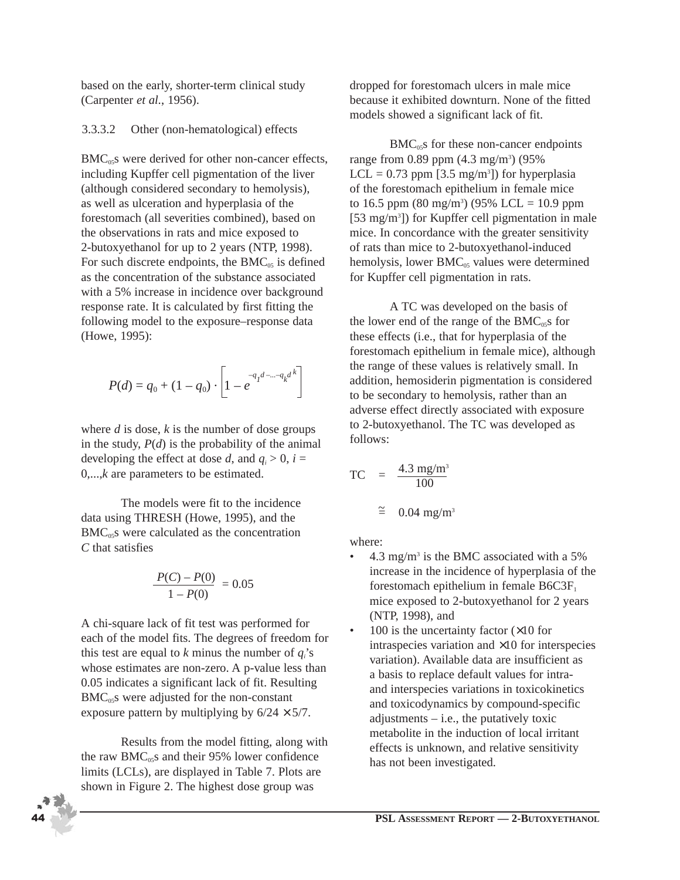based on the early, shorter-term clinical study (Carpenter *et al.*, 1956).

#### 3.3.3.2 Other (non-hematological) effects

 $BMC<sub>05</sub>$ s were derived for other non-cancer effects, including Kupffer cell pigmentation of the liver (although considered secondary to hemolysis), as well as ulceration and hyperplasia of the forestomach (all severities combined), based on the observations in rats and mice exposed to 2-butoxyethanol for up to 2 years (NTP, 1998). For such discrete endpoints, the  $BMC_{05}$  is defined as the concentration of the substance associated with a 5% increase in incidence over background response rate. It is calculated by first fitting the following model to the exposure–response data (Howe, 1995):

$$
P(d) = q_0 + (1 - q_0) \cdot \left[ 1 - e^{-q_1 d - \dots - q_k d^k} \right]
$$

where *d* is dose, *k* is the number of dose groups in the study,  $P(d)$  is the probability of the animal developing the effect at dose *d*, and  $q_i > 0$ ,  $i =$ 0,...,*k* are parameters to be estimated.

The models were fit to the incidence data using THRESH (Howe, 1995), and the  $BMC<sub>05</sub>$ s were calculated as the concentration *C* that satisfies

$$
\frac{P(C) - P(0)}{1 - P(0)} = 0.05
$$

A chi-square lack of fit test was performed for each of the model fits. The degrees of freedom for this test are equal to  $k$  minus the number of  $q_i$ 's whose estimates are non-zero. A p-value less than 0.05 indicates a significant lack of fit. Resulting  $BMC<sub>05</sub>$ s were adjusted for the non-constant exposure pattern by multiplying by  $6/24 \times 5/7$ .

Results from the model fitting, along with the raw  $BMC_{0.5}$ s and their 95% lower confidence limits (LCLs), are displayed in Table 7. Plots are shown in Figure 2. The highest dose group was

dropped for forestomach ulcers in male mice because it exhibited downturn. None of the fitted models showed a significant lack of fit.

 $BMC<sub>05</sub>$ s for these non-cancer endpoints range from 0.89 ppm (4.3 mg/m<sup>3</sup>) (95%  $LCL = 0.73$  ppm [3.5 mg/m<sup>3</sup>]) for hyperplasia of the forestomach epithelium in female mice to 16.5 ppm  $(80 \text{ mg/m}^3)$   $(95\% \text{ LCL} = 10.9 \text{ ppm}$ [53 mg/m<sup>3</sup>]) for Kupffer cell pigmentation in male mice. In concordance with the greater sensitivity of rats than mice to 2-butoxyethanol-induced hemolysis, lower BMC<sub>05</sub> values were determined for Kupffer cell pigmentation in rats.

A TC was developed on the basis of the lower end of the range of the  $BMC_{05}$ s for these effects (i.e., that for hyperplasia of the forestomach epithelium in female mice), although the range of these values is relatively small. In addition, hemosiderin pigmentation is considered to be secondary to hemolysis, rather than an adverse effect directly associated with exposure to 2-butoxyethanol. The TC was developed as follows:

$$
TC = \frac{4.3 \text{ mg/m}^3}{100}
$$

$$
\approx 0.04 \text{ mg/m}^3
$$

where:

- 4.3 mg/m<sup>3</sup> is the BMC associated with a 5% increase in the incidence of hyperplasia of the forestomach epithelium in female  $B6C3F<sub>1</sub>$ mice exposed to 2-butoxyethanol for 2 years (NTP, 1998), and
- 100 is the uncertainty factor  $(\times 10$  for intraspecies variation and ×10 for interspecies variation). Available data are insufficient as a basis to replace default values for intraand interspecies variations in toxicokinetics and toxicodynamics by compound-specific adjustments  $-$  i.e., the putatively toxic metabolite in the induction of local irritant effects is unknown, and relative sensitivity has not been investigated.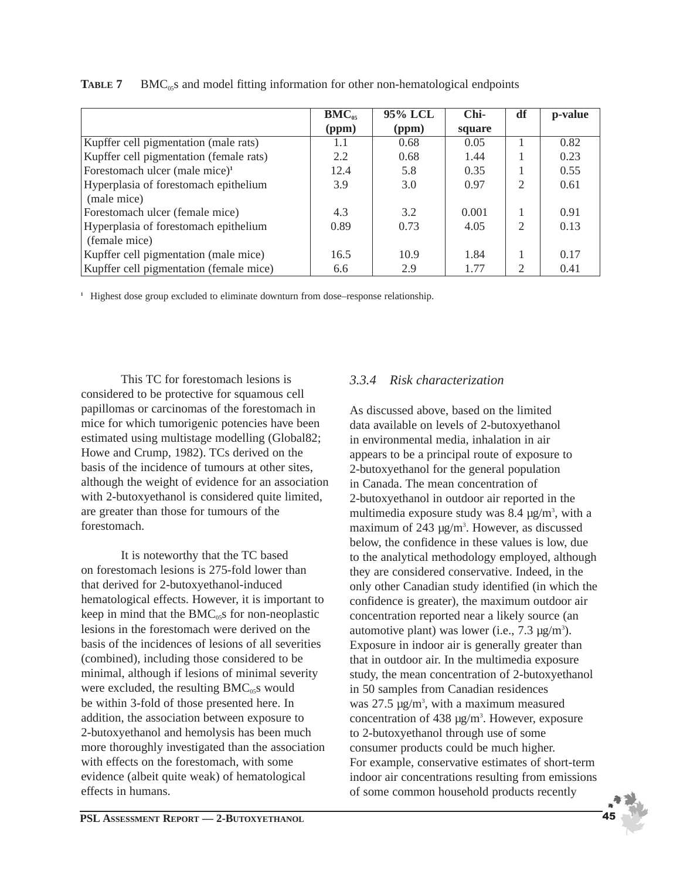|                                            | $BMC_{05}$ | 95% LCL | Chi-   | df                          | p-value |
|--------------------------------------------|------------|---------|--------|-----------------------------|---------|
|                                            | (ppm)      | (ppm)   | square |                             |         |
| Kupffer cell pigmentation (male rats)      | 1.1        | 0.68    | 0.05   |                             | 0.82    |
| Kupffer cell pigmentation (female rats)    | 2.2        | 0.68    | 1.44   |                             | 0.23    |
| Forestomach ulcer (male mice) <sup>1</sup> | 12.4       | 5.8     | 0.35   |                             | 0.55    |
| Hyperplasia of forestomach epithelium      | 3.9        | 3.0     | 0.97   | $\mathcal{D}_{\mathcal{L}}$ | 0.61    |
| (male mice)                                |            |         |        |                             |         |
| Forestomach ulcer (female mice)            | 4.3        | 3.2     | 0.001  |                             | 0.91    |
| Hyperplasia of forestomach epithelium      | 0.89       | 0.73    | 4.05   | $\mathcal{D}_{\mathcal{L}}$ | 0.13    |
| (female mice)                              |            |         |        |                             |         |
| Kupffer cell pigmentation (male mice)      | 16.5       | 10.9    | 1.84   |                             | 0.17    |
| Kupffer cell pigmentation (female mice)    | 6.6        | 2.9     | 1.77   | 2                           | 0.41    |

**TABLE 7** BMC<sub>05</sub>s and model fitting information for other non-hematological endpoints

**<sup>1</sup>** Highest dose group excluded to eliminate downturn from dose–response relationship.

This TC for forestomach lesions is considered to be protective for squamous cell papillomas or carcinomas of the forestomach in mice for which tumorigenic potencies have been estimated using multistage modelling (Global82; Howe and Crump, 1982). TCs derived on the basis of the incidence of tumours at other sites, although the weight of evidence for an association with 2-butoxyethanol is considered quite limited, are greater than those for tumours of the forestomach.

It is noteworthy that the TC based on forestomach lesions is 275-fold lower than that derived for 2-butoxyethanol-induced hematological effects. However, it is important to keep in mind that the  $BMC<sub>05</sub>$ s for non-neoplastic lesions in the forestomach were derived on the basis of the incidences of lesions of all severities (combined), including those considered to be minimal, although if lesions of minimal severity were excluded, the resulting  $BMC_{05}$ s would be within 3-fold of those presented here. In addition, the association between exposure to 2-butoxyethanol and hemolysis has been much more thoroughly investigated than the association with effects on the forestomach, with some evidence (albeit quite weak) of hematological effects in humans.

## *3.3.4 Risk characterization*

As discussed above, based on the limited data available on levels of 2-butoxyethanol in environmental media, inhalation in air appears to be a principal route of exposure to 2-butoxyethanol for the general population in Canada. The mean concentration of 2-butoxyethanol in outdoor air reported in the multimedia exposure study was  $8.4 \mu g/m^3$ , with a maximum of 243 µg/m<sup>3</sup>. However, as discussed below, the confidence in these values is low, due to the analytical methodology employed, although they are considered conservative. Indeed, in the only other Canadian study identified (in which the confidence is greater), the maximum outdoor air concentration reported near a likely source (an automotive plant) was lower (i.e.,  $7.3 \mu g/m<sup>3</sup>$ ). Exposure in indoor air is generally greater than that in outdoor air. In the multimedia exposure study, the mean concentration of 2-butoxyethanol in 50 samples from Canadian residences was 27.5  $\mu$ g/m<sup>3</sup>, with a maximum measured concentration of  $438 \mu g/m<sup>3</sup>$ . However, exposure to 2-butoxyethanol through use of some consumer products could be much higher. For example, conservative estimates of short-term indoor air concentrations resulting from emissions of some common household products recently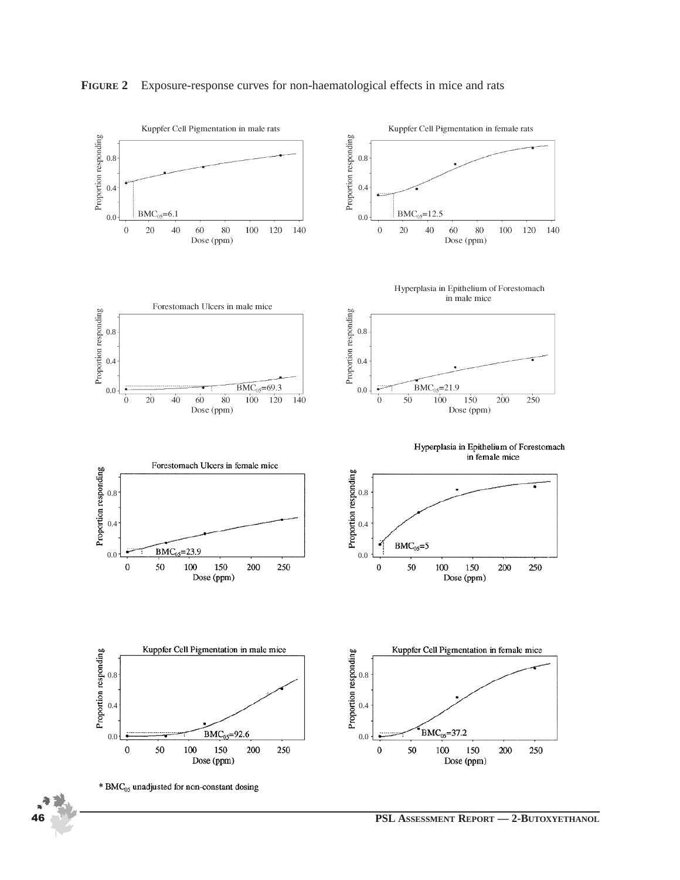

#### **FIGURE 2** Exposure-response curves for non-haematological effects in mice and rats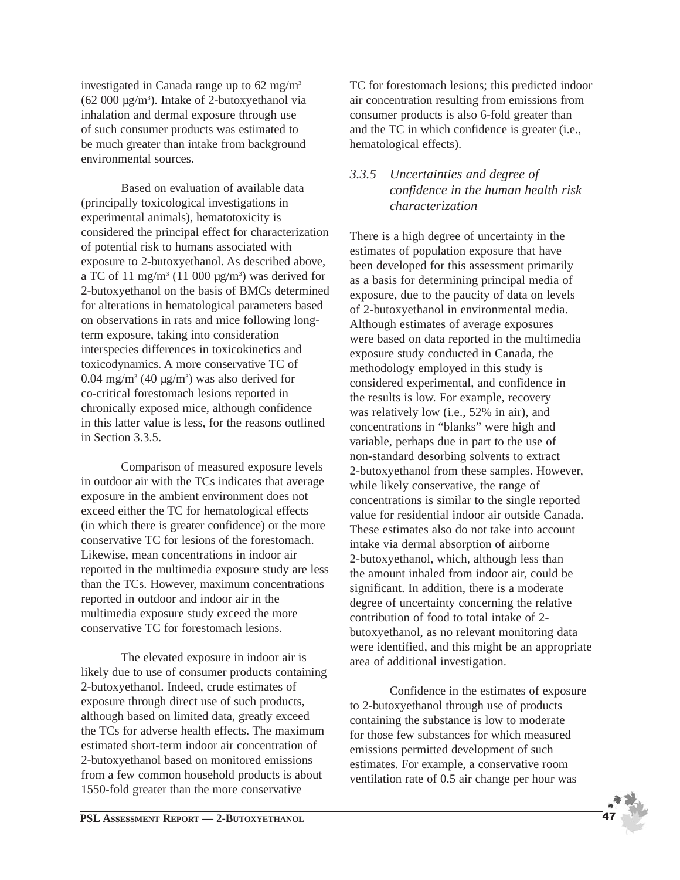investigated in Canada range up to 62 mg/m3  $(62 000 \mu g/m<sup>3</sup>)$ . Intake of 2-butoxyethanol via inhalation and dermal exposure through use of such consumer products was estimated to be much greater than intake from background environmental sources.

Based on evaluation of available data (principally toxicological investigations in experimental animals), hematotoxicity is considered the principal effect for characterization of potential risk to humans associated with exposure to 2-butoxyethanol. As described above, a TC of 11 mg/m<sup>3</sup> (11 000  $\mu$ g/m<sup>3</sup>) was derived for 2-butoxyethanol on the basis of BMCs determined for alterations in hematological parameters based on observations in rats and mice following longterm exposure, taking into consideration interspecies differences in toxicokinetics and toxicodynamics. A more conservative TC of 0.04 mg/m<sup>3</sup> (40  $\mu$ g/m<sup>3</sup>) was also derived for co-critical forestomach lesions reported in chronically exposed mice, although confidence in this latter value is less, for the reasons outlined in Section 3.3.5.

Comparison of measured exposure levels in outdoor air with the TCs indicates that average exposure in the ambient environment does not exceed either the TC for hematological effects (in which there is greater confidence) or the more conservative TC for lesions of the forestomach. Likewise, mean concentrations in indoor air reported in the multimedia exposure study are less than the TCs. However, maximum concentrations reported in outdoor and indoor air in the multimedia exposure study exceed the more conservative TC for forestomach lesions.

The elevated exposure in indoor air is likely due to use of consumer products containing 2-butoxyethanol. Indeed, crude estimates of exposure through direct use of such products, although based on limited data, greatly exceed the TCs for adverse health effects. The maximum estimated short-term indoor air concentration of 2-butoxyethanol based on monitored emissions from a few common household products is about 1550-fold greater than the more conservative

TC for forestomach lesions; this predicted indoor air concentration resulting from emissions from consumer products is also 6-fold greater than and the TC in which confidence is greater (i.e., hematological effects).

### *3.3.5 Uncertainties and degree of confidence in the human health risk characterization*

There is a high degree of uncertainty in the estimates of population exposure that have been developed for this assessment primarily as a basis for determining principal media of exposure, due to the paucity of data on levels of 2-butoxyethanol in environmental media. Although estimates of average exposures were based on data reported in the multimedia exposure study conducted in Canada, the methodology employed in this study is considered experimental, and confidence in the results is low. For example, recovery was relatively low (i.e., 52% in air), and concentrations in "blanks" were high and variable, perhaps due in part to the use of non-standard desorbing solvents to extract 2-butoxyethanol from these samples. However, while likely conservative, the range of concentrations is similar to the single reported value for residential indoor air outside Canada. These estimates also do not take into account intake via dermal absorption of airborne 2-butoxyethanol, which, although less than the amount inhaled from indoor air, could be significant. In addition, there is a moderate degree of uncertainty concerning the relative contribution of food to total intake of 2 butoxyethanol, as no relevant monitoring data were identified, and this might be an appropriate area of additional investigation.

Confidence in the estimates of exposure to 2-butoxyethanol through use of products containing the substance is low to moderate for those few substances for which measured emissions permitted development of such estimates. For example, a conservative room ventilation rate of 0.5 air change per hour was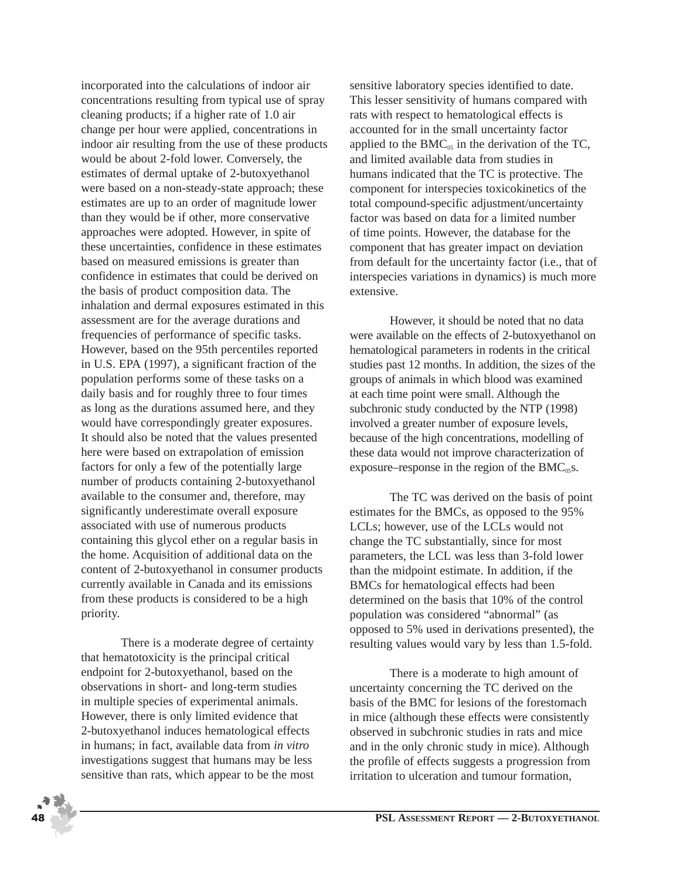incorporated into the calculations of indoor air concentrations resulting from typical use of spray cleaning products; if a higher rate of 1.0 air change per hour were applied, concentrations in indoor air resulting from the use of these products would be about 2-fold lower. Conversely, the estimates of dermal uptake of 2-butoxyethanol were based on a non-steady-state approach; these estimates are up to an order of magnitude lower than they would be if other, more conservative approaches were adopted. However, in spite of these uncertainties, confidence in these estimates based on measured emissions is greater than confidence in estimates that could be derived on the basis of product composition data. The inhalation and dermal exposures estimated in this assessment are for the average durations and frequencies of performance of specific tasks. However, based on the 95th percentiles reported in U.S. EPA (1997), a significant fraction of the population performs some of these tasks on a daily basis and for roughly three to four times as long as the durations assumed here, and they would have correspondingly greater exposures. It should also be noted that the values presented here were based on extrapolation of emission factors for only a few of the potentially large number of products containing 2-butoxyethanol available to the consumer and, therefore, may significantly underestimate overall exposure associated with use of numerous products containing this glycol ether on a regular basis in the home. Acquisition of additional data on the content of 2-butoxyethanol in consumer products currently available in Canada and its emissions from these products is considered to be a high priority.

There is a moderate degree of certainty that hematotoxicity is the principal critical endpoint for 2-butoxyethanol, based on the observations in short- and long-term studies in multiple species of experimental animals. However, there is only limited evidence that 2-butoxyethanol induces hematological effects in humans; in fact, available data from *in vitro* investigations suggest that humans may be less sensitive than rats, which appear to be the most

sensitive laboratory species identified to date. This lesser sensitivity of humans compared with rats with respect to hematological effects is accounted for in the small uncertainty factor applied to the  $BMC_{05}$  in the derivation of the TC, and limited available data from studies in humans indicated that the TC is protective. The component for interspecies toxicokinetics of the total compound-specific adjustment/uncertainty factor was based on data for a limited number of time points. However, the database for the component that has greater impact on deviation from default for the uncertainty factor (i.e., that of interspecies variations in dynamics) is much more extensive.

However, it should be noted that no data were available on the effects of 2-butoxyethanol on hematological parameters in rodents in the critical studies past 12 months. In addition, the sizes of the groups of animals in which blood was examined at each time point were small. Although the subchronic study conducted by the NTP (1998) involved a greater number of exposure levels, because of the high concentrations, modelling of these data would not improve characterization of exposure–response in the region of the  $BMC<sub>05</sub>S$ .

The TC was derived on the basis of point estimates for the BMCs, as opposed to the 95% LCLs; however, use of the LCLs would not change the TC substantially, since for most parameters, the LCL was less than 3-fold lower than the midpoint estimate. In addition, if the BMCs for hematological effects had been determined on the basis that 10% of the control population was considered "abnormal" (as opposed to 5% used in derivations presented), the resulting values would vary by less than 1.5-fold.

There is a moderate to high amount of uncertainty concerning the TC derived on the basis of the BMC for lesions of the forestomach in mice (although these effects were consistently observed in subchronic studies in rats and mice and in the only chronic study in mice). Although the profile of effects suggests a progression from irritation to ulceration and tumour formation,

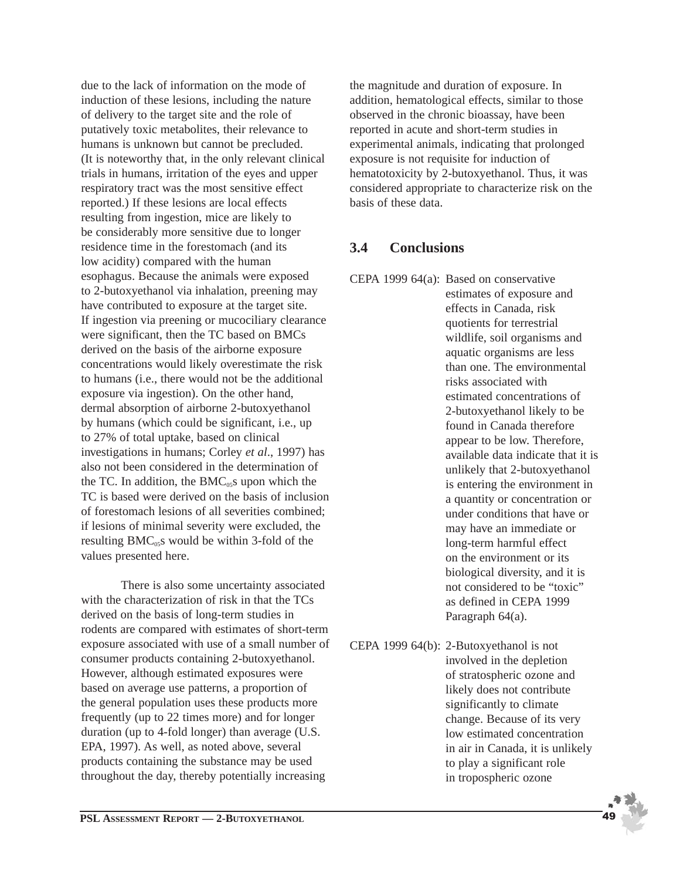due to the lack of information on the mode of induction of these lesions, including the nature of delivery to the target site and the role of putatively toxic metabolites, their relevance to humans is unknown but cannot be precluded. (It is noteworthy that, in the only relevant clinical trials in humans, irritation of the eyes and upper respiratory tract was the most sensitive effect reported.) If these lesions are local effects resulting from ingestion, mice are likely to be considerably more sensitive due to longer residence time in the forestomach (and its low acidity) compared with the human esophagus. Because the animals were exposed to 2-butoxyethanol via inhalation, preening may have contributed to exposure at the target site. If ingestion via preening or mucociliary clearance were significant, then the TC based on BMCs derived on the basis of the airborne exposure concentrations would likely overestimate the risk to humans (i.e., there would not be the additional exposure via ingestion). On the other hand, dermal absorption of airborne 2-butoxyethanol by humans (which could be significant, i.e., up to 27% of total uptake, based on clinical investigations in humans; Corley *et al*., 1997) has also not been considered in the determination of the TC. In addition, the  $BMC<sub>05</sub>$ s upon which the TC is based were derived on the basis of inclusion of forestomach lesions of all severities combined; if lesions of minimal severity were excluded, the resulting  $BMC_{0.5}$ s would be within 3-fold of the values presented here.

There is also some uncertainty associated with the characterization of risk in that the TCs derived on the basis of long-term studies in rodents are compared with estimates of short-term exposure associated with use of a small number of consumer products containing 2-butoxyethanol. However, although estimated exposures were based on average use patterns, a proportion of the general population uses these products more frequently (up to 22 times more) and for longer duration (up to 4-fold longer) than average (U.S. EPA, 1997). As well, as noted above, several products containing the substance may be used throughout the day, thereby potentially increasing

the magnitude and duration of exposure. In addition, hematological effects, similar to those observed in the chronic bioassay, have been reported in acute and short-term studies in experimental animals, indicating that prolonged exposure is not requisite for induction of hematotoxicity by 2-butoxyethanol. Thus, it was considered appropriate to characterize risk on the basis of these data.

## **3.4 Conclusions**

- CEPA 1999 64(a): Based on conservative estimates of exposure and effects in Canada, risk quotients for terrestrial wildlife, soil organisms and aquatic organisms are less than one. The environmental risks associated with estimated concentrations of 2-butoxyethanol likely to be found in Canada therefore appear to be low. Therefore, available data indicate that it is unlikely that 2-butoxyethanol is entering the environment in a quantity or concentration or under conditions that have or may have an immediate or long-term harmful effect on the environment or its biological diversity, and it is not considered to be "toxic" as defined in CEPA 1999 Paragraph 64(a).
- CEPA 1999 64(b): 2-Butoxyethanol is not involved in the depletion of stratospheric ozone and likely does not contribute significantly to climate change. Because of its very low estimated concentration in air in Canada, it is unlikely to play a significant role in tropospheric ozone

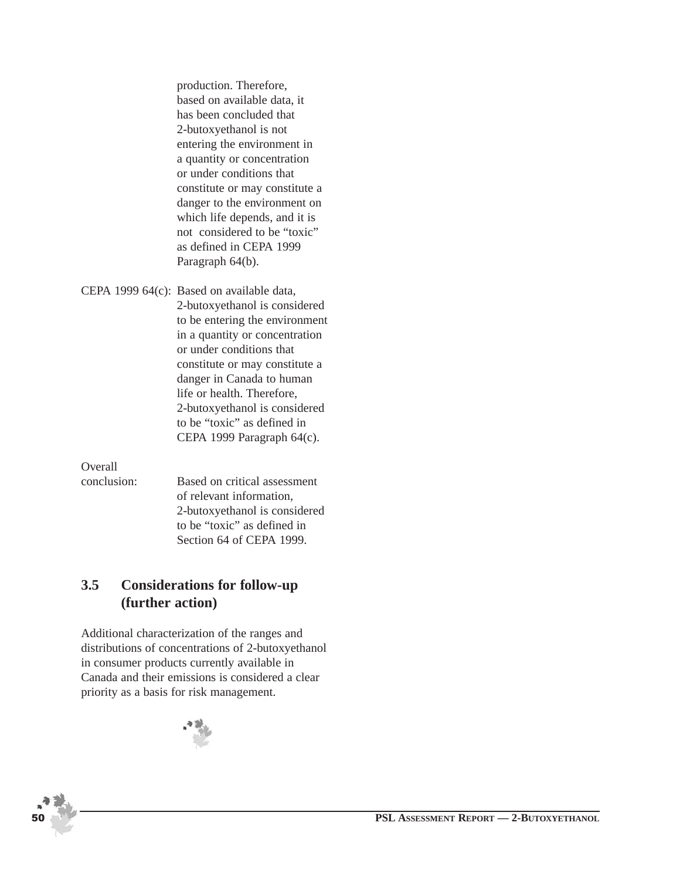production. Therefore, based on available data, it has been concluded that 2-butoxyethanol is not entering the environment in a quantity or concentration or under conditions that constitute or may constitute a danger to the environment on which life depends, and it is not considered to be "toxic" as defined in CEPA 1999 Paragraph 64(b).

CEPA 1999 64(c): Based on available data, 2-butoxyethanol is considered to be entering the environment in a quantity or concentration or under conditions that constitute or may constitute a danger in Canada to human life or health. Therefore, 2-butoxyethanol is considered to be "toxic" as defined in CEPA 1999 Paragraph 64(c).

Overall

conclusion: Based on critical assessment of relevant information, 2-butoxyethanol is considered to be "toxic" as defined in Section 64 of CEPA 1999.

## **3.5 Considerations for follow-up (further action)**

Additional characterization of the ranges and distributions of concentrations of 2-butoxyethanol in consumer products currently available in Canada and their emissions is considered a clear priority as a basis for risk management.

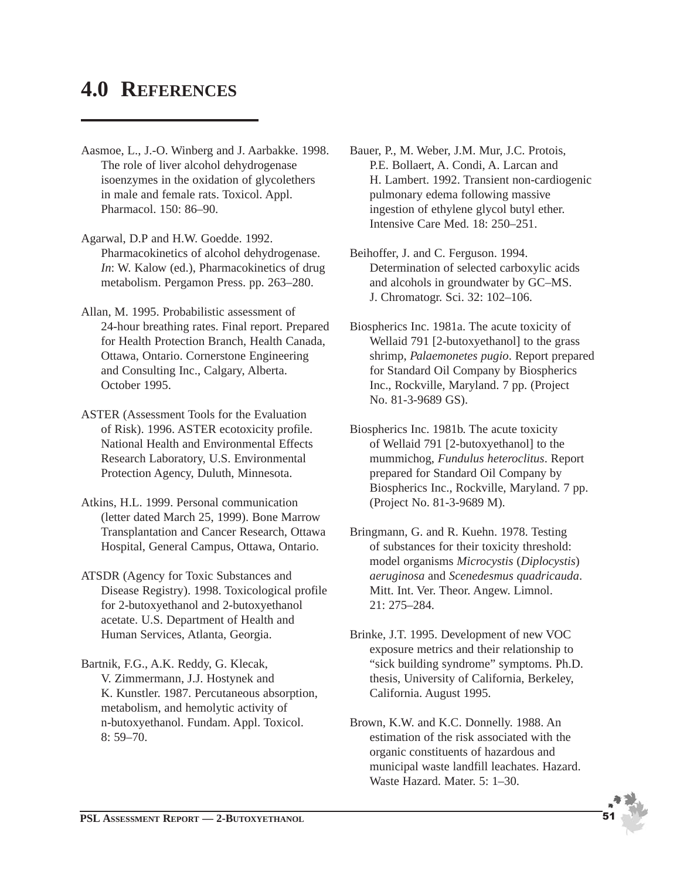## **4.0 REFERENCES**

- Aasmoe, L., J.-O. Winberg and J. Aarbakke. 1998. The role of liver alcohol dehydrogenase isoenzymes in the oxidation of glycolethers in male and female rats. Toxicol. Appl. Pharmacol. 150: 86–90.
- Agarwal, D.P and H.W. Goedde. 1992. Pharmacokinetics of alcohol dehydrogenase. *In*: W. Kalow (ed.), Pharmacokinetics of drug metabolism. Pergamon Press. pp. 263–280.
- Allan, M. 1995. Probabilistic assessment of 24-hour breathing rates. Final report. Prepared for Health Protection Branch, Health Canada, Ottawa, Ontario. Cornerstone Engineering and Consulting Inc., Calgary, Alberta. October 1995.
- ASTER (Assessment Tools for the Evaluation of Risk). 1996. ASTER ecotoxicity profile. National Health and Environmental Effects Research Laboratory, U.S. Environmental Protection Agency, Duluth, Minnesota.
- Atkins, H.L. 1999. Personal communication (letter dated March 25, 1999). Bone Marrow Transplantation and Cancer Research, Ottawa Hospital, General Campus, Ottawa, Ontario.
- ATSDR (Agency for Toxic Substances and Disease Registry). 1998. Toxicological profile for 2-butoxyethanol and 2-butoxyethanol acetate. U.S. Department of Health and Human Services, Atlanta, Georgia.
- Bartnik, F.G., A.K. Reddy, G. Klecak, V. Zimmermann, J.J. Hostynek and K. Kunstler. 1987. Percutaneous absorption, metabolism, and hemolytic activity of n-butoxyethanol. Fundam. Appl. Toxicol. 8: 59–70.
- Bauer, P., M. Weber, J.M. Mur, J.C. Protois, P.E. Bollaert, A. Condi, A. Larcan and H. Lambert. 1992. Transient non-cardiogenic pulmonary edema following massive ingestion of ethylene glycol butyl ether. Intensive Care Med. 18: 250–251.
- Beihoffer, J. and C. Ferguson. 1994. Determination of selected carboxylic acids and alcohols in groundwater by GC–MS. J. Chromatogr. Sci. 32: 102–106.
- Biospherics Inc. 1981a. The acute toxicity of Wellaid 791 [2-butoxyethanol] to the grass shrimp, *Palaemonetes pugio*. Report prepared for Standard Oil Company by Biospherics Inc., Rockville, Maryland. 7 pp. (Project No. 81-3-9689 GS).
- Biospherics Inc. 1981b. The acute toxicity of Wellaid 791 [2-butoxyethanol] to the mummichog, *Fundulus heteroclitus*. Report prepared for Standard Oil Company by Biospherics Inc., Rockville, Maryland. 7 pp. (Project No. 81-3-9689 M).
- Bringmann, G. and R. Kuehn. 1978. Testing of substances for their toxicity threshold: model organisms *Microcystis* (*Diplocystis*) *aeruginosa* and *Scenedesmus quadricauda*. Mitt. Int. Ver. Theor. Angew. Limnol. 21: 275–284.
- Brinke, J.T. 1995. Development of new VOC exposure metrics and their relationship to "sick building syndrome" symptoms. Ph.D. thesis, University of California, Berkeley, California. August 1995.
- Brown, K.W. and K.C. Donnelly. 1988. An estimation of the risk associated with the organic constituents of hazardous and municipal waste landfill leachates. Hazard. Waste Hazard. Mater. 5: 1–30.

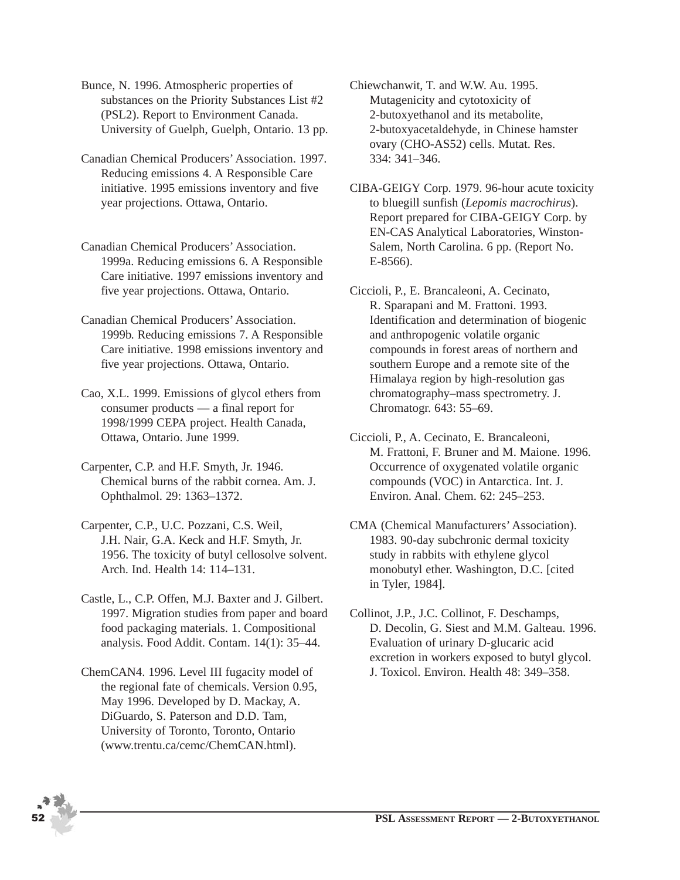Bunce, N. 1996. Atmospheric properties of substances on the Priority Substances List #2 (PSL2). Report to Environment Canada. University of Guelph, Guelph, Ontario. 13 pp.

- Canadian Chemical Producers' Association. 1997. Reducing emissions 4. A Responsible Care initiative. 1995 emissions inventory and five year projections. Ottawa, Ontario.
- Canadian Chemical Producers' Association. 1999a. Reducing emissions 6. A Responsible Care initiative. 1997 emissions inventory and five year projections. Ottawa, Ontario.
- Canadian Chemical Producers' Association. 1999b. Reducing emissions 7. A Responsible Care initiative. 1998 emissions inventory and five year projections. Ottawa, Ontario.
- Cao, X.L. 1999. Emissions of glycol ethers from consumer products — a final report for 1998/1999 CEPA project. Health Canada, Ottawa, Ontario. June 1999.
- Carpenter, C.P. and H.F. Smyth, Jr. 1946. Chemical burns of the rabbit cornea. Am. J. Ophthalmol. 29: 1363–1372.
- Carpenter, C.P., U.C. Pozzani, C.S. Weil, J.H. Nair, G.A. Keck and H.F. Smyth, Jr. 1956. The toxicity of butyl cellosolve solvent. Arch. Ind. Health 14: 114–131.
- Castle, L., C.P. Offen, M.J. Baxter and J. Gilbert. 1997. Migration studies from paper and board food packaging materials. 1. Compositional analysis. Food Addit. Contam. 14(1): 35–44.
- ChemCAN4. 1996. Level III fugacity model of the regional fate of chemicals. Version 0.95, May 1996. Developed by D. Mackay, A. DiGuardo, S. Paterson and D.D. Tam, University of Toronto, Toronto, Ontario (www.trentu.ca/cemc/ChemCAN.html).

Chiewchanwit, T. and W.W. Au. 1995. Mutagenicity and cytotoxicity of 2-butoxyethanol and its metabolite, 2-butoxyacetaldehyde, in Chinese hamster ovary (CHO-AS52) cells. Mutat. Res. 334: 341–346.

CIBA-GEIGY Corp. 1979. 96-hour acute toxicity to bluegill sunfish (*Lepomis macrochirus*). Report prepared for CIBA-GEIGY Corp. by EN-CAS Analytical Laboratories, Winston-Salem, North Carolina. 6 pp. (Report No. E-8566).

Ciccioli, P., E. Brancaleoni, A. Cecinato, R. Sparapani and M. Frattoni. 1993. Identification and determination of biogenic and anthropogenic volatile organic compounds in forest areas of northern and southern Europe and a remote site of the Himalaya region by high-resolution gas chromatography–mass spectrometry. J. Chromatogr. 643: 55–69.

Ciccioli, P., A. Cecinato, E. Brancaleoni, M. Frattoni, F. Bruner and M. Maione. 1996. Occurrence of oxygenated volatile organic compounds (VOC) in Antarctica. Int. J. Environ. Anal. Chem. 62: 245–253.

CMA (Chemical Manufacturers' Association). 1983. 90-day subchronic dermal toxicity study in rabbits with ethylene glycol monobutyl ether. Washington, D.C. [cited in Tyler, 1984].

Collinot, J.P., J.C. Collinot, F. Deschamps, D. Decolin, G. Siest and M.M. Galteau. 1996. Evaluation of urinary D-glucaric acid excretion in workers exposed to butyl glycol. J. Toxicol. Environ. Health 48: 349–358.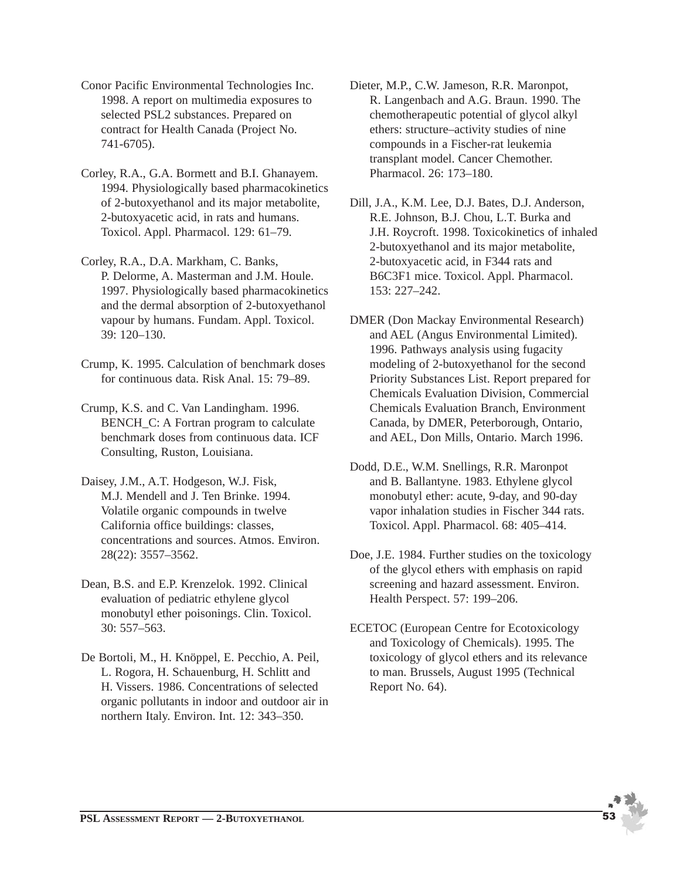- Conor Pacific Environmental Technologies Inc. 1998. A report on multimedia exposures to selected PSL2 substances. Prepared on contract for Health Canada (Project No. 741-6705).
- Corley, R.A., G.A. Bormett and B.I. Ghanayem. 1994. Physiologically based pharmacokinetics of 2-butoxyethanol and its major metabolite, 2-butoxyacetic acid, in rats and humans. Toxicol. Appl. Pharmacol. 129: 61–79.
- Corley, R.A., D.A. Markham, C. Banks, P. Delorme, A. Masterman and J.M. Houle. 1997. Physiologically based pharmacokinetics and the dermal absorption of 2-butoxyethanol vapour by humans. Fundam. Appl. Toxicol. 39: 120–130.
- Crump, K. 1995. Calculation of benchmark doses for continuous data. Risk Anal. 15: 79–89.
- Crump, K.S. and C. Van Landingham. 1996. BENCH C: A Fortran program to calculate benchmark doses from continuous data. ICF Consulting, Ruston, Louisiana.
- Daisey, J.M., A.T. Hodgeson, W.J. Fisk, M.J. Mendell and J. Ten Brinke. 1994. Volatile organic compounds in twelve California office buildings: classes, concentrations and sources. Atmos. Environ. 28(22): 3557–3562.
- Dean, B.S. and E.P. Krenzelok. 1992. Clinical evaluation of pediatric ethylene glycol monobutyl ether poisonings. Clin. Toxicol. 30: 557–563.
- De Bortoli, M., H. Knöppel, E. Pecchio, A. Peil, L. Rogora, H. Schauenburg, H. Schlitt and H. Vissers. 1986. Concentrations of selected organic pollutants in indoor and outdoor air in northern Italy. Environ. Int. 12: 343–350.
- Dieter, M.P., C.W. Jameson, R.R. Maronpot, R. Langenbach and A.G. Braun. 1990. The chemotherapeutic potential of glycol alkyl ethers: structure–activity studies of nine compounds in a Fischer-rat leukemia transplant model. Cancer Chemother. Pharmacol. 26: 173–180.
- Dill, J.A., K.M. Lee, D.J. Bates, D.J. Anderson, R.E. Johnson, B.J. Chou, L.T. Burka and J.H. Roycroft. 1998. Toxicokinetics of inhaled 2-butoxyethanol and its major metabolite, 2-butoxyacetic acid, in F344 rats and B6C3F1 mice. Toxicol. Appl. Pharmacol. 153: 227–242.
- DMER (Don Mackay Environmental Research) and AEL (Angus Environmental Limited). 1996. Pathways analysis using fugacity modeling of 2-butoxyethanol for the second Priority Substances List. Report prepared for Chemicals Evaluation Division, Commercial Chemicals Evaluation Branch, Environment Canada, by DMER, Peterborough, Ontario, and AEL, Don Mills, Ontario. March 1996.
- Dodd, D.E., W.M. Snellings, R.R. Maronpot and B. Ballantyne. 1983. Ethylene glycol monobutyl ether: acute, 9-day, and 90-day vapor inhalation studies in Fischer 344 rats. Toxicol. Appl. Pharmacol. 68: 405–414.
- Doe, J.E. 1984. Further studies on the toxicology of the glycol ethers with emphasis on rapid screening and hazard assessment. Environ. Health Perspect. 57: 199–206.
- ECETOC (European Centre for Ecotoxicology and Toxicology of Chemicals). 1995. The toxicology of glycol ethers and its relevance to man. Brussels, August 1995 (Technical Report No. 64).

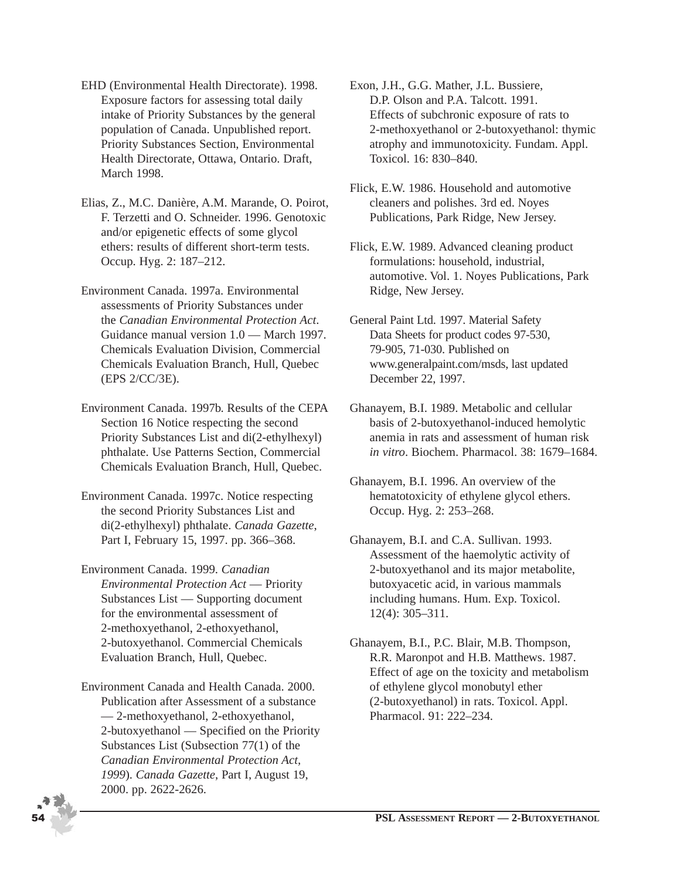- EHD (Environmental Health Directorate). 1998. Exposure factors for assessing total daily intake of Priority Substances by the general population of Canada. Unpublished report. Priority Substances Section, Environmental Health Directorate, Ottawa, Ontario. Draft, March 1998.
- Elias, Z., M.C. Danière, A.M. Marande, O. Poirot, F. Terzetti and O. Schneider. 1996. Genotoxic and/or epigenetic effects of some glycol ethers: results of different short-term tests. Occup. Hyg. 2: 187–212.
- Environment Canada. 1997a. Environmental assessments of Priority Substances under the *Canadian Environmental Protection Act*. Guidance manual version 1.0 — March 1997. Chemicals Evaluation Division, Commercial Chemicals Evaluation Branch, Hull, Quebec (EPS 2/CC/3E).
- Environment Canada. 1997b. Results of the CEPA Section 16 Notice respecting the second Priority Substances List and di(2-ethylhexyl) phthalate. Use Patterns Section, Commercial Chemicals Evaluation Branch, Hull, Quebec.
- Environment Canada. 1997c. Notice respecting the second Priority Substances List and di(2-ethylhexyl) phthalate. *Canada Gazette*, Part I, February 15, 1997. pp. 366–368.
- Environment Canada. 1999. *Canadian Environmental Protection Act* — Priority Substances List — Supporting document for the environmental assessment of 2-methoxyethanol, 2-ethoxyethanol, 2-butoxyethanol. Commercial Chemicals Evaluation Branch, Hull, Quebec.
- Environment Canada and Health Canada. 2000. Publication after Assessment of a substance — 2-methoxyethanol, 2-ethoxyethanol, 2-butoxyethanol — Specified on the Priority Substances List (Subsection 77(1) of the *Canadian Environmental Protection Act, 1999*). *Canada Gazette*, Part I, August 19, 2000. pp. 2622-2626.
- Exon, J.H., G.G. Mather, J.L. Bussiere, D.P. Olson and P.A. Talcott. 1991. Effects of subchronic exposure of rats to 2-methoxyethanol or 2-butoxyethanol: thymic atrophy and immunotoxicity. Fundam. Appl. Toxicol. 16: 830–840.
- Flick, E.W. 1986. Household and automotive cleaners and polishes. 3rd ed. Noyes Publications, Park Ridge, New Jersey.
- Flick, E.W. 1989. Advanced cleaning product formulations: household, industrial, automotive. Vol. 1. Noyes Publications, Park Ridge, New Jersey.
- General Paint Ltd. 1997. Material Safety Data Sheets for product codes 97-530, 79-905, 71-030. Published on www.generalpaint.com/msds, last updated December 22, 1997.
- Ghanayem, B.I. 1989. Metabolic and cellular basis of 2-butoxyethanol-induced hemolytic anemia in rats and assessment of human risk *in vitro*. Biochem. Pharmacol. 38: 1679–1684.
- Ghanayem, B.I. 1996. An overview of the hematotoxicity of ethylene glycol ethers. Occup. Hyg. 2: 253–268.
- Ghanayem, B.I. and C.A. Sullivan. 1993. Assessment of the haemolytic activity of 2-butoxyethanol and its major metabolite, butoxyacetic acid, in various mammals including humans. Hum. Exp. Toxicol. 12(4): 305–311.
- Ghanayem, B.I., P.C. Blair, M.B. Thompson, R.R. Maronpot and H.B. Matthews. 1987. Effect of age on the toxicity and metabolism of ethylene glycol monobutyl ether (2-butoxyethanol) in rats. Toxicol. Appl. Pharmacol. 91: 222–234.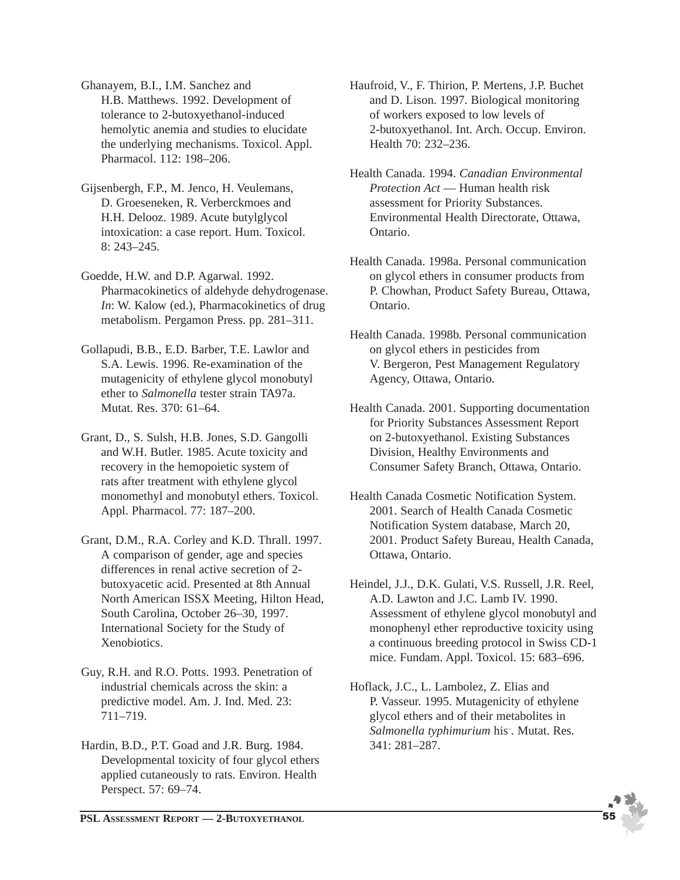Ghanayem, B.I., I.M. Sanchez and H.B. Matthews. 1992. Development of tolerance to 2-butoxyethanol-induced hemolytic anemia and studies to elucidate the underlying mechanisms. Toxicol. Appl. Pharmacol. 112: 198–206.

Gijsenbergh, F.P., M. Jenco, H. Veulemans, D. Groeseneken, R. Verberckmoes and H.H. Delooz. 1989. Acute butylglycol intoxication: a case report. Hum. Toxicol. 8: 243–245.

Goedde, H.W. and D.P. Agarwal. 1992. Pharmacokinetics of aldehyde dehydrogenase. *In*: W. Kalow (ed.), Pharmacokinetics of drug metabolism. Pergamon Press. pp. 281–311.

Gollapudi, B.B., E.D. Barber, T.E. Lawlor and S.A. Lewis. 1996. Re-examination of the mutagenicity of ethylene glycol monobutyl ether to *Salmonella* tester strain TA97a. Mutat. Res. 370: 61–64.

Grant, D., S. Sulsh, H.B. Jones, S.D. Gangolli and W.H. Butler. 1985. Acute toxicity and recovery in the hemopoietic system of rats after treatment with ethylene glycol monomethyl and monobutyl ethers. Toxicol. Appl. Pharmacol. 77: 187–200.

- Grant, D.M., R.A. Corley and K.D. Thrall. 1997. A comparison of gender, age and species differences in renal active secretion of 2 butoxyacetic acid. Presented at 8th Annual North American ISSX Meeting, Hilton Head, South Carolina, October 26–30, 1997. International Society for the Study of Xenobiotics.
- Guy, R.H. and R.O. Potts. 1993. Penetration of industrial chemicals across the skin: a predictive model. Am. J. Ind. Med. 23: 711–719.
- Hardin, B.D., P.T. Goad and J.R. Burg. 1984. Developmental toxicity of four glycol ethers applied cutaneously to rats. Environ. Health Perspect. 57: 69–74.

Haufroid, V., F. Thirion, P. Mertens, J.P. Buchet and D. Lison. 1997. Biological monitoring of workers exposed to low levels of 2-butoxyethanol. Int. Arch. Occup. Environ. Health 70: 232–236.

Health Canada. 1994. *Canadian Environmental Protection Act* — Human health risk assessment for Priority Substances. Environmental Health Directorate, Ottawa, Ontario.

Health Canada. 1998a. Personal communication on glycol ethers in consumer products from P. Chowhan, Product Safety Bureau, Ottawa, Ontario.

Health Canada. 1998b. Personal communication on glycol ethers in pesticides from V. Bergeron, Pest Management Regulatory Agency, Ottawa, Ontario.

Health Canada. 2001. Supporting documentation for Priority Substances Assessment Report on 2-butoxyethanol. Existing Substances Division, Healthy Environments and Consumer Safety Branch, Ottawa, Ontario.

- Health Canada Cosmetic Notification System. 2001. Search of Health Canada Cosmetic Notification System database, March 20, 2001. Product Safety Bureau, Health Canada, Ottawa, Ontario.
- Heindel, J.J., D.K. Gulati, V.S. Russell, J.R. Reel, A.D. Lawton and J.C. Lamb IV. 1990. Assessment of ethylene glycol monobutyl and monophenyl ether reproductive toxicity using a continuous breeding protocol in Swiss CD-1 mice. Fundam. Appl. Toxicol. 15: 683–696.
- Hoflack, J.C., L. Lambolez, Z. Elias and P. Vasseur. 1995. Mutagenicity of ethylene glycol ethers and of their metabolites in *Salmonella typhimurium* his– . Mutat. Res. 341: 281–287.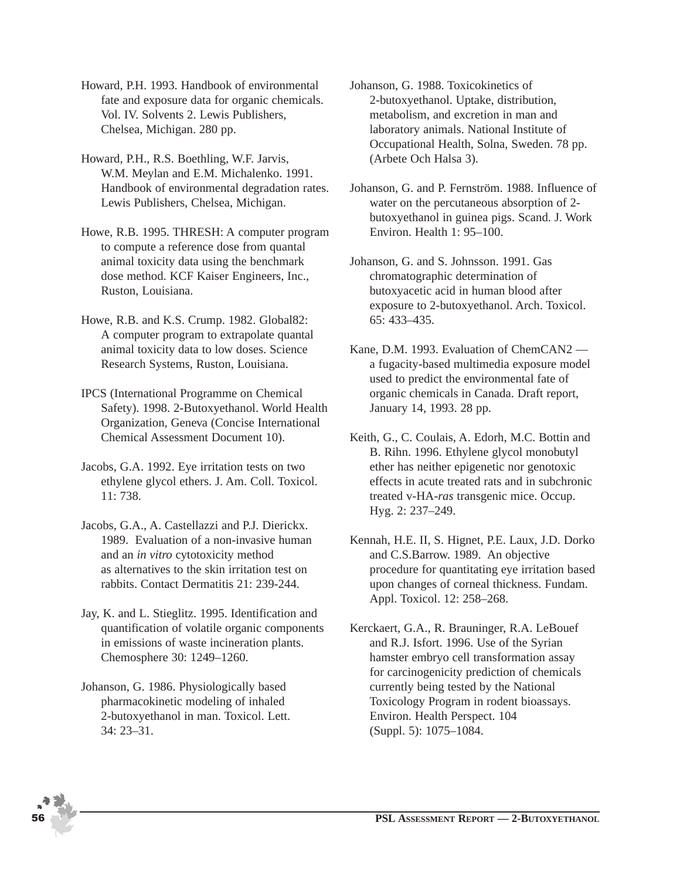Howard, P.H. 1993. Handbook of environmental fate and exposure data for organic chemicals. Vol. IV. Solvents 2. Lewis Publishers, Chelsea, Michigan. 280 pp.

Howard, P.H., R.S. Boethling, W.F. Jarvis, W.M. Meylan and E.M. Michalenko. 1991. Handbook of environmental degradation rates. Lewis Publishers, Chelsea, Michigan.

Howe, R.B. 1995. THRESH: A computer program to compute a reference dose from quantal animal toxicity data using the benchmark dose method. KCF Kaiser Engineers, Inc., Ruston, Louisiana.

- Howe, R.B. and K.S. Crump. 1982. Global82: A computer program to extrapolate quantal animal toxicity data to low doses. Science Research Systems, Ruston, Louisiana.
- IPCS (International Programme on Chemical Safety). 1998. 2-Butoxyethanol. World Health Organization, Geneva (Concise International Chemical Assessment Document 10).
- Jacobs, G.A. 1992. Eye irritation tests on two ethylene glycol ethers. J. Am. Coll. Toxicol. 11: 738.
- Jacobs, G.A., A. Castellazzi and P.J. Dierickx. 1989. Evaluation of a non-invasive human and an *in vitro* cytotoxicity method as alternatives to the skin irritation test on rabbits. Contact Dermatitis 21: 239-244.
- Jay, K. and L. Stieglitz. 1995. Identification and quantification of volatile organic components in emissions of waste incineration plants. Chemosphere 30: 1249–1260.
- Johanson, G. 1986. Physiologically based pharmacokinetic modeling of inhaled 2-butoxyethanol in man. Toxicol. Lett. 34: 23–31.

Johanson, G. 1988. Toxicokinetics of 2-butoxyethanol. Uptake, distribution, metabolism, and excretion in man and laboratory animals. National Institute of Occupational Health, Solna, Sweden. 78 pp. (Arbete Och Halsa 3).

Johanson, G. and P. Fernström. 1988. Influence of water on the percutaneous absorption of 2 butoxyethanol in guinea pigs. Scand. J. Work Environ. Health 1: 95–100.

Johanson, G. and S. Johnsson. 1991. Gas chromatographic determination of butoxyacetic acid in human blood after exposure to 2-butoxyethanol. Arch. Toxicol. 65: 433–435.

- Kane, D.M. 1993. Evaluation of ChemCAN2 a fugacity-based multimedia exposure model used to predict the environmental fate of organic chemicals in Canada. Draft report, January 14, 1993. 28 pp.
- Keith, G., C. Coulais, A. Edorh, M.C. Bottin and B. Rihn. 1996. Ethylene glycol monobutyl ether has neither epigenetic nor genotoxic effects in acute treated rats and in subchronic treated v-HA-*ras* transgenic mice. Occup. Hyg. 2: 237–249.
- Kennah, H.E. II, S. Hignet, P.E. Laux, J.D. Dorko and C.S.Barrow. 1989. An objective procedure for quantitating eye irritation based upon changes of corneal thickness. Fundam. Appl. Toxicol. 12: 258–268.
- Kerckaert, G.A., R. Brauninger, R.A. LeBouef and R.J. Isfort. 1996. Use of the Syrian hamster embryo cell transformation assay for carcinogenicity prediction of chemicals currently being tested by the National Toxicology Program in rodent bioassays. Environ. Health Perspect. 104 (Suppl. 5): 1075–1084.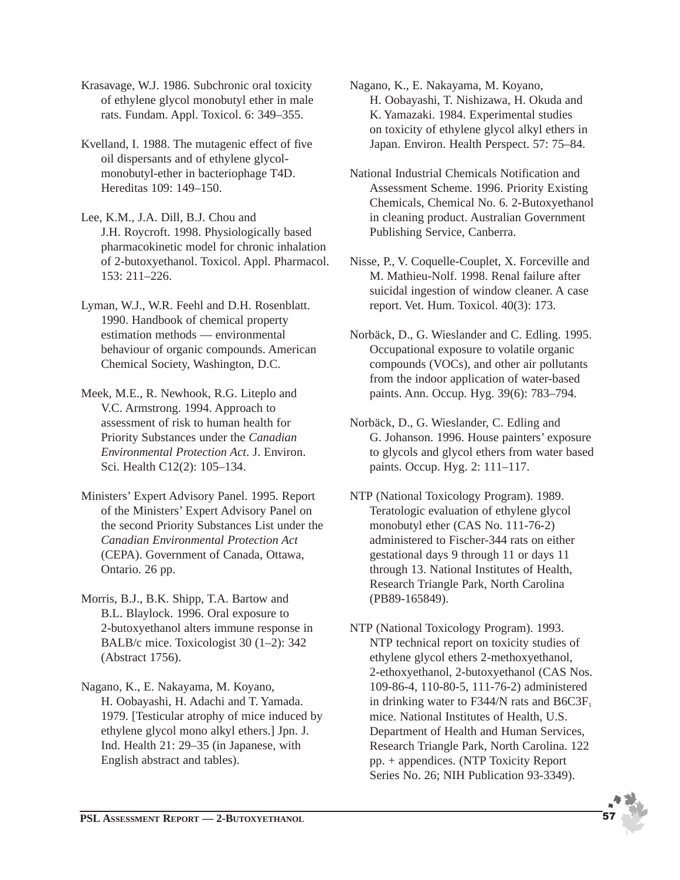Krasavage, W.J. 1986. Subchronic oral toxicity of ethylene glycol monobutyl ether in male rats. Fundam. Appl. Toxicol. 6: 349–355.

- Kvelland, I. 1988. The mutagenic effect of five oil dispersants and of ethylene glycolmonobutyl-ether in bacteriophage T4D. Hereditas 109: 149–150.
- Lee, K.M., J.A. Dill, B.J. Chou and J.H. Roycroft. 1998. Physiologically based pharmacokinetic model for chronic inhalation of 2-butoxyethanol. Toxicol. Appl. Pharmacol. 153: 211–226.
- Lyman, W.J., W.R. Feehl and D.H. Rosenblatt. 1990. Handbook of chemical property estimation methods — environmental behaviour of organic compounds. American Chemical Society, Washington, D.C.
- Meek, M.E., R. Newhook, R.G. Liteplo and V.C. Armstrong. 1994. Approach to assessment of risk to human health for Priority Substances under the *Canadian Environmental Protection Act*. J. Environ. Sci. Health C12(2): 105–134.
- Ministers' Expert Advisory Panel. 1995. Report of the Ministers' Expert Advisory Panel on the second Priority Substances List under the *Canadian Environmental Protection Act* (CEPA). Government of Canada, Ottawa, Ontario. 26 pp.
- Morris, B.J., B.K. Shipp, T.A. Bartow and B.L. Blaylock. 1996. Oral exposure to 2-butoxyethanol alters immune response in BALB/c mice. Toxicologist 30 (1–2): 342 (Abstract 1756).
- Nagano, K., E. Nakayama, M. Koyano, H. Oobayashi, H. Adachi and T. Yamada. 1979. [Testicular atrophy of mice induced by ethylene glycol mono alkyl ethers.] Jpn. J. Ind. Health 21: 29–35 (in Japanese, with English abstract and tables).

Nagano, K., E. Nakayama, M. Koyano, H. Oobayashi, T. Nishizawa, H. Okuda and K. Yamazaki. 1984. Experimental studies on toxicity of ethylene glycol alkyl ethers in Japan. Environ. Health Perspect. 57: 75–84.

- National Industrial Chemicals Notification and Assessment Scheme. 1996. Priority Existing Chemicals, Chemical No. 6. 2-Butoxyethanol in cleaning product. Australian Government Publishing Service, Canberra.
- Nisse, P., V. Coquelle-Couplet, X. Forceville and M. Mathieu-Nolf. 1998. Renal failure after suicidal ingestion of window cleaner. A case report. Vet. Hum. Toxicol. 40(3): 173.
- Norbäck, D., G. Wieslander and C. Edling. 1995. Occupational exposure to volatile organic compounds (VOCs), and other air pollutants from the indoor application of water-based paints. Ann. Occup. Hyg. 39(6): 783–794.
- Norbäck, D., G. Wieslander, C. Edling and G. Johanson. 1996. House painters' exposure to glycols and glycol ethers from water based paints. Occup. Hyg. 2: 111–117.
- NTP (National Toxicology Program). 1989. Teratologic evaluation of ethylene glycol monobutyl ether (CAS No. 111-76-2) administered to Fischer-344 rats on either gestational days 9 through 11 or days 11 through 13. National Institutes of Health, Research Triangle Park, North Carolina (PB89-165849).
- NTP (National Toxicology Program). 1993. NTP technical report on toxicity studies of ethylene glycol ethers 2-methoxyethanol, 2-ethoxyethanol, 2-butoxyethanol (CAS Nos. 109-86-4, 110-80-5, 111-76-2) administered in drinking water to F344/N rats and  $B6C3F<sub>1</sub>$ mice. National Institutes of Health, U.S. Department of Health and Human Services, Research Triangle Park, North Carolina. 122 pp. + appendices. (NTP Toxicity Report Series No. 26; NIH Publication 93-3349).

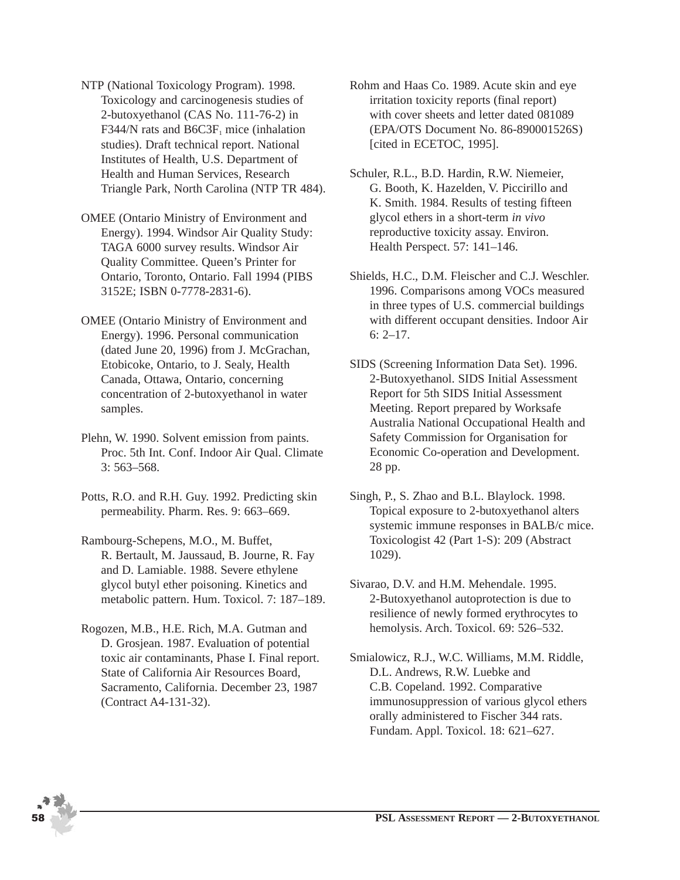- NTP (National Toxicology Program). 1998. Toxicology and carcinogenesis studies of 2-butoxyethanol (CAS No. 111-76-2) in F344/N rats and  $B6C3F_1$  mice (inhalation studies). Draft technical report. National Institutes of Health, U.S. Department of Health and Human Services, Research Triangle Park, North Carolina (NTP TR 484).
- OMEE (Ontario Ministry of Environment and Energy). 1994. Windsor Air Quality Study: TAGA 6000 survey results. Windsor Air Quality Committee. Queen's Printer for Ontario, Toronto, Ontario. Fall 1994 (PIBS 3152E; ISBN 0-7778-2831-6).
- OMEE (Ontario Ministry of Environment and Energy). 1996. Personal communication (dated June 20, 1996) from J. McGrachan, Etobicoke, Ontario, to J. Sealy, Health Canada, Ottawa, Ontario, concerning concentration of 2-butoxyethanol in water samples.
- Plehn, W. 1990. Solvent emission from paints. Proc. 5th Int. Conf. Indoor Air Qual. Climate 3: 563–568.
- Potts, R.O. and R.H. Guy. 1992. Predicting skin permeability. Pharm. Res. 9: 663–669.
- Rambourg-Schepens, M.O., M. Buffet, R. Bertault, M. Jaussaud, B. Journe, R. Fay and D. Lamiable. 1988. Severe ethylene glycol butyl ether poisoning. Kinetics and metabolic pattern. Hum. Toxicol. 7: 187–189.
- Rogozen, M.B., H.E. Rich, M.A. Gutman and D. Grosjean. 1987. Evaluation of potential toxic air contaminants, Phase I. Final report. State of California Air Resources Board, Sacramento, California. December 23, 1987 (Contract A4-131-32).
- Rohm and Haas Co. 1989. Acute skin and eye irritation toxicity reports (final report) with cover sheets and letter dated 081089 (EPA/OTS Document No. 86-890001526S) [cited in ECETOC, 1995].
- Schuler, R.L., B.D. Hardin, R.W. Niemeier, G. Booth, K. Hazelden, V. Piccirillo and K. Smith. 1984. Results of testing fifteen glycol ethers in a short-term *in vivo* reproductive toxicity assay. Environ. Health Perspect. 57: 141–146.
- Shields, H.C., D.M. Fleischer and C.J. Weschler. 1996. Comparisons among VOCs measured in three types of U.S. commercial buildings with different occupant densities. Indoor Air 6: 2–17.
- SIDS (Screening Information Data Set). 1996. 2-Butoxyethanol. SIDS Initial Assessment Report for 5th SIDS Initial Assessment Meeting. Report prepared by Worksafe Australia National Occupational Health and Safety Commission for Organisation for Economic Co-operation and Development. 28 pp.
- Singh, P., S. Zhao and B.L. Blaylock. 1998. Topical exposure to 2-butoxyethanol alters systemic immune responses in BALB/c mice. Toxicologist 42 (Part 1-S): 209 (Abstract 1029).
- Sivarao, D.V. and H.M. Mehendale. 1995. 2-Butoxyethanol autoprotection is due to resilience of newly formed erythrocytes to hemolysis. Arch. Toxicol. 69: 526–532.
- Smialowicz, R.J., W.C. Williams, M.M. Riddle, D.L. Andrews, R.W. Luebke and C.B. Copeland. 1992. Comparative immunosuppression of various glycol ethers orally administered to Fischer 344 rats. Fundam. Appl. Toxicol. 18: 621–627.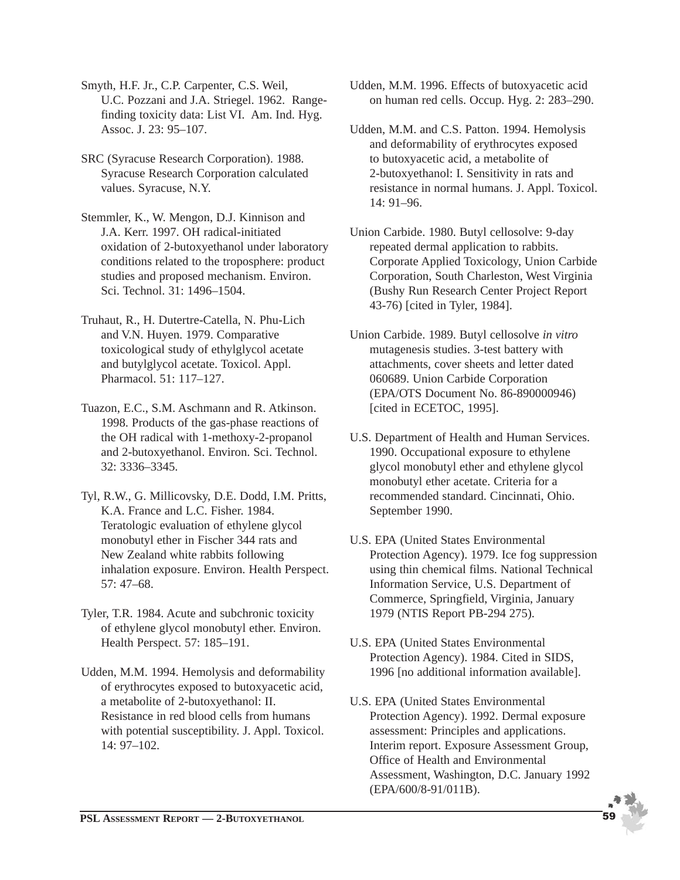Smyth, H.F. Jr., C.P. Carpenter, C.S. Weil, U.C. Pozzani and J.A. Striegel. 1962. Rangefinding toxicity data: List VI. Am. Ind. Hyg. Assoc. J. 23: 95–107.

SRC (Syracuse Research Corporation). 1988. Syracuse Research Corporation calculated values. Syracuse, N.Y.

Stemmler, K., W. Mengon, D.J. Kinnison and J.A. Kerr. 1997. OH radical-initiated oxidation of 2-butoxyethanol under laboratory conditions related to the troposphere: product studies and proposed mechanism. Environ. Sci. Technol. 31: 1496–1504.

- Truhaut, R., H. Dutertre-Catella, N. Phu-Lich and V.N. Huyen. 1979. Comparative toxicological study of ethylglycol acetate and butylglycol acetate. Toxicol. Appl. Pharmacol. 51: 117–127.
- Tuazon, E.C., S.M. Aschmann and R. Atkinson. 1998. Products of the gas-phase reactions of the OH radical with 1-methoxy-2-propanol and 2-butoxyethanol. Environ. Sci. Technol. 32: 3336–3345.
- Tyl, R.W., G. Millicovsky, D.E. Dodd, I.M. Pritts, K.A. France and L.C. Fisher. 1984. Teratologic evaluation of ethylene glycol monobutyl ether in Fischer 344 rats and New Zealand white rabbits following inhalation exposure. Environ. Health Perspect. 57: 47–68.
- Tyler, T.R. 1984. Acute and subchronic toxicity of ethylene glycol monobutyl ether. Environ. Health Perspect. 57: 185–191.
- Udden, M.M. 1994. Hemolysis and deformability of erythrocytes exposed to butoxyacetic acid, a metabolite of 2-butoxyethanol: II. Resistance in red blood cells from humans with potential susceptibility. J. Appl. Toxicol. 14: 97–102.
- Udden, M.M. 1996. Effects of butoxyacetic acid on human red cells. Occup. Hyg. 2: 283–290.
- Udden, M.M. and C.S. Patton. 1994. Hemolysis and deformability of erythrocytes exposed to butoxyacetic acid, a metabolite of 2-butoxyethanol: I. Sensitivity in rats and resistance in normal humans. J. Appl. Toxicol. 14: 91–96.
- Union Carbide. 1980. Butyl cellosolve: 9-day repeated dermal application to rabbits. Corporate Applied Toxicology, Union Carbide Corporation, South Charleston, West Virginia (Bushy Run Research Center Project Report 43-76) [cited in Tyler, 1984].
- Union Carbide. 1989. Butyl cellosolve *in vitro* mutagenesis studies. 3-test battery with attachments, cover sheets and letter dated 060689. Union Carbide Corporation (EPA/OTS Document No. 86-890000946) [cited in ECETOC, 1995].
- U.S. Department of Health and Human Services. 1990. Occupational exposure to ethylene glycol monobutyl ether and ethylene glycol monobutyl ether acetate. Criteria for a recommended standard. Cincinnati, Ohio. September 1990.
- U.S. EPA (United States Environmental Protection Agency). 1979. Ice fog suppression using thin chemical films. National Technical Information Service, U.S. Department of Commerce, Springfield, Virginia, January 1979 (NTIS Report PB-294 275).
- U.S. EPA (United States Environmental Protection Agency). 1984. Cited in SIDS, 1996 [no additional information available].
- U.S. EPA (United States Environmental Protection Agency). 1992. Dermal exposure assessment: Principles and applications. Interim report. Exposure Assessment Group, Office of Health and Environmental Assessment, Washington, D.C. January 1992 (EPA/600/8-91/011B).

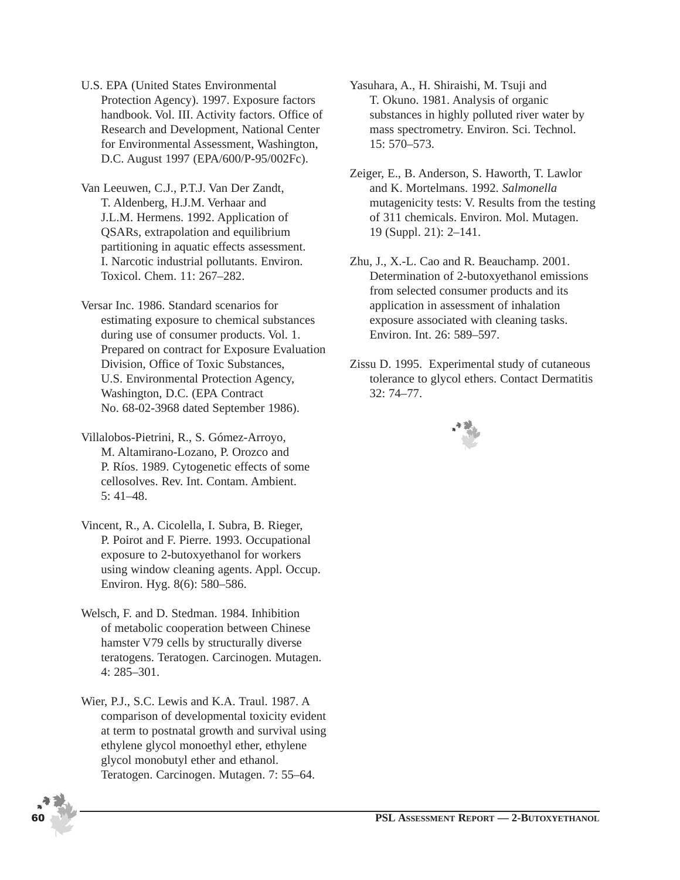- U.S. EPA (United States Environmental Protection Agency). 1997. Exposure factors handbook. Vol. III. Activity factors. Office of Research and Development, National Center for Environmental Assessment, Washington, D.C. August 1997 (EPA/600/P-95/002Fc).
- Van Leeuwen, C.J., P.T.J. Van Der Zandt, T. Aldenberg, H.J.M. Verhaar and J.L.M. Hermens. 1992. Application of QSARs, extrapolation and equilibrium partitioning in aquatic effects assessment. I. Narcotic industrial pollutants. Environ. Toxicol. Chem. 11: 267–282.
- Versar Inc. 1986. Standard scenarios for estimating exposure to chemical substances during use of consumer products. Vol. 1. Prepared on contract for Exposure Evaluation Division, Office of Toxic Substances, U.S. Environmental Protection Agency, Washington, D.C. (EPA Contract No. 68-02-3968 dated September 1986).
- Villalobos-Pietrini, R., S. Gómez-Arroyo, M. Altamirano-Lozano, P. Orozco and P. Ríos. 1989. Cytogenetic effects of some cellosolves. Rev. Int. Contam. Ambient. 5: 41–48.
- Vincent, R., A. Cicolella, I. Subra, B. Rieger, P. Poirot and F. Pierre. 1993. Occupational exposure to 2-butoxyethanol for workers using window cleaning agents. Appl. Occup. Environ. Hyg. 8(6): 580–586.
- Welsch, F. and D. Stedman. 1984. Inhibition of metabolic cooperation between Chinese hamster V79 cells by structurally diverse teratogens. Teratogen. Carcinogen. Mutagen. 4: 285–301.
- Wier, P.J., S.C. Lewis and K.A. Traul. 1987. A comparison of developmental toxicity evident at term to postnatal growth and survival using ethylene glycol monoethyl ether, ethylene glycol monobutyl ether and ethanol. Teratogen. Carcinogen. Mutagen. 7: 55–64.
- 
- Yasuhara, A., H. Shiraishi, M. Tsuji and T. Okuno. 1981. Analysis of organic substances in highly polluted river water by mass spectrometry. Environ. Sci. Technol. 15: 570–573.
- Zeiger, E., B. Anderson, S. Haworth, T. Lawlor and K. Mortelmans. 1992. *Salmonella* mutagenicity tests: V. Results from the testing of 311 chemicals. Environ. Mol. Mutagen. 19 (Suppl. 21): 2–141.
- Zhu, J., X.-L. Cao and R. Beauchamp. 2001. Determination of 2-butoxyethanol emissions from selected consumer products and its application in assessment of inhalation exposure associated with cleaning tasks. Environ. Int. 26: 589–597.
- Zissu D. 1995. Experimental study of cutaneous tolerance to glycol ethers. Contact Dermatitis 32: 74–77.

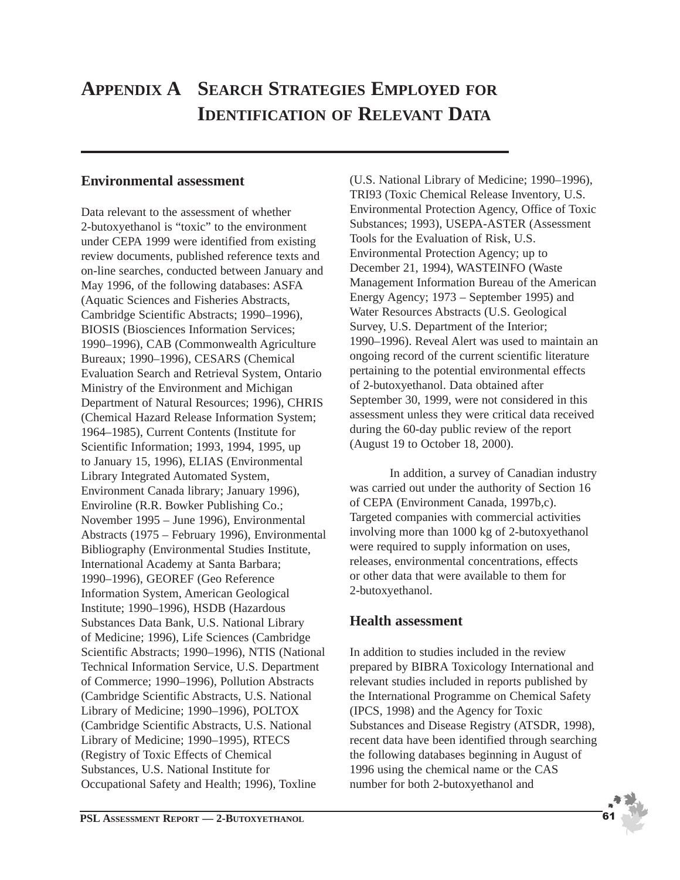## **APPENDIX A SEARCH STRATEGIES EMPLOYED FOR IDENTIFICATION OF RELEVANT DATA**

### **Environmental assessment**

Data relevant to the assessment of whether 2-butoxyethanol is "toxic" to the environment under CEPA 1999 were identified from existing review documents, published reference texts and on-line searches, conducted between January and May 1996, of the following databases: ASFA (Aquatic Sciences and Fisheries Abstracts, Cambridge Scientific Abstracts; 1990–1996), BIOSIS (Biosciences Information Services; 1990–1996), CAB (Commonwealth Agriculture Bureaux; 1990–1996), CESARS (Chemical Evaluation Search and Retrieval System, Ontario Ministry of the Environment and Michigan Department of Natural Resources; 1996), CHRIS (Chemical Hazard Release Information System; 1964–1985), Current Contents (Institute for Scientific Information; 1993, 1994, 1995, up to January 15, 1996), ELIAS (Environmental Library Integrated Automated System, Environment Canada library; January 1996), Enviroline (R.R. Bowker Publishing Co.; November 1995 – June 1996), Environmental Abstracts (1975 – February 1996), Environmental Bibliography (Environmental Studies Institute, International Academy at Santa Barbara; 1990–1996), GEOREF (Geo Reference Information System, American Geological Institute; 1990–1996), HSDB (Hazardous Substances Data Bank, U.S. National Library of Medicine; 1996), Life Sciences (Cambridge Scientific Abstracts; 1990–1996), NTIS (National Technical Information Service, U.S. Department of Commerce; 1990–1996), Pollution Abstracts (Cambridge Scientific Abstracts, U.S. National Library of Medicine; 1990–1996), POLTOX (Cambridge Scientific Abstracts, U.S. National Library of Medicine; 1990–1995), RTECS (Registry of Toxic Effects of Chemical Substances, U.S. National Institute for Occupational Safety and Health; 1996), Toxline

(U.S. National Library of Medicine; 1990–1996), TRI93 (Toxic Chemical Release Inventory, U.S. Environmental Protection Agency, Office of Toxic Substances; 1993), USEPA-ASTER (Assessment Tools for the Evaluation of Risk, U.S. Environmental Protection Agency; up to December 21, 1994), WASTEINFO (Waste Management Information Bureau of the American Energy Agency; 1973 – September 1995) and Water Resources Abstracts (U.S. Geological Survey, U.S. Department of the Interior; 1990–1996). Reveal Alert was used to maintain an ongoing record of the current scientific literature pertaining to the potential environmental effects of 2-butoxyethanol. Data obtained after September 30, 1999, were not considered in this assessment unless they were critical data received during the 60-day public review of the report (August 19 to October 18, 2000).

In addition, a survey of Canadian industry was carried out under the authority of Section 16 of CEPA (Environment Canada, 1997b,c). Targeted companies with commercial activities involving more than 1000 kg of 2-butoxyethanol were required to supply information on uses, releases, environmental concentrations, effects or other data that were available to them for 2-butoxyethanol.

### **Health assessment**

In addition to studies included in the review prepared by BIBRA Toxicology International and relevant studies included in reports published by the International Programme on Chemical Safety (IPCS, 1998) and the Agency for Toxic Substances and Disease Registry (ATSDR, 1998), recent data have been identified through searching the following databases beginning in August of 1996 using the chemical name or the CAS number for both 2-butoxyethanol and